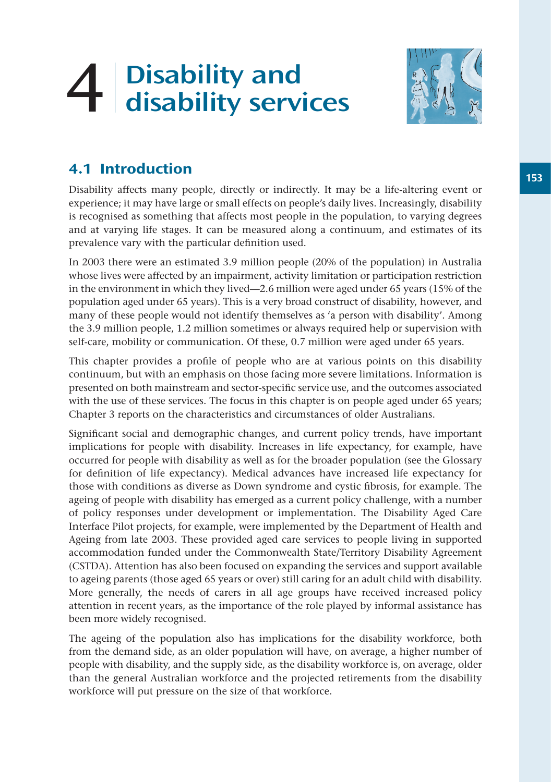# 4 Disability and disability services



# 4.1 Introduction

Disability affects many people, directly or indirectly. It may be a life-altering event or experience; it may have large or small effects on people's daily lives. Increasingly, disability is recognised as something that affects most people in the population, to varying degrees and at varying life stages. It can be measured along a continuum, and estimates of its prevalence vary with the particular definition used.

In 2003 there were an estimated 3.9 million people (20% of the population) in Australia whose lives were affected by an impairment, activity limitation or participation restriction in the environment in which they lived—2.6 million were aged under 65 years (15% of the population aged under 65 years). This is a very broad construct of disability, however, and many of these people would not identify themselves as 'a person with disability'. Among the 3.9 million people, 1.2 million sometimes or always required help or supervision with self-care, mobility or communication. Of these, 0.7 million were aged under 65 years.

This chapter provides a profile of people who are at various points on this disability continuum, but with an emphasis on those facing more severe limitations. Information is presented on both mainstream and sector-specific service use, and the outcomes associated with the use of these services. The focus in this chapter is on people aged under 65 years; Chapter 3 reports on the characteristics and circumstances of older Australians.

Significant social and demographic changes, and current policy trends, have important implications for people with disability. Increases in life expectancy, for example, have occurred for people with disability as well as for the broader population (see the Glossary for definition of life expectancy). Medical advances have increased life expectancy for those with conditions as diverse as Down syndrome and cystic fibrosis, for example. The ageing of people with disability has emerged as a current policy challenge, with a number of policy responses under development or implementation. The Disability Aged Care Interface Pilot projects, for example, were implemented by the Department of Health and Ageing from late 2003. These provided aged care services to people living in supported accommodation funded under the Commonwealth State/Territory Disability Agreement (CSTDA). Attention has also been focused on expanding the services and support available to ageing parents (those aged 65 years or over) still caring for an adult child with disability. More generally, the needs of carers in all age groups have received increased policy attention in recent years, as the importance of the role played by informal assistance has been more widely recognised.

The ageing of the population also has implications for the disability workforce, both from the demand side, as an older population will have, on average, a higher number of people with disability, and the supply side, as the disability workforce is, on average, older than the general Australian workforce and the projected retirements from the disability workforce will put pressure on the size of that workforce.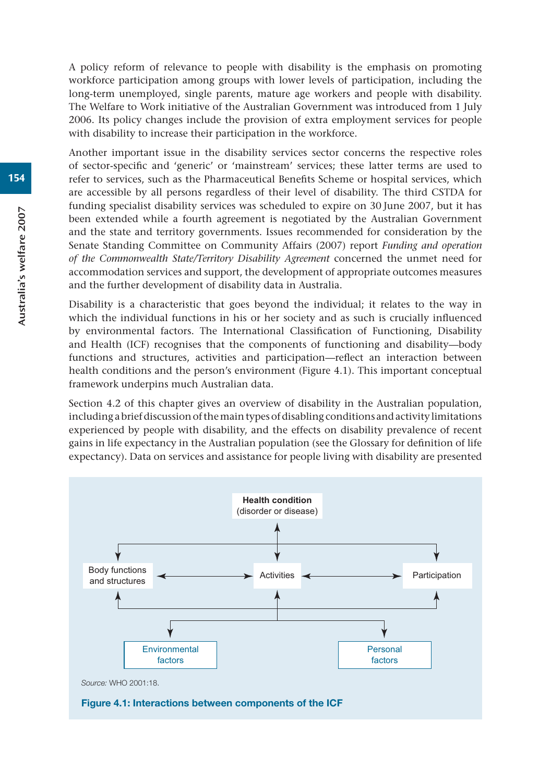A policy reform of relevance to people with disability is the emphasis on promoting workforce participation among groups with lower levels of participation, including the long-term unemployed, single parents, mature age workers and people with disability. The Welfare to Work initiative of the Australian Government was introduced from 1 July 2006. Its policy changes include the provision of extra employment services for people with disability to increase their participation in the workforce.

Another important issue in the disability services sector concerns the respective roles of sector-specific and 'generic' or 'mainstream' services; these latter terms are used to refer to services, such as the Pharmaceutical Benefits Scheme or hospital services, which are accessible by all persons regardless of their level of disability. The third CSTDA for funding specialist disability services was scheduled to expire on 30 June 2007, but it has been extended while a fourth agreement is negotiated by the Australian Government and the state and territory governments. Issues recommended for consideration by the Senate Standing Committee on Community Affairs (2007) report *Funding and operation of the Commonwealth State/Territory Disability Agreement* concerned the unmet need for accommodation services and support, the development of appropriate outcomes measures and the further development of disability data in Australia.

Disability is a characteristic that goes beyond the individual; it relates to the way in which the individual functions in his or her society and as such is crucially influenced by environmental factors. The International Classification of Functioning, Disability and Health (ICF) recognises that the components of functioning and disability—body functions and structures, activities and participation—reflect an interaction between health conditions and the person's environment (Figure 4.1). This important conceptual framework underpins much Australian data.

Section 4.2 of this chapter gives an overview of disability in the Australian population, including a brief discussion of the main types of disabling conditions and activity limitations experienced by people with disability, and the effects on disability prevalence of recent gains in life expectancy in the Australian population (see the Glossary for definition of life expectancy). Data on services and assistance for people living with disability are presented

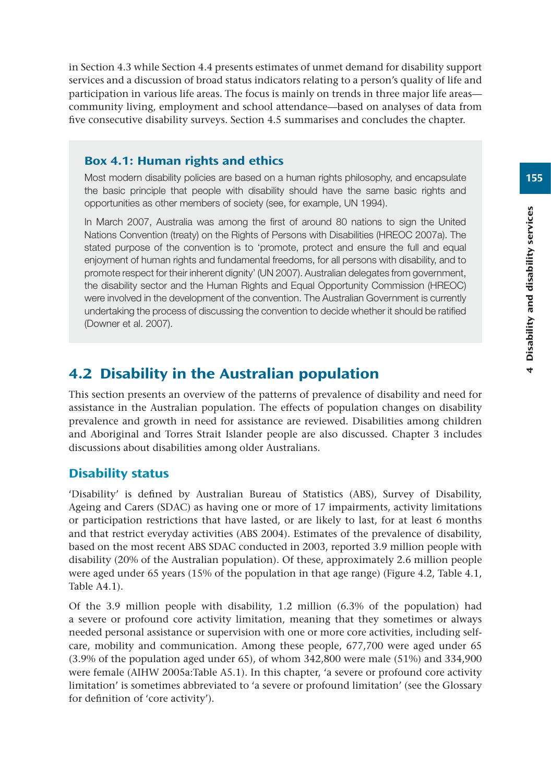in Section 4.3 while Section 4.4 presents estimates of unmet demand for disability support services and a discussion of broad status indicators relating to a person's quality of life and participation in various life areas. The focus is mainly on trends in three major life areas community living, employment and school attendance—based on analyses of data from five consecutive disability surveys. Section 4.5 summarises and concludes the chapter.

#### Box 4.1: Human rights and ethics

Most modern disability policies are based on a human rights philosophy, and encapsulate the basic principle that people with disability should have the same basic rights and opportunities as other members of society (see, for example, UN 1994).

In March 2007, Australia was among the first of around 80 nations to sign the United Nations Convention (treaty) on the Rights of Persons with Disabilities (HREOC 2007a). The stated purpose of the convention is to 'promote, protect and ensure the full and equal enjoyment of human rights and fundamental freedoms, for all persons with disability, and to promote respect for their inherent dignity' (UN 2007). Australian delegates from government, the disability sector and the Human Rights and Equal Opportunity Commission (HREOC) were involved in the development of the convention. The Australian Government is currently undertaking the process of discussing the convention to decide whether it should be ratified (Downer et al. 2007).

# 4.2 Disability in the Australian population

This section presents an overview of the patterns of prevalence of disability and need for assistance in the Australian population. The effects of population changes on disability prevalence and growth in need for assistance are reviewed. Disabilities among children and Aboriginal and Torres Strait Islander people are also discussed. Chapter 3 includes discussions about disabilities among older Australians.

#### Disability status

'Disability' is defined by Australian Bureau of Statistics (ABS), Survey of Disability, Ageing and Carers (SDAC) as having one or more of 17 impairments, activity limitations or participation restrictions that have lasted, or are likely to last, for at least 6 months and that restrict everyday activities (ABS 2004). Estimates of the prevalence of disability, based on the most recent ABS SDAC conducted in 2003, reported 3.9 million people with disability (20% of the Australian population). Of these, approximately 2.6 million people were aged under 65 years (15% of the population in that age range) (Figure 4.2, Table 4.1, Table A4.1).

Of the 3.9 million people with disability, 1.2 million (6.3% of the population) had a severe or profound core activity limitation, meaning that they sometimes or always needed personal assistance or supervision with one or more core activities, including selfcare, mobility and communication. Among these people, 677,700 were aged under 65 (3.9% of the population aged under 65), of whom 342,800 were male (51%) and 334,900 were female (AIHW 2005a:Table A5.1). In this chapter, 'a severe or profound core activity limitation' is sometimes abbreviated to 'a severe or profound limitation' (see the Glossary for definition of 'core activity').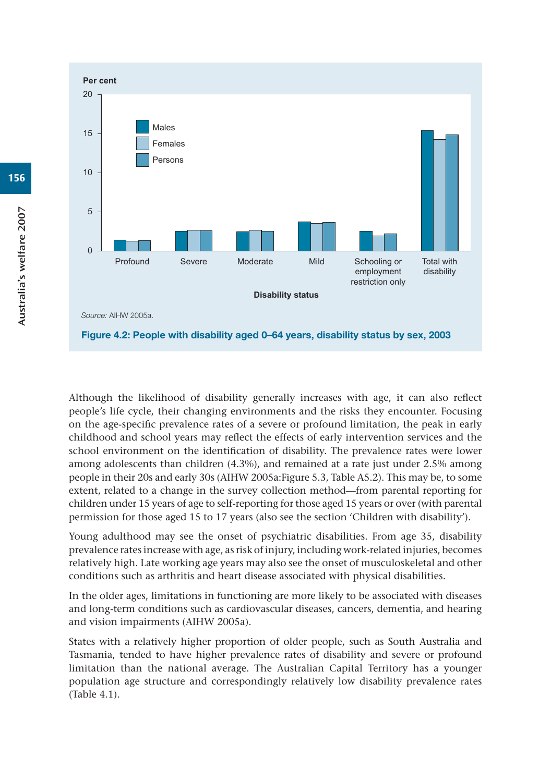

Although the likelihood of disability generally increases with age, it can also reflect people's life cycle, their changing environments and the risks they encounter. Focusing on the age-specific prevalence rates of a severe or profound limitation, the peak in early childhood and school years may reflect the effects of early intervention services and the school environment on the identification of disability. The prevalence rates were lower among adolescents than children (4.3%), and remained at a rate just under 2.5% among people in their 20s and early 30s (AIHW 2005a:Figure 5.3, Table A5.2). This may be, to some extent, related to a change in the survey collection method—from parental reporting for children under 15 years of age to self-reporting for those aged 15 years or over (with parental permission for those aged 15 to 17 years (also see the section 'Children with disability').

Young adulthood may see the onset of psychiatric disabilities. From age 35, disability prevalence rates increase with age, as risk of injury, including work-related injuries, becomes relatively high. Late working age years may also see the onset of musculoskeletal and other conditions such as arthritis and heart disease associated with physical disabilities.

In the older ages, limitations in functioning are more likely to be associated with diseases and long-term conditions such as cardiovascular diseases, cancers, dementia, and hearing and vision impairments (AIHW 2005a).

States with a relatively higher proportion of older people, such as South Australia and Tasmania, tended to have higher prevalence rates of disability and severe or profound limitation than the national average. The Australian Capital Territory has a younger population age structure and correspondingly relatively low disability prevalence rates (Table 4.1).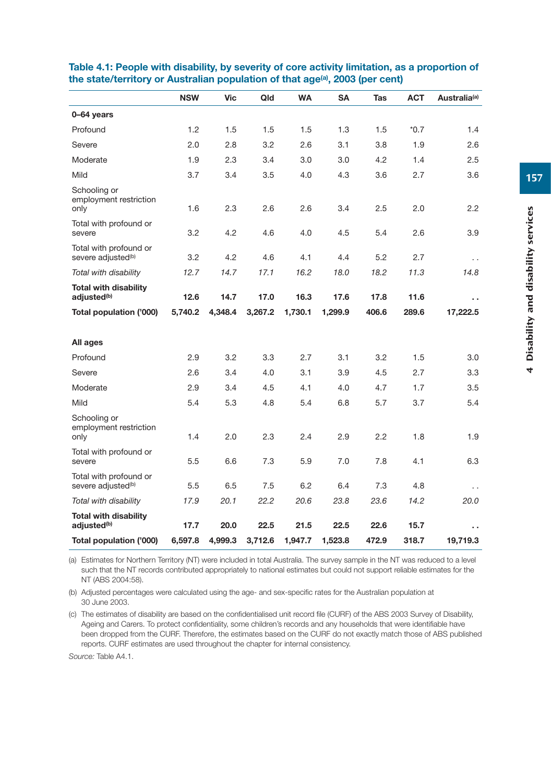|                                                          | <b>NSW</b> | <b>Vic</b> | Qld     | <b>WA</b> | <b>SA</b> | Tas   | <b>ACT</b> | Australia <sup>(a)</sup> |
|----------------------------------------------------------|------------|------------|---------|-----------|-----------|-------|------------|--------------------------|
| 0-64 years                                               |            |            |         |           |           |       |            |                          |
| Profound                                                 | 1.2        | 1.5        | 1.5     | 1.5       | 1.3       | 1.5   | $*0.7$     | 1.4                      |
| Severe                                                   | 2.0        | 2.8        | 3.2     | 2.6       | 3.1       | 3.8   | 1.9        | 2.6                      |
| Moderate                                                 | 1.9        | 2.3        | 3.4     | 3.0       | 3.0       | 4.2   | 1.4        | 2.5                      |
| Mild                                                     | 3.7        | 3.4        | 3.5     | 4.0       | 4.3       | 3.6   | 2.7        | 3.6                      |
| Schooling or<br>employment restriction<br>only           | 1.6        | 2.3        | 2.6     | 2.6       | 3.4       | 2.5   | 2.0        | 2.2                      |
| Total with profound or<br>severe                         | 3.2        | 4.2        | 4.6     | 4.0       | 4.5       | 5.4   | 2.6        | 3.9                      |
| Total with profound or<br>severe adjusted <sup>(b)</sup> | 3.2        | 4.2        | 4.6     | 4.1       | 4.4       | 5.2   | 2.7        | $\cdot$ .                |
| Total with disability                                    | 12.7       | 14.7       | 17.1    | 16.2      | 18.0      | 18.2  | 11.3       | 14.8                     |
| <b>Total with disability</b><br>adjusted <sup>(b)</sup>  | 12.6       | 14.7       | 17.0    | 16.3      | 17.6      | 17.8  | 11.6       | . .                      |
| Total population ('000)                                  | 5.740.2    | 4.348.4    | 3,267.2 | 1,730.1   | 1,299.9   | 406.6 | 289.6      | 17,222.5                 |
|                                                          |            |            |         |           |           |       |            |                          |
| All ages                                                 |            |            |         |           |           |       |            |                          |
| Profound                                                 | 2.9        | 3.2        | 3.3     | 2.7       | 3.1       | 3.2   | 1.5        | 3.0                      |
| Severe                                                   | 2.6        | 3.4        | 4.0     | 3.1       | 3.9       | 4.5   | 2.7        | 3.3                      |
| Moderate                                                 | 2.9        | 3.4        | 4.5     | 4.1       | 4.0       | 4.7   | 1.7        | 3.5                      |
| Mild                                                     | 5.4        | 5.3        | 4.8     | 5.4       | 6.8       | 5.7   | 3.7        | 5.4                      |
| Schooling or<br>employment restriction<br>only           | 1.4        | 2.0        | 2.3     | 2.4       | 2.9       | 2.2   | 1.8        | 1.9                      |
| Total with profound or<br>severe                         | 5.5        | 6.6        | 7.3     | 5.9       | 7.0       | 7.8   | 4.1        | 6.3                      |
| Total with profound or<br>severe adjusted <sup>(b)</sup> | 5.5        | 6.5        | 7.5     | 6.2       | 6.4       | 7.3   | 4.8        | $\ddot{\phantom{0}}$     |
| Total with disability                                    | 17.9       | 20.1       | 22.2    | 20.6      | 23.8      | 23.6  | 14.2       | 20.0                     |
| <b>Total with disability</b><br>adjusted <sup>(b)</sup>  | 17.7       | 20.0       | 22.5    | 21.5      | 22.5      | 22.6  | 15.7       | . .                      |
| Total population ('000)                                  | 6,597.8    | 4,999.3    | 3,712.6 | 1,947.7   | 1,523.8   | 472.9 | 318.7      | 19,719.3                 |

#### **Table 4.1: People with disability, by severity of core activity limitation, as a proportion of**  the state/territory or Australian population of that age<sup>(a)</sup>, 2003 (per cent)

(a) Estimates for Northern Territory (NT) were included in total Australia. The survey sample in the NT was reduced to a level such that the NT records contributed appropriately to national estimates but could not support reliable estimates for the NT (ABS 2004:58).

(b) Adjusted percentages were calculated using the age- and sex-specific rates for the Australian population at 30 June 2003.

(c) The estimates of disability are based on the confidentialised unit record file (CURF) of the ABS 2003 Survey of Disability, Ageing and Carers. To protect confidentiality, some children's records and any households that were identifiable have been dropped from the CURF. Therefore, the estimates based on the CURF do not exactly match those of ABS published reports. CURF estimates are used throughout the chapter for internal consistency.

*Source:* Table A4.1.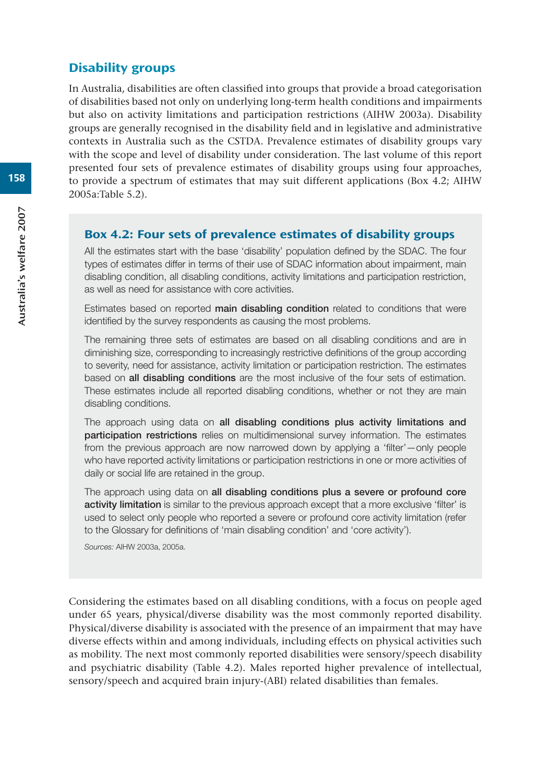#### Disability groups

In Australia, disabilities are often classified into groups that provide a broad categorisation of disabilities based not only on underlying long-term health conditions and impairments but also on activity limitations and participation restrictions (AIHW 2003a). Disability groups are generally recognised in the disability field and in legislative and administrative contexts in Australia such as the CSTDA. Prevalence estimates of disability groups vary with the scope and level of disability under consideration. The last volume of this report presented four sets of prevalence estimates of disability groups using four approaches, to provide a spectrum of estimates that may suit different applications (Box 4.2; AIHW 2005a:Table 5.2).

#### Box 4.2: Four sets of prevalence estimates of disability groups

All the estimates start with the base 'disability' population defined by the SDAC. The four types of estimates differ in terms of their use of SDAC information about impairment, main disabling condition, all disabling conditions, activity limitations and participation restriction, as well as need for assistance with core activities.

Estimates based on reported **main disabling condition** related to conditions that were identified by the survey respondents as causing the most problems.

The remaining three sets of estimates are based on all disabling conditions and are in diminishing size, corresponding to increasingly restrictive definitions of the group according to severity, need for assistance, activity limitation or participation restriction. The estimates based on **all disabling conditions** are the most inclusive of the four sets of estimation. These estimates include all reported disabling conditions, whether or not they are main disabling conditions.

The approach using data on **all disabling conditions plus activity limitations and participation restrictions** relies on multidimensional survey information. The estimates from the previous approach are now narrowed down by applying a 'filter'—only people who have reported activity limitations or participation restrictions in one or more activities of daily or social life are retained in the group.

The approach using data on **all disabling conditions plus a severe or profound core activity limitation** is similar to the previous approach except that a more exclusive 'filter' is used to select only people who reported a severe or profound core activity limitation (refer to the Glossary for definitions of 'main disabling condition' and 'core activity').

*Sources:* AIHW 2003a, 2005a.

Considering the estimates based on all disabling conditions, with a focus on people aged under 65 years, physical/diverse disability was the most commonly reported disability. Physical/diverse disability is associated with the presence of an impairment that may have diverse effects within and among individuals, including effects on physical activities such as mobility. The next most commonly reported disabilities were sensory/speech disability and psychiatric disability (Table 4.2). Males reported higher prevalence of intellectual, sensory/speech and acquired brain injury-(ABI) related disabilities than females.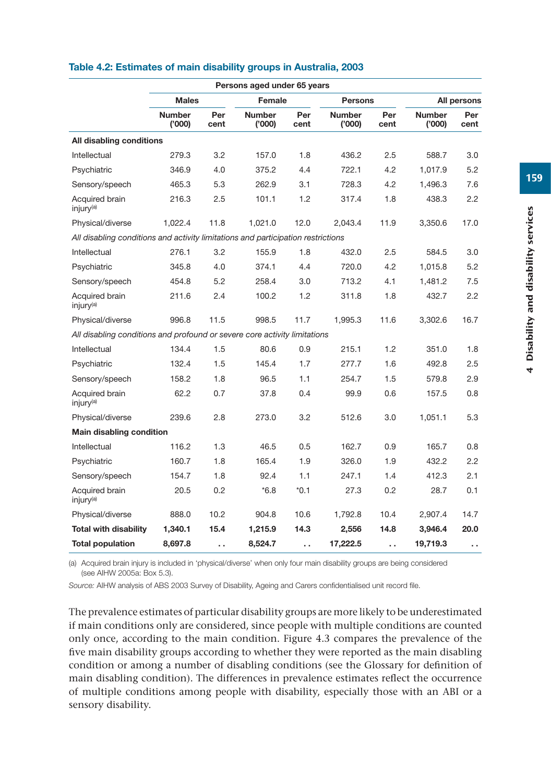|                                                                                  | Persons aged under 65 years |             |                        |             |                        |             |                        |             |  |  |  |
|----------------------------------------------------------------------------------|-----------------------------|-------------|------------------------|-------------|------------------------|-------------|------------------------|-------------|--|--|--|
|                                                                                  | <b>Males</b>                |             | Female                 |             | <b>Persons</b>         |             |                        | All persons |  |  |  |
|                                                                                  | <b>Number</b><br>(000)      | Per<br>cent | <b>Number</b><br>(000) | Per<br>cent | <b>Number</b><br>(000) | Per<br>cent | <b>Number</b><br>(000) | Per<br>cent |  |  |  |
| All disabling conditions                                                         |                             |             |                        |             |                        |             |                        |             |  |  |  |
| Intellectual                                                                     | 279.3                       | 3.2         | 157.0                  | 1.8         | 436.2                  | 2.5         | 588.7                  | 3.0         |  |  |  |
| Psychiatric                                                                      | 346.9                       | 4.0         | 375.2                  | 4.4         | 722.1                  | 4.2         | 1,017.9                | 5.2         |  |  |  |
| Sensory/speech                                                                   | 465.3                       | 5.3         | 262.9                  | 3.1         | 728.3                  | 4.2         | 1,496.3                | 7.6         |  |  |  |
| Acquired brain<br>injury <sup>(a)</sup>                                          | 216.3                       | 2.5         | 101.1                  | 1.2         | 317.4                  | 1.8         | 438.3                  | 2.2         |  |  |  |
| Physical/diverse                                                                 | 1,022.4                     | 11.8        | 1,021.0                | 12.0        | 2,043.4                | 11.9        | 3,350.6                | 17.0        |  |  |  |
| All disabling conditions and activity limitations and participation restrictions |                             |             |                        |             |                        |             |                        |             |  |  |  |
| Intellectual                                                                     | 276.1                       | 3.2         | 155.9                  | 1.8         | 432.0                  | 2.5         | 584.5                  | 3.0         |  |  |  |
| Psychiatric                                                                      | 345.8                       | 4.0         | 374.1                  | 4.4         | 720.0                  | 4.2         | 1.015.8                | 5.2         |  |  |  |
| Sensory/speech                                                                   | 454.8                       | 5.2         | 258.4                  | 3.0         | 713.2                  | 4.1         | 1,481.2                | 7.5         |  |  |  |
| Acquired brain<br>injury <sup>(a)</sup>                                          | 211.6                       | 2.4         | 100.2                  | 1.2         | 311.8                  | 1.8         | 432.7                  | 2.2         |  |  |  |
| Physical/diverse                                                                 | 996.8                       | 11.5        | 998.5                  | 11.7        | 1,995.3                | 11.6        | 3,302.6                | 16.7        |  |  |  |
| All disabling conditions and profound or severe core activity limitations        |                             |             |                        |             |                        |             |                        |             |  |  |  |
| Intellectual                                                                     | 134.4                       | 1.5         | 80.6                   | 0.9         | 215.1                  | 1.2         | 351.0                  | 1.8         |  |  |  |
| Psychiatric                                                                      | 132.4                       | 1.5         | 145.4                  | 1.7         | 277.7                  | 1.6         | 492.8                  | $2.5\,$     |  |  |  |
| Sensory/speech                                                                   | 158.2                       | 1.8         | 96.5                   | 1.1         | 254.7                  | 1.5         | 579.8                  | 2.9         |  |  |  |
| Acquired brain<br>injury <sup>(a)</sup>                                          | 62.2                        | 0.7         | 37.8                   | 0.4         | 99.9                   | 0.6         | 157.5                  | 0.8         |  |  |  |
| Physical/diverse                                                                 | 239.6                       | 2.8         | 273.0                  | 3.2         | 512.6                  | 3.0         | 1,051.1                | 5.3         |  |  |  |
| Main disabling condition                                                         |                             |             |                        |             |                        |             |                        |             |  |  |  |
| Intellectual                                                                     | 116.2                       | 1.3         | 46.5                   | 0.5         | 162.7                  | 0.9         | 165.7                  | 0.8         |  |  |  |
| Psychiatric                                                                      | 160.7                       | 1.8         | 165.4                  | 1.9         | 326.0                  | 1.9         | 432.2                  | 2.2         |  |  |  |
| Sensory/speech                                                                   | 154.7                       | 1.8         | 92.4                   | 1.1         | 247.1                  | 1.4         | 412.3                  | 2.1         |  |  |  |
| Acquired brain<br>injury <sup>(a)</sup>                                          | 20.5                        | 0.2         | $*6.8$                 | $*0.1$      | 27.3                   | 0.2         | 28.7                   | 0.1         |  |  |  |
| Physical/diverse                                                                 | 888.0                       | 10.2        | 904.8                  | 10.6        | 1,792.8                | 10.4        | 2,907.4                | 14.7        |  |  |  |
| <b>Total with disability</b>                                                     | 1,340.1                     | 15.4        | 1,215.9                | 14.3        | 2,556                  | 14.8        | 3,946.4                | 20.0        |  |  |  |
| <b>Total population</b>                                                          | 8,697.8                     | .,          | 8,524.7                | .,          | 17,222.5               | . .         | 19,719.3               | ò,          |  |  |  |

#### **Table 4.2: Estimates of main disability groups in Australia, 2003**

(a) Acquired brain injury is included in 'physical/diverse' when only four main disability groups are being considered (see AIHW 2005a: Box 5.3).

*Source:* AIHW analysis of ABS 2003 Survey of Disability, Ageing and Carers confidentialised unit record file.

The prevalence estimates of particular disability groups are more likely to be underestimated if main conditions only are considered, since people with multiple conditions are counted only once, according to the main condition. Figure 4.3 compares the prevalence of the five main disability groups according to whether they were reported as the main disabling condition or among a number of disabling conditions (see the Glossary for definition of main disabling condition). The differences in prevalence estimates reflect the occurrence of multiple conditions among people with disability, especially those with an ABI or a sensory disability.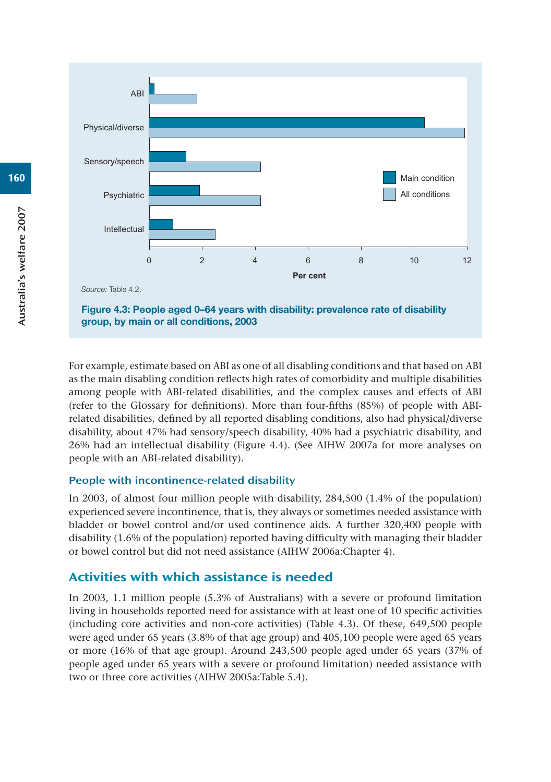

For example, estimate based on ABI as one of all disabling conditions and that based on ABI as the main disabling condition reflects high rates of comorbidity and multiple disabilities among people with ABI-related disabilities, and the complex causes and effects of ABI (refer to the Glossary for definitions). More than four-fifths (85%) of people with ABIrelated disabilities, defined by all reported disabling conditions, also had physical/diverse disability, about 47% had sensory/speech disability, 40% had a psychiatric disability, and 26% had an intellectual disability (Figure 4.4). (See AIHW 2007a for more analyses on people with an ABI-related disability).

#### People with incontinence-related disability

In 2003, of almost four million people with disability, 284,500 (1.4% of the population) experienced severe incontinence, that is, they always or sometimes needed assistance with bladder or bowel control and/or used continence aids. A further 320,400 people with disability (1.6% of the population) reported having difficulty with managing their bladder or bowel control but did not need assistance (AIHW 2006a:Chapter 4).

# Activities with which assistance is needed

In 2003, 1.1 million people (5.3% of Australians) with a severe or profound limitation living in households reported need for assistance with at least one of 10 specific activities (including core activities and non-core activities) (Table 4.3). Of these, 649,500 people were aged under 65 years (3.8% of that age group) and 405,100 people were aged 65 years or more (16% of that age group). Around 243,500 people aged under 65 years (37% of people aged under 65 years with a severe or profound limitation) needed assistance with two or three core activities (AIHW 2005a:Table 5.4).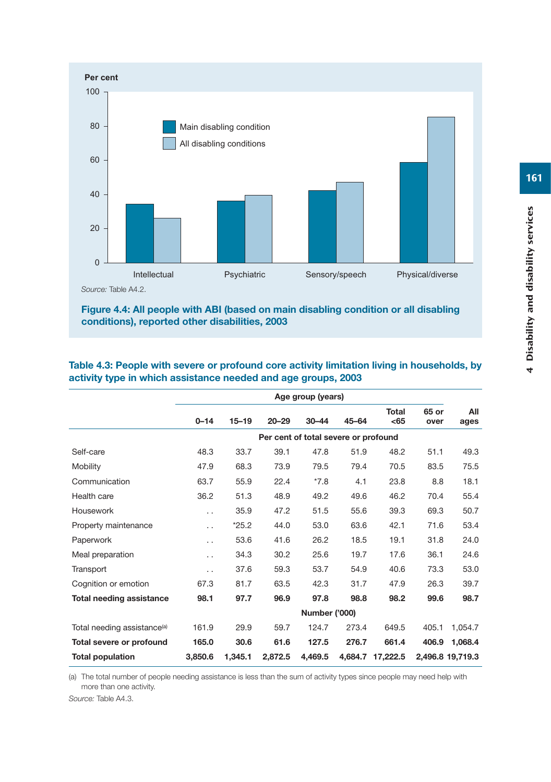

#### **Figure 4.4: All people with ABI (based on main disabling condition or all disabling conditions), reported other disabilities, 2003**

|                                         |                      |           |           | Age group (years)                    |           |                  |               |                  |
|-----------------------------------------|----------------------|-----------|-----------|--------------------------------------|-----------|------------------|---------------|------------------|
|                                         | $0 - 14$             | $15 - 19$ | $20 - 29$ | $30 - 44$                            | $45 - 64$ | Total<br>$65$    | 65 or<br>over | All<br>ages      |
|                                         |                      |           |           | Per cent of total severe or profound |           |                  |               |                  |
| Self-care                               | 48.3                 | 33.7      | 39.1      | 47.8                                 | 51.9      | 48.2             | 51.1          | 49.3             |
| Mobility                                | 47.9                 | 68.3      | 73.9      | 79.5                                 | 79.4      | 70.5             | 83.5          | 75.5             |
| Communication                           | 63.7                 | 55.9      | 22.4      | $*7.8$                               | 4.1       | 23.8             | 8.8           | 18.1             |
| Health care                             | 36.2                 | 51.3      | 48.9      | 49.2                                 | 49.6      | 46.2             | 70.4          | 55.4             |
| Housework                               | $\ddot{\phantom{0}}$ | 35.9      | 47.2      | 51.5                                 | 55.6      | 39.3             | 69.3          | 50.7             |
| Property maintenance                    | $\ddot{\phantom{0}}$ | $*25.2$   | 44.0      | 53.0                                 | 63.6      | 42.1             | 71.6          | 53.4             |
| Paperwork                               | $\cdot$ .            | 53.6      | 41.6      | 26.2                                 | 18.5      | 19.1             | 31.8          | 24.0             |
| Meal preparation                        | $\ddot{\phantom{0}}$ | 34.3      | 30.2      | 25.6                                 | 19.7      | 17.6             | 36.1          | 24.6             |
| Transport                               | $\ddot{\phantom{0}}$ | 37.6      | 59.3      | 53.7                                 | 54.9      | 40.6             | 73.3          | 53.0             |
| Cognition or emotion                    | 67.3                 | 81.7      | 63.5      | 42.3                                 | 31.7      | 47.9             | 26.3          | 39.7             |
| Total needing assistance                | 98.1                 | 97.7      | 96.9      | 97.8                                 | 98.8      | 98.2             | 99.6          | 98.7             |
|                                         |                      |           |           | <b>Number ('000)</b>                 |           |                  |               |                  |
| Total needing assistance <sup>(a)</sup> | 161.9                | 29.9      | 59.7      | 124.7                                | 273.4     | 649.5            | 405.1         | 1,054.7          |
| Total severe or profound                | 165.0                | 30.6      | 61.6      | 127.5                                | 276.7     | 661.4            | 406.9         | 1,068.4          |
| <b>Total population</b>                 | 3,850.6              | 1.345.1   | 2,872.5   | 4.469.5                              |           | 4.684.7 17.222.5 |               | 2.496.8 19.719.3 |

#### **Table 4.3: People with severe or profound core activity limitation living in households, by activity type in which assistance needed and age groups, 2003**

(a) The total number of people needing assistance is less than the sum of activity types since people may need help with more than one activity.

*Source:* Table A4.3.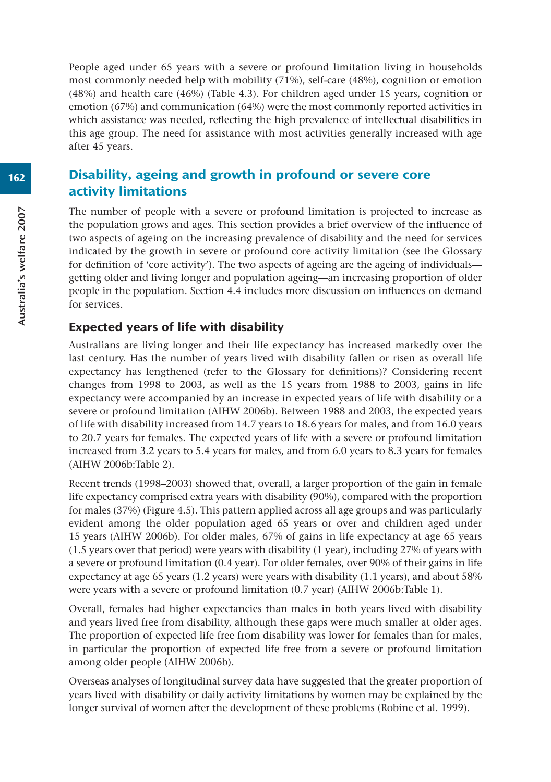People aged under 65 years with a severe or profound limitation living in households most commonly needed help with mobility (71%), self-care (48%), cognition or emotion (48%) and health care (46%) (Table 4.3). For children aged under 15 years, cognition or emotion (67%) and communication (64%) were the most commonly reported activities in which assistance was needed, reflecting the high prevalence of intellectual disabilities in this age group. The need for assistance with most activities generally increased with age after 45 years.

# Disability, ageing and growth in profound or severe core activity limitations

The number of people with a severe or profound limitation is projected to increase as the population grows and ages. This section provides a brief overview of the influence of two aspects of ageing on the increasing prevalence of disability and the need for services indicated by the growth in severe or profound core activity limitation (see the Glossary for definition of 'core activity'). The two aspects of ageing are the ageing of individuals getting older and living longer and population ageing—an increasing proportion of older people in the population. Section 4.4 includes more discussion on influences on demand for services.

## Expected years of life with disability

Australians are living longer and their life expectancy has increased markedly over the last century. Has the number of years lived with disability fallen or risen as overall life expectancy has lengthened (refer to the Glossary for definitions)? Considering recent changes from 1998 to 2003, as well as the 15 years from 1988 to 2003, gains in life expectancy were accompanied by an increase in expected years of life with disability or a severe or profound limitation (AIHW 2006b). Between 1988 and 2003, the expected years of life with disability increased from 14.7 years to 18.6 years for males, and from 16.0 years to 20.7 years for females. The expected years of life with a severe or profound limitation increased from 3.2 years to 5.4 years for males, and from 6.0 years to 8.3 years for females (AIHW 2006b:Table 2).

Recent trends (1998–2003) showed that, overall, a larger proportion of the gain in female life expectancy comprised extra years with disability (90%), compared with the proportion for males (37%) (Figure 4.5). This pattern applied across all age groups and was particularly evident among the older population aged 65 years or over and children aged under 15 years (AIHW 2006b). For older males, 67% of gains in life expectancy at age 65 years (1.5 years over that period) were years with disability (1 year), including 27% of years with a severe or profound limitation (0.4 year). For older females, over 90% of their gains in life expectancy at age 65 years (1.2 years) were years with disability (1.1 years), and about 58% were years with a severe or profound limitation (0.7 year) (AIHW 2006b:Table 1).

Overall, females had higher expectancies than males in both years lived with disability and years lived free from disability, although these gaps were much smaller at older ages. The proportion of expected life free from disability was lower for females than for males, in particular the proportion of expected life free from a severe or profound limitation among older people (AIHW 2006b).

Overseas analyses of longitudinal survey data have suggested that the greater proportion of years lived with disability or daily activity limitations by women may be explained by the longer survival of women after the development of these problems (Robine et al. 1999).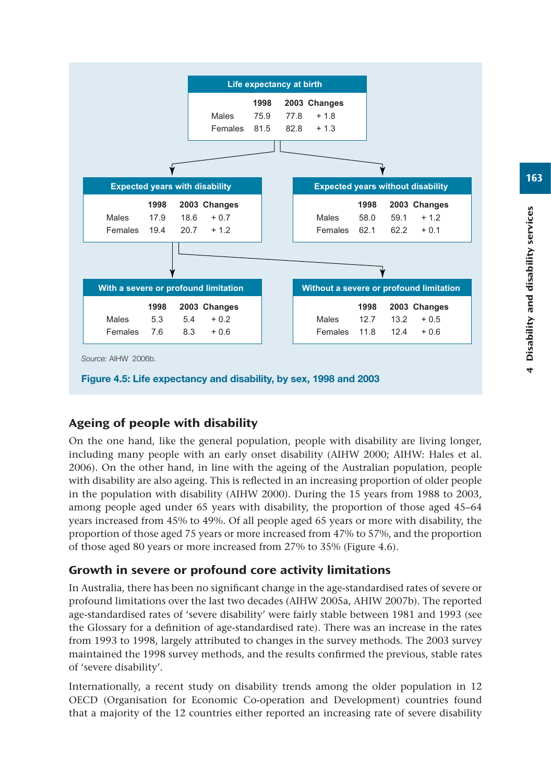

# Ageing of people with disability

On the one hand, like the general population, people with disability are living longer, including many people with an early onset disability (AIHW 2000; AIHW: Hales et al. 2006). On the other hand, in line with the ageing of the Australian population, people with disability are also ageing. This is reflected in an increasing proportion of older people in the population with disability (AIHW 2000). During the 15 years from 1988 to 2003, among people aged under 65 years with disability, the proportion of those aged 45–64 years increased from 45% to 49%. Of all people aged 65 years or more with disability, the proportion of those aged 75 years or more increased from 47% to 57%, and the proportion of those aged 80 years or more increased from 27% to 35% (Figure 4.6).

# Growth in severe or profound core activity limitations

In Australia, there has been no significant change in the age-standardised rates of severe or profound limitations over the last two decades (AIHW 2005a, AHIW 2007b). The reported age-standardised rates of 'severe disability' were fairly stable between 1981 and 1993 (see the Glossary for a definition of age-standardised rate). There was an increase in the rates from 1993 to 1998, largely attributed to changes in the survey methods. The 2003 survey maintained the 1998 survey methods, and the results confirmed the previous, stable rates of 'severe disability'.

Internationally, a recent study on disability trends among the older population in 12 OECD (Organisation for Economic Co-operation and Development) countries found that a majority of the 12 countries either reported an increasing rate of severe disability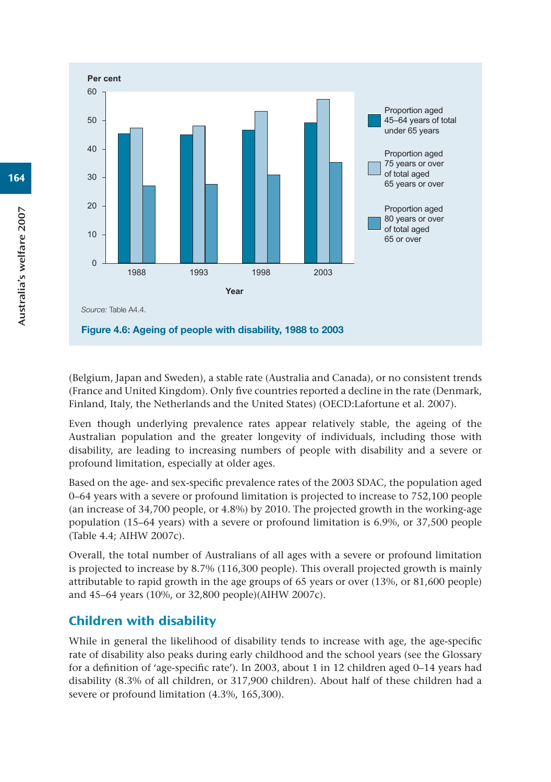

(Belgium, Japan and Sweden), a stable rate (Australia and Canada), or no consistent trends (France and United Kingdom). Only five countries reported a decline in the rate (Denmark, Finland, Italy, the Netherlands and the United States) (OECD:Lafortune et al. 2007).

Even though underlying prevalence rates appear relatively stable, the ageing of the Australian population and the greater longevity of individuals, including those with disability, are leading to increasing numbers of people with disability and a severe or profound limitation, especially at older ages.

Based on the age- and sex-specific prevalence rates of the 2003 SDAC, the population aged 0–64 years with a severe or profound limitation is projected to increase to 752,100 people (an increase of 34,700 people, or 4.8%) by 2010. The projected growth in the working-age population (15–64 years) with a severe or profound limitation is 6.9%, or 37,500 people (Table 4.4; AIHW 2007c).

Overall, the total number of Australians of all ages with a severe or profound limitation is projected to increase by 8.7% (116,300 people). This overall projected growth is mainly attributable to rapid growth in the age groups of 65 years or over (13%, or 81,600 people) and 45–64 years (10%, or 32,800 people)(AIHW 2007c).

# Children with disability

While in general the likelihood of disability tends to increase with age, the age-specific rate of disability also peaks during early childhood and the school years (see the Glossary for a definition of 'age-specific rate'). In 2003, about 1 in 12 children aged 0–14 years had disability (8.3% of all children, or 317,900 children). About half of these children had a severe or profound limitation (4.3%, 165,300).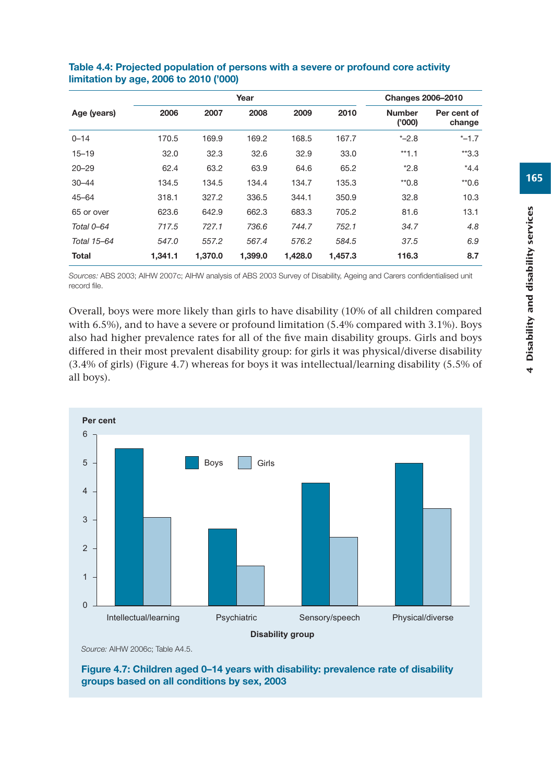|              |         |         |         |         | <b>Changes 2006-2010</b> |                         |                       |
|--------------|---------|---------|---------|---------|--------------------------|-------------------------|-----------------------|
| Age (years)  | 2006    | 2007    | 2008    | 2009    | 2010                     | <b>Number</b><br>('000) | Per cent of<br>change |
| $0 - 14$     | 170.5   | 169.9   | 169.2   | 168.5   | 167.7                    | $* -2.8$                | $* -1.7$              |
| $15 - 19$    | 32.0    | 32.3    | 32.6    | 32.9    | 33.0                     | $*1.1$                  | $*3.3$                |
| $20 - 29$    | 62.4    | 63.2    | 63.9    | 64.6    | 65.2                     | $*2.8$                  | $*4.4$                |
| $30 - 44$    | 134.5   | 134.5   | 134.4   | 134.7   | 135.3                    | $*0.8$                  | $*0.6$                |
| $45 - 64$    | 318.1   | 327.2   | 336.5   | 344.1   | 350.9                    | 32.8                    | 10.3                  |
| 65 or over   | 623.6   | 642.9   | 662.3   | 683.3   | 705.2                    | 81.6                    | 13.1                  |
| Total 0-64   | 717.5   | 727.1   | 736.6   | 744.7   | 752.1                    | 34.7                    | 4.8                   |
| Total 15-64  | 547.0   | 557.2   | 567.4   | 576.2   | 584.5                    | 37.5                    | 6.9                   |
| <b>Total</b> | 1,341.1 | 1,370.0 | 1,399.0 | 1,428.0 | 1,457.3                  | 116.3                   | 8.7                   |

#### **Table 4.4: Projected population of persons with a severe or profound core activity limitation by age, 2006 to 2010 ('000)**

*Sources:* ABS 2003; AIHW 2007c; AIHW analysis of ABS 2003 Survey of Disability, Ageing and Carers confidentialised unit record file.

Overall, boys were more likely than girls to have disability (10% of all children compared with 6.5%), and to have a severe or profound limitation (5.4% compared with 3.1%). Boys also had higher prevalence rates for all of the five main disability groups. Girls and boys differed in their most prevalent disability group: for girls it was physical/diverse disability (3.4% of girls) (Figure 4.7) whereas for boys it was intellectual/learning disability (5.5% of all boys).



*Source:* AIHW 2006c; Table A4.5.

**Figure 4.7: Children aged 0–14 years with disability: prevalence rate of disability groups based on all conditions by sex, 2003**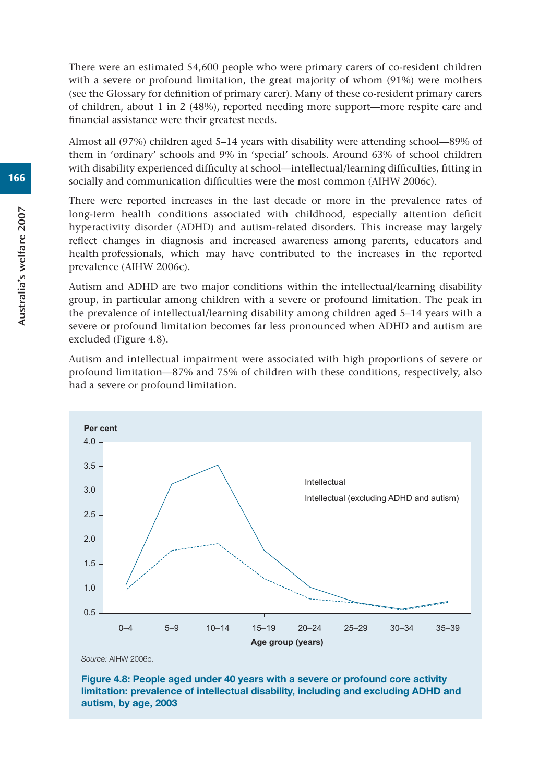There were an estimated 54,600 people who were primary carers of co-resident children with a severe or profound limitation, the great majority of whom (91%) were mothers (see the Glossary for definition of primary carer). Many of these co-resident primary carers of children, about 1 in 2 (48%), reported needing more support—more respite care and financial assistance were their greatest needs.

Almost all (97%) children aged 5–14 years with disability were attending school—89% of them in 'ordinary' schools and 9% in 'special' schools. Around 63% of school children with disability experienced difficulty at school—intellectual/learning difficulties, fitting in socially and communication difficulties were the most common (AIHW 2006c).

There were reported increases in the last decade or more in the prevalence rates of long-term health conditions associated with childhood, especially attention deficit hyperactivity disorder (ADHD) and autism-related disorders. This increase may largely reflect changes in diagnosis and increased awareness among parents, educators and health professionals, which may have contributed to the increases in the reported prevalence (AIHW 2006c).

Autism and ADHD are two major conditions within the intellectual/learning disability group, in particular among children with a severe or profound limitation. The peak in the prevalence of intellectual/learning disability among children aged 5–14 years with a severe or profound limitation becomes far less pronounced when ADHD and autism are excluded (Figure 4.8).

Autism and intellectual impairment were associated with high proportions of severe or profound limitation—87% and 75% of children with these conditions, respectively, also had a severe or profound limitation.



**Figure 4.8: People aged under 40 years with a severe or profound core activity limitation: prevalence of intellectual disability, including and excluding ADHD and autism, by age, 2003**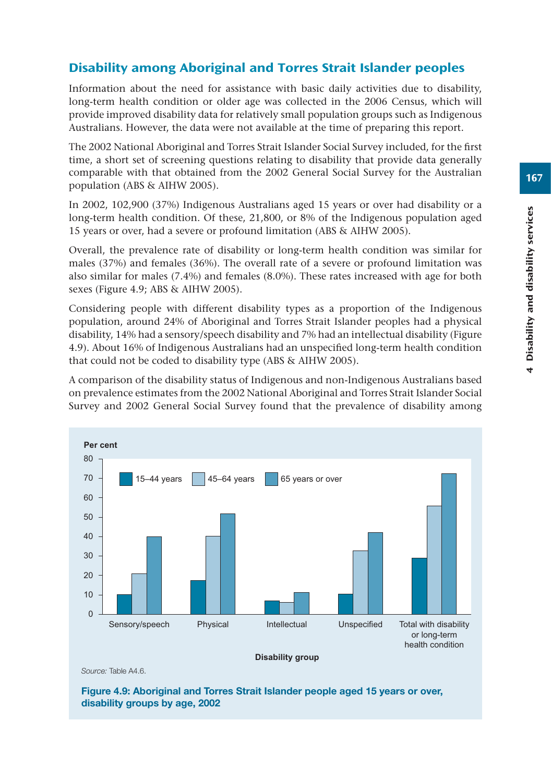# Disability among Aboriginal and Torres Strait Islander peoples

Information about the need for assistance with basic daily activities due to disability, long-term health condition or older age was collected in the 2006 Census, which will provide improved disability data for relatively small population groups such as Indigenous Australians. However, the data were not available at the time of preparing this report.

The 2002 National Aboriginal and Torres Strait Islander Social Survey included, for the first time, a short set of screening questions relating to disability that provide data generally comparable with that obtained from the 2002 General Social Survey for the Australian population (ABS & AIHW 2005).

In 2002, 102,900 (37%) Indigenous Australians aged 15 years or over had disability or a long-term health condition. Of these, 21,800, or 8% of the Indigenous population aged 15 years or over, had a severe or profound limitation (ABS & AIHW 2005).

Overall, the prevalence rate of disability or long-term health condition was similar for males (37%) and females (36%). The overall rate of a severe or profound limitation was also similar for males (7.4%) and females (8.0%). These rates increased with age for both sexes (Figure 4.9; ABS & AIHW 2005).

Considering people with different disability types as a proportion of the Indigenous population, around 24% of Aboriginal and Torres Strait Islander peoples had a physical disability, 14% had a sensory/speech disability and 7% had an intellectual disability (Figure 4.9). About 16% of Indigenous Australians had an unspecified long-term health condition that could not be coded to disability type (ABS & AIHW 2005).

A comparison of the disability status of Indigenous and non-Indigenous Australians based on prevalence estimates from the 2002 National Aboriginal and Torres Strait Islander Social Survey and 2002 General Social Survey found that the prevalence of disability among



*Source:* Table A4.6.

**Figure 4.9: Aboriginal and Torres Strait Islander people aged 15 years or over, disability groups by age, 2002**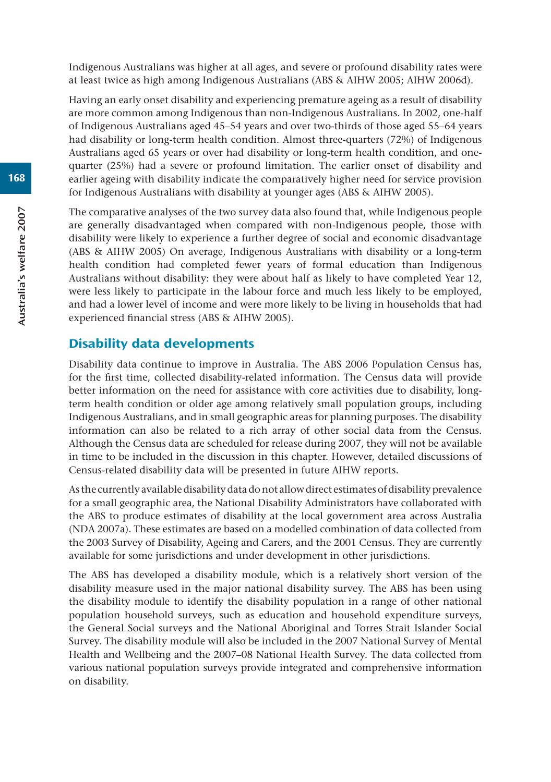Indigenous Australians was higher at all ages, and severe or profound disability rates were at least twice as high among Indigenous Australians (ABS & AIHW 2005; AIHW 2006d).

Having an early onset disability and experiencing premature ageing as a result of disability are more common among Indigenous than non-Indigenous Australians. In 2002, one-half of Indigenous Australians aged 45–54 years and over two-thirds of those aged 55–64 years had disability or long-term health condition. Almost three-quarters (72%) of Indigenous Australians aged 65 years or over had disability or long-term health condition, and onequarter (25%) had a severe or profound limitation. The earlier onset of disability and earlier ageing with disability indicate the comparatively higher need for service provision for Indigenous Australians with disability at younger ages (ABS & AIHW 2005).

The comparative analyses of the two survey data also found that, while Indigenous people are generally disadvantaged when compared with non-Indigenous people, those with disability were likely to experience a further degree of social and economic disadvantage (ABS & AIHW 2005) On average, Indigenous Australians with disability or a long-term health condition had completed fewer years of formal education than Indigenous Australians without disability: they were about half as likely to have completed Year 12, were less likely to participate in the labour force and much less likely to be employed, and had a lower level of income and were more likely to be living in households that had experienced financial stress (ABS & AIHW 2005).

# Disability data developments

Disability data continue to improve in Australia. The ABS 2006 Population Census has, for the first time, collected disability-related information. The Census data will provide better information on the need for assistance with core activities due to disability, longterm health condition or older age among relatively small population groups, including Indigenous Australians, and in small geographic areas for planning purposes. The disability information can also be related to a rich array of other social data from the Census. Although the Census data are scheduled for release during 2007, they will not be available in time to be included in the discussion in this chapter. However, detailed discussions of Census-related disability data will be presented in future AIHW reports.

As the currently available disability data do not allow direct estimates of disability prevalence for a small geographic area, the National Disability Administrators have collaborated with the ABS to produce estimates of disability at the local government area across Australia (NDA 2007a). These estimates are based on a modelled combination of data collected from the 2003 Survey of Disability, Ageing and Carers, and the 2001 Census. They are currently available for some jurisdictions and under development in other jurisdictions.

The ABS has developed a disability module, which is a relatively short version of the disability measure used in the major national disability survey. The ABS has been using the disability module to identify the disability population in a range of other national population household surveys, such as education and household expenditure surveys, the General Social surveys and the National Aboriginal and Torres Strait Islander Social Survey. The disability module will also be included in the 2007 National Survey of Mental Health and Wellbeing and the 2007–08 National Health Survey. The data collected from various national population surveys provide integrated and comprehensive information on disability.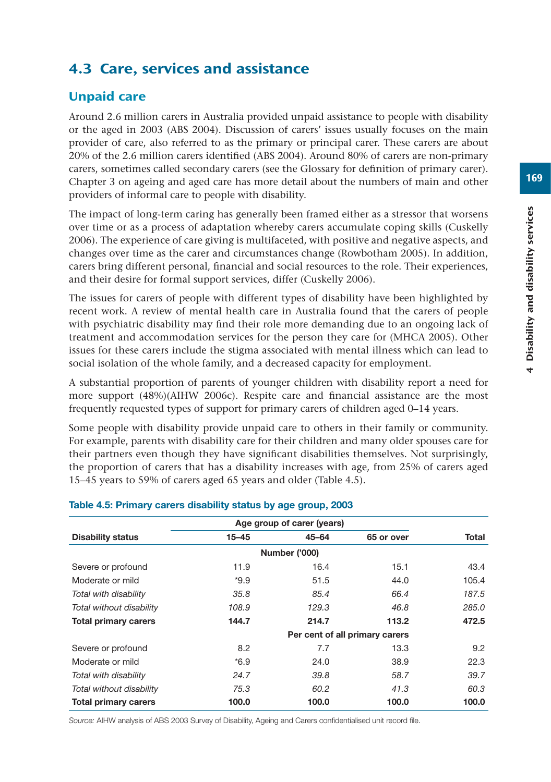# 4.3 Care, services and assistance

# Unpaid care

Around 2.6 million carers in Australia provided unpaid assistance to people with disability or the aged in 2003 (ABS 2004). Discussion of carers' issues usually focuses on the main provider of care, also referred to as the primary or principal carer. These carers are about 20% of the 2.6 million carers identified (ABS 2004). Around 80% of carers are non-primary carers, sometimes called secondary carers (see the Glossary for definition of primary carer). Chapter 3 on ageing and aged care has more detail about the numbers of main and other providers of informal care to people with disability.

The impact of long-term caring has generally been framed either as a stressor that worsens over time or as a process of adaptation whereby carers accumulate coping skills (Cuskelly 2006). The experience of care giving is multifaceted, with positive and negative aspects, and changes over time as the carer and circumstances change (Rowbotham 2005). In addition, carers bring different personal, financial and social resources to the role. Their experiences, and their desire for formal support services, differ (Cuskelly 2006).

The issues for carers of people with different types of disability have been highlighted by recent work. A review of mental health care in Australia found that the carers of people with psychiatric disability may find their role more demanding due to an ongoing lack of treatment and accommodation services for the person they care for (MHCA 2005). Other issues for these carers include the stigma associated with mental illness which can lead to social isolation of the whole family, and a decreased capacity for employment.

A substantial proportion of parents of younger children with disability report a need for more support (48%)(AIHW 2006c). Respite care and financial assistance are the most frequently requested types of support for primary carers of children aged 0–14 years.

Some people with disability provide unpaid care to others in their family or community. For example, parents with disability care for their children and many older spouses care for their partners even though they have significant disabilities themselves. Not surprisingly, the proportion of carers that has a disability increases with age, from 25% of carers aged 15–45 years to 59% of carers aged 65 years and older (Table 4.5).

| Age group of carer (years)  |           |                      |                                |       |  |  |  |  |  |  |
|-----------------------------|-----------|----------------------|--------------------------------|-------|--|--|--|--|--|--|
| <b>Disability status</b>    | $15 - 45$ | $45 - 64$            | 65 or over                     | Total |  |  |  |  |  |  |
|                             |           | <b>Number ('000)</b> |                                |       |  |  |  |  |  |  |
| Severe or profound          | 11.9      | 16.4                 | 15.1                           | 43.4  |  |  |  |  |  |  |
| Moderate or mild            | $*9.9$    | 51.5                 | 44.0                           | 105.4 |  |  |  |  |  |  |
| Total with disability       | 35.8      | 85.4                 | 66.4                           | 187.5 |  |  |  |  |  |  |
| Total without disability    | 108.9     | 129.3                | 46.8                           | 285.0 |  |  |  |  |  |  |
| <b>Total primary carers</b> | 144.7     | 214.7                | 113.2                          | 472.5 |  |  |  |  |  |  |
|                             |           |                      | Per cent of all primary carers |       |  |  |  |  |  |  |
| Severe or profound          | 8.2       | 7.7                  | 13.3                           | 9.2   |  |  |  |  |  |  |
| Moderate or mild            | $*6.9$    | 24.0                 | 38.9                           | 22.3  |  |  |  |  |  |  |
| Total with disability       | 24.7      | 39.8                 | 58.7                           | 39.7  |  |  |  |  |  |  |
| Total without disability    | 75.3      | 60.2                 | 41.3                           | 60.3  |  |  |  |  |  |  |
| <b>Total primary carers</b> | 100.0     | 100.0                | 100.0                          | 100.0 |  |  |  |  |  |  |

#### **Table 4.5: Primary carers disability status by age group, 2003**

*Source:* AIHW analysis of ABS 2003 Survey of Disability, Ageing and Carers confidentialised unit record file.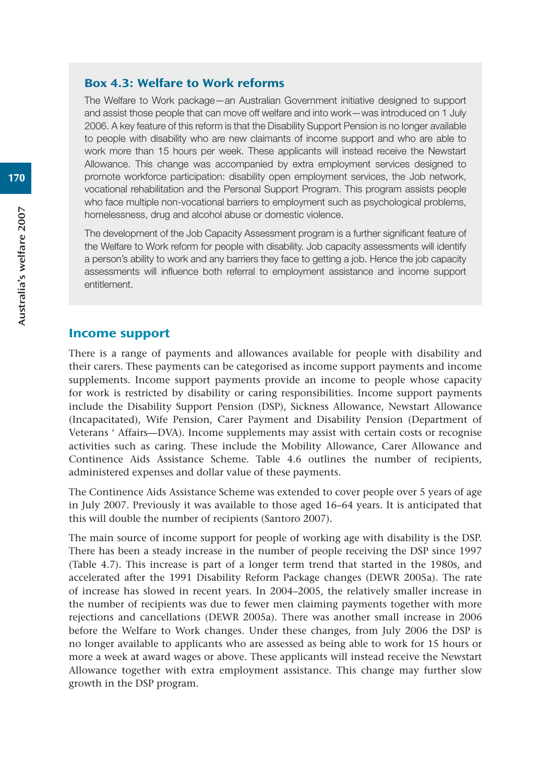#### Box 4.3: Welfare to Work reforms

The Welfare to Work package—an Australian Government initiative designed to support and assist those people that can move off welfare and into work—was introduced on 1 July 2006. A key feature of this reform is that the Disability Support Pension is no longer available to people with disability who are new claimants of income support and who are able to work more than 15 hours per week. These applicants will instead receive the Newstart Allowance. This change was accompanied by extra employment services designed to promote workforce participation: disability open employment services, the Job network, vocational rehabilitation and the Personal Support Program. This program assists people who face multiple non-vocational barriers to employment such as psychological problems, homelessness, drug and alcohol abuse or domestic violence.

The development of the Job Capacity Assessment program is a further significant feature of the Welfare to Work reform for people with disability. Job capacity assessments will identify a person's ability to work and any barriers they face to getting a job. Hence the job capacity assessments will influence both referral to employment assistance and income support entitlement.

#### Income support

There is a range of payments and allowances available for people with disability and their carers. These payments can be categorised as income support payments and income supplements. Income support payments provide an income to people whose capacity for work is restricted by disability or caring responsibilities. Income support payments include the Disability Support Pension (DSP), Sickness Allowance, Newstart Allowance (Incapacitated), Wife Pension, Carer Payment and Disability Pension (Department of Veterans ' Affairs—DVA). Income supplements may assist with certain costs or recognise activities such as caring. These include the Mobility Allowance, Carer Allowance and Continence Aids Assistance Scheme. Table 4.6 outlines the number of recipients, administered expenses and dollar value of these payments.

The Continence Aids Assistance Scheme was extended to cover people over 5 years of age in July 2007. Previously it was available to those aged 16–64 years. It is anticipated that this will double the number of recipients (Santoro 2007).

The main source of income support for people of working age with disability is the DSP. There has been a steady increase in the number of people receiving the DSP since 1997 (Table 4.7). This increase is part of a longer term trend that started in the 1980s, and accelerated after the 1991 Disability Reform Package changes (DEWR 2005a). The rate of increase has slowed in recent years. In 2004–2005, the relatively smaller increase in the number of recipients was due to fewer men claiming payments together with more rejections and cancellations (DEWR 2005a). There was another small increase in 2006 before the Welfare to Work changes. Under these changes, from July 2006 the DSP is no longer available to applicants who are assessed as being able to work for 15 hours or more a week at award wages or above. These applicants will instead receive the Newstart Allowance together with extra employment assistance. This change may further slow growth in the DSP program.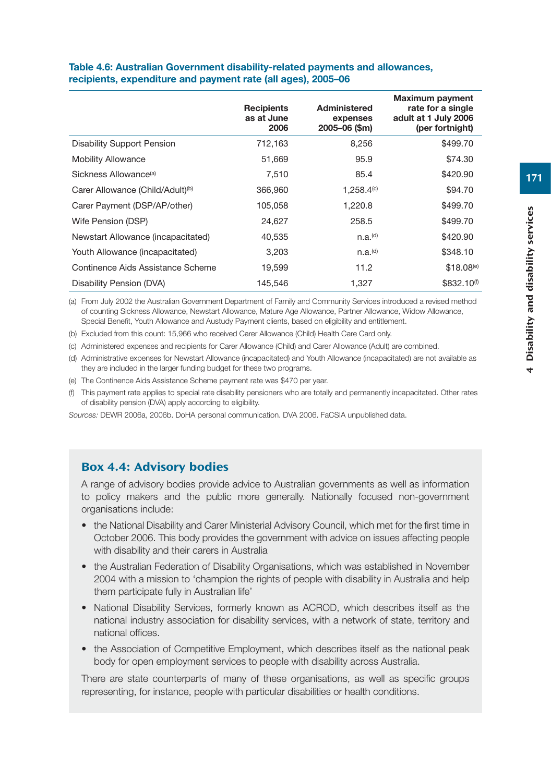|                                              | <b>Recipients</b><br>as at June<br>2006 | Administered<br>expenses<br>2005-06 (\$m) | <b>Maximum payment</b><br>rate for a single<br>adult at 1 July 2006<br>(per fortnight) |
|----------------------------------------------|-----------------------------------------|-------------------------------------------|----------------------------------------------------------------------------------------|
| <b>Disability Support Pension</b>            | 712,163                                 | 8,256                                     | \$499.70                                                                               |
| <b>Mobility Allowance</b>                    | 51.669                                  | 95.9                                      | \$74.30                                                                                |
| Sickness Allowance <sup>(a)</sup>            | 7,510                                   | 85.4                                      | \$420.90                                                                               |
| Carer Allowance (Child/Adult) <sup>(b)</sup> | 366,960                                 | $1.258,4^{(c)}$                           | \$94.70                                                                                |
| Carer Payment (DSP/AP/other)                 | 105,058                                 | 1,220.8                                   | \$499.70                                                                               |
| Wife Pension (DSP)                           | 24,627                                  | 258.5                                     | \$499.70                                                                               |
| Newstart Allowance (incapacitated)           | 40,535                                  | n.a.(d)                                   | \$420.90                                                                               |
| Youth Allowance (incapacitated)              | 3,203                                   | n.a.(d)                                   | \$348.10                                                                               |
| Continence Aids Assistance Scheme            | 19,599                                  | 11.2                                      | \$18.08 <sup>(e)</sup>                                                                 |
| Disability Pension (DVA)                     | 145,546                                 | 1,327                                     | \$832.10 <sup>(f)</sup>                                                                |

#### **Table 4.6: Australian Government disability-related payments and allowances, recipients, expenditure and payment rate (all ages), 2005–06**

(a) From July 2002 the Australian Government Department of Family and Community Services introduced a revised method of counting Sickness Allowance, Newstart Allowance, Mature Age Allowance, Partner Allowance, Widow Allowance, Special Benefit, Youth Allowance and Austudy Payment clients, based on eligibility and entitlement.

(b) Excluded from this count: 15,966 who received Carer Allowance (Child) Health Care Card only.

(c) Administered expenses and recipients for Carer Allowance (Child) and Carer Allowance (Adult) are combined.

(d) Administrative expenses for Newstart Allowance (incapacitated) and Youth Allowance (incapacitated) are not available as they are included in the larger funding budget for these two programs.

(e) The Continence Aids Assistance Scheme payment rate was \$470 per year.

(f) This payment rate applies to special rate disability pensioners who are totally and permanently incapacitated. Other rates of disability pension (DVA) apply according to eligibility.

*Sources:* DEWR 2006a, 2006b. DoHA personal communication. DVA 2006. FaCSIA unpublished data.

#### Box 4.4: Advisory bodies

A range of advisory bodies provide advice to Australian governments as well as information to policy makers and the public more generally. Nationally focused non-government organisations include:

- the National Disability and Carer Ministerial Advisory Council, which met for the first time in October 2006. This body provides the government with advice on issues affecting people with disability and their carers in Australia
- the Australian Federation of Disability Organisations, which was established in November 2004 with a mission to 'champion the rights of people with disability in Australia and help them participate fully in Australian life'
- National Disability Services, formerly known as ACROD, which describes itself as the national industry association for disability services, with a network of state, territory and national offices.
- the Association of Competitive Employment, which describes itself as the national peak body for open employment services to people with disability across Australia.

There are state counterparts of many of these organisations, as well as specific groups representing, for instance, people with particular disabilities or health conditions.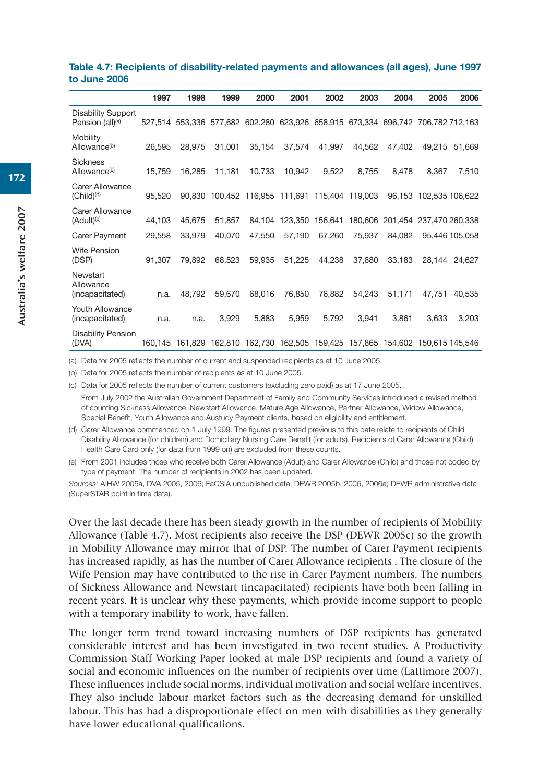|                                                           | 1997   | 1998                                                                            | 1999   | 2000                                           | 2001    | 2002    | 2003   | 2004                            | 2005                   | 2006           |
|-----------------------------------------------------------|--------|---------------------------------------------------------------------------------|--------|------------------------------------------------|---------|---------|--------|---------------------------------|------------------------|----------------|
| <b>Disability Support</b><br>Pension (all) <sup>(a)</sup> |        | 527,514 553,336 577,682 602,280 623,926 658,915 673,334 696,742 706,782 712,163 |        |                                                |         |         |        |                                 |                        |                |
| Mobility<br>Allowance <sup>(b)</sup>                      | 26,595 | 28,975                                                                          | 31,001 | 35,154                                         | 37,574  | 41,997  | 44,562 | 47,402                          | 49,215                 | 51.669         |
| <b>Sickness</b><br>Allowance <sup>(c)</sup>               | 15,759 | 16,285                                                                          | 11,181 | 10,733                                         | 10,942  | 9,522   | 8,755  | 8,478                           | 8.367                  | 7,510          |
| Carer Allowance<br>$(Child)^{(d)}$                        | 95,520 |                                                                                 |        | 90,830 100,452 116,955 111,691 115,404 119,003 |         |         |        |                                 | 96,153 102,535 106,622 |                |
| Carer Allowance<br>(Adult) <sup>(e)</sup>                 | 44,103 | 45,675                                                                          | 51,857 | 84,104                                         | 123,350 | 156,641 |        | 180,606 201,454 237,470 260,338 |                        |                |
| <b>Carer Payment</b>                                      | 29,558 | 33.979                                                                          | 40,070 | 47,550                                         | 57,190  | 67.260  | 75.937 | 84.082                          |                        | 95.446 105.058 |
| <b>Wife Pension</b><br>(DSP)                              | 91.307 | 79.892                                                                          | 68.523 | 59.935                                         | 51.225  | 44.238  | 37,880 | 33.183                          | 28.144                 | 24.627         |
| Newstart<br>Allowance<br>(incapacitated)                  | n.a.   | 48,792                                                                          | 59,670 | 68,016                                         | 76,850  | 76,882  | 54,243 | 51,171                          | 47,751                 | 40,535         |
| <b>Youth Allowance</b><br>(incapacitated)                 | n.a.   | n.a.                                                                            | 3,929  | 5,883                                          | 5,959   | 5,792   | 3,941  | 3,861                           | 3,633                  | 3,203          |
| <b>Disability Pension</b><br>(DVA)                        |        | 160,145 161,829 162,810 162,730 162,505 159,425 157,865 154,602 150,615 145,546 |        |                                                |         |         |        |                                 |                        |                |

#### **Table 4.7: Recipients of disability-related payments and allowances (all ages), June 1997 to June 2006**

(a) Data for 2005 reflects the number of current and suspended recipients as at 10 June 2005.

(b) Data for 2005 reflects the number of recipients as at 10 June 2005.

(c) Data for 2005 reflects the number of current customers (excluding zero paid) as at 17 June 2005. From July 2002 the Australian Government Department of Family and Community Services introduced a revised method of counting Sickness Allowance, Newstart Allowance, Mature Age Allowance, Partner Allowance, Widow Allowance, Special Benefit, Youth Allowance and Austudy Payment clients, based on eligibility and entitlement.

(d) Carer Allowance commenced on 1 July 1999. The figures presented previous to this date relate to recipients of Child Disability Allowance (for children) and Domiciliary Nursing Care Benefit (for adults). Recipients of Carer Allowance (Child) Health Care Card only (for data from 1999 on) are excluded from these counts.

(e) From 2001 includes those who receive both Carer Allowance (Adult) and Carer Allowance (Child) and those not coded by type of payment. The number of recipients in 2002 has been updated.

*Sources:* AIHW 2005a, DVA 2005, 2006; FaCSIA unpublished data; DEWR 2005b, 2006, 2006a; DEWR administrative data (SuperSTAR point in time data).

Over the last decade there has been steady growth in the number of recipients of Mobility Allowance (Table 4.7). Most recipients also receive the DSP (DEWR 2005c) so the growth in Mobility Allowance may mirror that of DSP. The number of Carer Payment recipients has increased rapidly, as has the number of Carer Allowance recipients . The closure of the Wife Pension may have contributed to the rise in Carer Payment numbers. The numbers of Sickness Allowance and Newstart (incapacitated) recipients have both been falling in recent years. It is unclear why these payments, which provide income support to people with a temporary inability to work, have fallen.

The longer term trend toward increasing numbers of DSP recipients has generated considerable interest and has been investigated in two recent studies. A Productivity Commission Staff Working Paper looked at male DSP recipients and found a variety of social and economic influences on the number of recipients over time (Lattimore 2007). These influences include social norms, individual motivation and social welfare incentives. They also include labour market factors such as the decreasing demand for unskilled labour. This has had a disproportionate effect on men with disabilities as they generally have lower educational qualifications.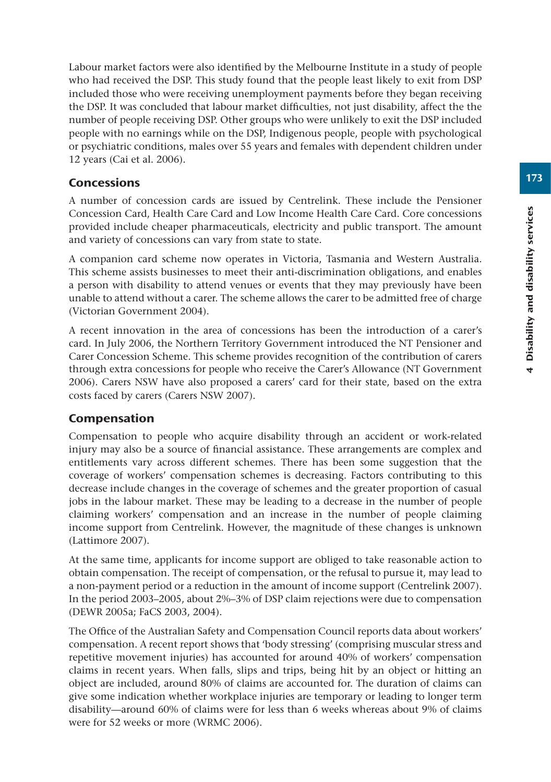Labour market factors were also identified by the Melbourne Institute in a study of people who had received the DSP. This study found that the people least likely to exit from DSP included those who were receiving unemployment payments before they began receiving the DSP. It was concluded that labour market difficulties, not just disability, affect the the number of people receiving DSP. Other groups who were unlikely to exit the DSP included people with no earnings while on the DSP, Indigenous people, people with psychological or psychiatric conditions, males over 55 years and females with dependent children under 12 years (Cai et al. 2006).

# **Concessions**

A number of concession cards are issued by Centrelink. These include the Pensioner Concession Card, Health Care Card and Low Income Health Care Card. Core concessions provided include cheaper pharmaceuticals, electricity and public transport. The amount and variety of concessions can vary from state to state.

A companion card scheme now operates in Victoria, Tasmania and Western Australia. This scheme assists businesses to meet their anti-discrimination obligations, and enables a person with disability to attend venues or events that they may previously have been unable to attend without a carer. The scheme allows the carer to be admitted free of charge (Victorian Government 2004).

A recent innovation in the area of concessions has been the introduction of a carer's card. In July 2006, the Northern Territory Government introduced the NT Pensioner and Carer Concession Scheme. This scheme provides recognition of the contribution of carers through extra concessions for people who receive the Carer's Allowance (NT Government 2006). Carers NSW have also proposed a carers' card for their state, based on the extra costs faced by carers (Carers NSW 2007).

# Compensation

Compensation to people who acquire disability through an accident or work-related injury may also be a source of financial assistance. These arrangements are complex and entitlements vary across different schemes. There has been some suggestion that the coverage of workers' compensation schemes is decreasing. Factors contributing to this decrease include changes in the coverage of schemes and the greater proportion of casual jobs in the labour market. These may be leading to a decrease in the number of people claiming workers' compensation and an increase in the number of people claiming income support from Centrelink. However, the magnitude of these changes is unknown (Lattimore 2007).

At the same time, applicants for income support are obliged to take reasonable action to obtain compensation. The receipt of compensation, or the refusal to pursue it, may lead to a non-payment period or a reduction in the amount of income support (Centrelink 2007). In the period 2003–2005, about 2%–3% of DSP claim rejections were due to compensation (DEWR 2005a; FaCS 2003, 2004).

The Office of the Australian Safety and Compensation Council reports data about workers' compensation. A recent report shows that 'body stressing' (comprising muscular stress and repetitive movement injuries) has accounted for around 40% of workers' compensation claims in recent years. When falls, slips and trips, being hit by an object or hitting an object are included, around 80% of claims are accounted for. The duration of claims can give some indication whether workplace injuries are temporary or leading to longer term disability—around 60% of claims were for less than 6 weeks whereas about 9% of claims were for 52 weeks or more (WRMC 2006).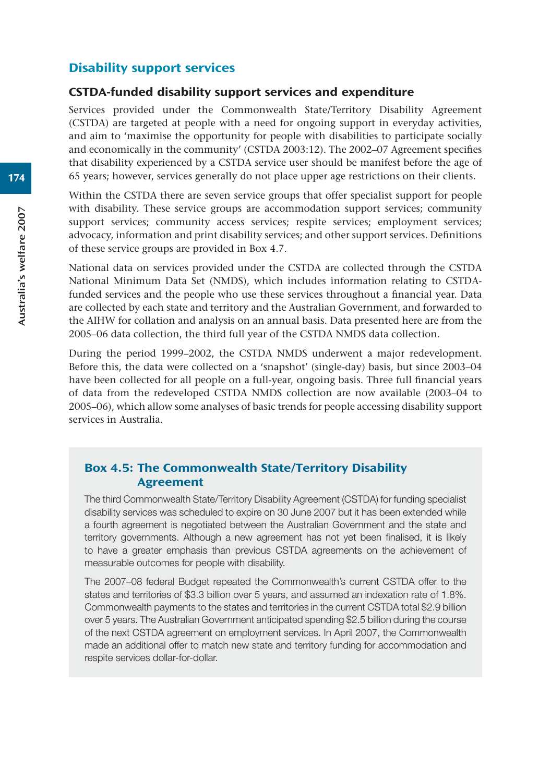# Disability support services

#### CSTDA-funded disability support services and expenditure

Services provided under the Commonwealth State/Territory Disability Agreement (CSTDA) are targeted at people with a need for ongoing support in everyday activities, and aim to 'maximise the opportunity for people with disabilities to participate socially and economically in the community' (CSTDA 2003:12). The 2002–07 Agreement specifies that disability experienced by a CSTDA service user should be manifest before the age of 65 years; however, services generally do not place upper age restrictions on their clients.

Within the CSTDA there are seven service groups that offer specialist support for people with disability. These service groups are accommodation support services; community support services; community access services; respite services; employment services; advocacy, information and print disability services; and other support services. Definitions of these service groups are provided in Box 4.7.

National data on services provided under the CSTDA are collected through the CSTDA National Minimum Data Set (NMDS), which includes information relating to CSTDAfunded services and the people who use these services throughout a financial year. Data are collected by each state and territory and the Australian Government, and forwarded to the AIHW for collation and analysis on an annual basis. Data presented here are from the 2005–06 data collection, the third full year of the CSTDA NMDS data collection.

During the period 1999–2002, the CSTDA NMDS underwent a major redevelopment. Before this, the data were collected on a 'snapshot' (single-day) basis, but since 2003–04 have been collected for all people on a full-year, ongoing basis. Three full financial years of data from the redeveloped CSTDA NMDS collection are now available (2003–04 to 2005–06), which allow some analyses of basic trends for people accessing disability support services in Australia.

# Box 4.5: The Commonwealth State/Territory Disability Agreement

The third Commonwealth State/Territory Disability Agreement (CSTDA) for funding specialist disability services was scheduled to expire on 30 June 2007 but it has been extended while a fourth agreement is negotiated between the Australian Government and the state and territory governments. Although a new agreement has not yet been finalised, it is likely to have a greater emphasis than previous CSTDA agreements on the achievement of measurable outcomes for people with disability.

The 2007–08 federal Budget repeated the Commonwealth's current CSTDA offer to the states and territories of \$3.3 billion over 5 years, and assumed an indexation rate of 1.8%. Commonwealth payments to the states and territories in the current CSTDA total \$2.9 billion over 5 years. The Australian Government anticipated spending \$2.5 billion during the course of the next CSTDA agreement on employment services. In April 2007, the Commonwealth made an additional offer to match new state and territory funding for accommodation and respite services dollar-for-dollar.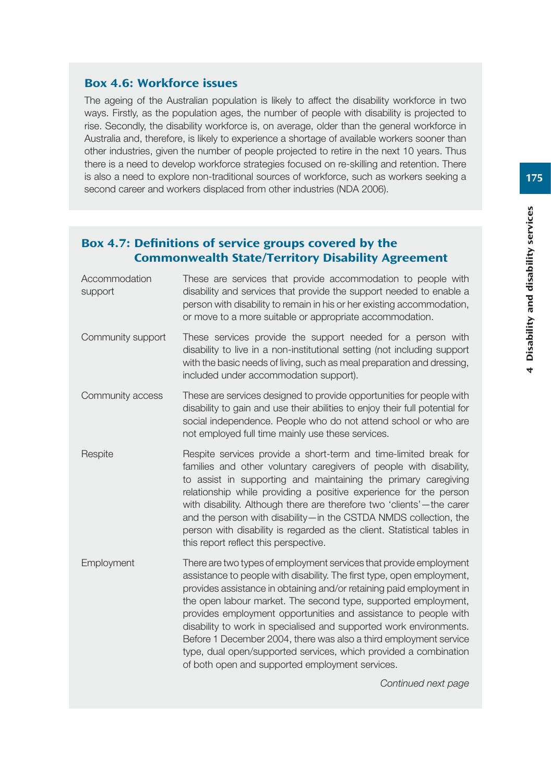## Box 4.6: Workforce issues

The ageing of the Australian population is likely to affect the disability workforce in two ways. Firstly, as the population ages, the number of people with disability is projected to rise. Secondly, the disability workforce is, on average, older than the general workforce in Australia and, therefore, is likely to experience a shortage of available workers sooner than other industries, given the number of people projected to retire in the next 10 years. Thus there is a need to develop workforce strategies focused on re-skilling and retention. There is also a need to explore non-traditional sources of workforce, such as workers seeking a second career and workers displaced from other industries (NDA 2006).

# Box 4.7: Definitions of service groups covered by the Commonwealth State/Territory Disability Agreement

| Accommodation<br>support | These are services that provide accommodation to people with<br>disability and services that provide the support needed to enable a<br>person with disability to remain in his or her existing accommodation,<br>or move to a more suitable or appropriate accommodation.                                                                                                                                                                                                                                                                                                                                                   |
|--------------------------|-----------------------------------------------------------------------------------------------------------------------------------------------------------------------------------------------------------------------------------------------------------------------------------------------------------------------------------------------------------------------------------------------------------------------------------------------------------------------------------------------------------------------------------------------------------------------------------------------------------------------------|
| Community support        | These services provide the support needed for a person with<br>disability to live in a non-institutional setting (not including support<br>with the basic needs of living, such as meal preparation and dressing,<br>included under accommodation support).                                                                                                                                                                                                                                                                                                                                                                 |
| Community access         | These are services designed to provide opportunities for people with<br>disability to gain and use their abilities to enjoy their full potential for<br>social independence. People who do not attend school or who are<br>not employed full time mainly use these services.                                                                                                                                                                                                                                                                                                                                                |
| Respite                  | Respite services provide a short-term and time-limited break for<br>families and other voluntary caregivers of people with disability,<br>to assist in supporting and maintaining the primary caregiving<br>relationship while providing a positive experience for the person<br>with disability. Although there are therefore two 'clients'—the carer<br>and the person with disability-in the CSTDA NMDS collection, the<br>person with disability is regarded as the client. Statistical tables in<br>this report reflect this perspective.                                                                              |
| Employment               | There are two types of employment services that provide employment<br>assistance to people with disability. The first type, open employment,<br>provides assistance in obtaining and/or retaining paid employment in<br>the open labour market. The second type, supported employment,<br>provides employment opportunities and assistance to people with<br>disability to work in specialised and supported work environments.<br>Before 1 December 2004, there was also a third employment service<br>type, dual open/supported services, which provided a combination<br>of both open and supported employment services. |
|                          | Continued next page                                                                                                                                                                                                                                                                                                                                                                                                                                                                                                                                                                                                         |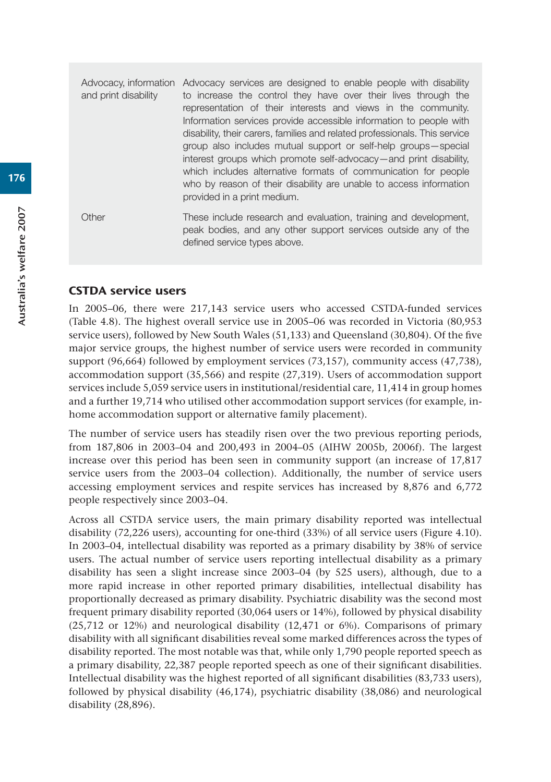Advocacy, information Advocacy services are designed to enable people with disability and print disability to increase the control they have over their lives through the representation of their interests and views in the community. Information services provide accessible information to people with disability, their carers, families and related professionals. This service group also includes mutual support or self-help groups—special interest groups which promote self-advocacy—and print disability, which includes alternative formats of communication for people who by reason of their disability are unable to access information provided in a print medium.

Other These include research and evaluation, training and development, peak bodies, and any other support services outside any of the defined service types above.

#### CSTDA service users

In 2005–06, there were 217,143 service users who accessed CSTDA-funded services (Table 4.8). The highest overall service use in 2005–06 was recorded in Victoria (80,953 service users), followed by New South Wales (51,133) and Queensland (30,804). Of the five major service groups, the highest number of service users were recorded in community support (96,664) followed by employment services (73,157), community access (47,738), accommodation support (35,566) and respite (27,319). Users of accommodation support services include 5,059 service users in institutional/residential care, 11,414 in group homes and a further 19,714 who utilised other accommodation support services (for example, inhome accommodation support or alternative family placement).

The number of service users has steadily risen over the two previous reporting periods, from 187,806 in 2003–04 and 200,493 in 2004–05 (AIHW 2005b, 2006f). The largest increase over this period has been seen in community support (an increase of 17,817 service users from the 2003–04 collection). Additionally, the number of service users accessing employment services and respite services has increased by 8,876 and 6,772 people respectively since 2003–04.

Across all CSTDA service users, the main primary disability reported was intellectual disability (72,226 users), accounting for one-third (33%) of all service users (Figure 4.10). In 2003–04, intellectual disability was reported as a primary disability by 38% of service users. The actual number of service users reporting intellectual disability as a primary disability has seen a slight increase since 2003–04 (by 525 users), although, due to a more rapid increase in other reported primary disabilities, intellectual disability has proportionally decreased as primary disability. Psychiatric disability was the second most frequent primary disability reported (30,064 users or 14%), followed by physical disability (25,712 or 12%) and neurological disability (12,471 or 6%). Comparisons of primary disability with all significant disabilities reveal some marked differences across the types of disability reported. The most notable was that, while only 1,790 people reported speech as a primary disability, 22,387 people reported speech as one of their significant disabilities. Intellectual disability was the highest reported of all significant disabilities (83,733 users), followed by physical disability (46,174), psychiatric disability (38,086) and neurological disability (28,896).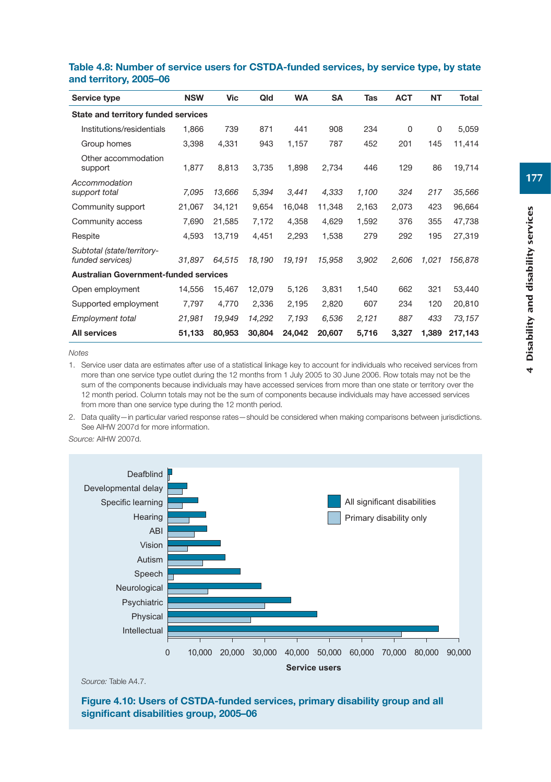| Service type                                   | <b>NSW</b> | Vic    | Qld    | <b>WA</b> | <b>SA</b> | Tas   | <b>ACT</b> | <b>NT</b> | <b>Total</b> |
|------------------------------------------------|------------|--------|--------|-----------|-----------|-------|------------|-----------|--------------|
| State and territory funded services            |            |        |        |           |           |       |            |           |              |
| Institutions/residentials                      | 1,866      | 739    | 871    | 441       | 908       | 234   | $\Omega$   | 0         | 5,059        |
| Group homes                                    | 3,398      | 4,331  | 943    | 1,157     | 787       | 452   | 201        | 145       | 11,414       |
| Other accommodation<br>support                 | 1,877      | 8,813  | 3,735  | 1,898     | 2,734     | 446   | 129        | 86        | 19,714       |
| Accommodation<br>support total                 | 7,095      | 13,666 | 5,394  | 3,441     | 4,333     | 1,100 | 324        | 217       | 35,566       |
| Community support                              | 21,067     | 34,121 | 9,654  | 16,048    | 11,348    | 2,163 | 2,073      | 423       | 96,664       |
| Community access                               | 7,690      | 21,585 | 7,172  | 4,358     | 4,629     | 1,592 | 376        | 355       | 47,738       |
| Respite                                        | 4,593      | 13,719 | 4,451  | 2,293     | 1,538     | 279   | 292        | 195       | 27,319       |
| Subtotal (state/territory-<br>funded services) | 31,897     | 64,515 | 18.190 | 19,191    | 15,958    | 3.902 | 2.606      | 1,021     | 156,878      |
| <b>Australian Government-funded services</b>   |            |        |        |           |           |       |            |           |              |
| Open employment                                | 14,556     | 15,467 | 12,079 | 5,126     | 3,831     | 1,540 | 662        | 321       | 53,440       |
| Supported employment                           | 7,797      | 4,770  | 2,336  | 2,195     | 2,820     | 607   | 234        | 120       | 20,810       |
| <b>Employment total</b>                        | 21,981     | 19,949 | 14,292 | 7,193     | 6,536     | 2,121 | 887        | 433       | 73,157       |
| <b>All services</b>                            | 51,133     | 80,953 | 30,804 | 24,042    | 20,607    | 5,716 | 3,327      | 1,389     | 217,143      |

#### **Table 4.8: Number of service users for CSTDA-funded services, by service type, by state and territory, 2005–06**

*Notes*

1. Service user data are estimates after use of a statistical linkage key to account for individuals who received services from more than one service type outlet during the 12 months from 1 July 2005 to 30 June 2006. Row totals may not be the sum of the components because individuals may have accessed services from more than one state or territory over the 12 month period. Column totals may not be the sum of components because individuals may have accessed services from more than one service type during the 12 month period.

2. Data quality—in particular varied response rates—should be considered when making comparisons between jurisdictions. See AIHW 2007d for more information.

*Source:* AIHW 2007d.



*Source:* Table A4.7.

**Figure 4.10: Users of CSTDA-funded services, primary disability group and all significant disabilities group, 2005–06**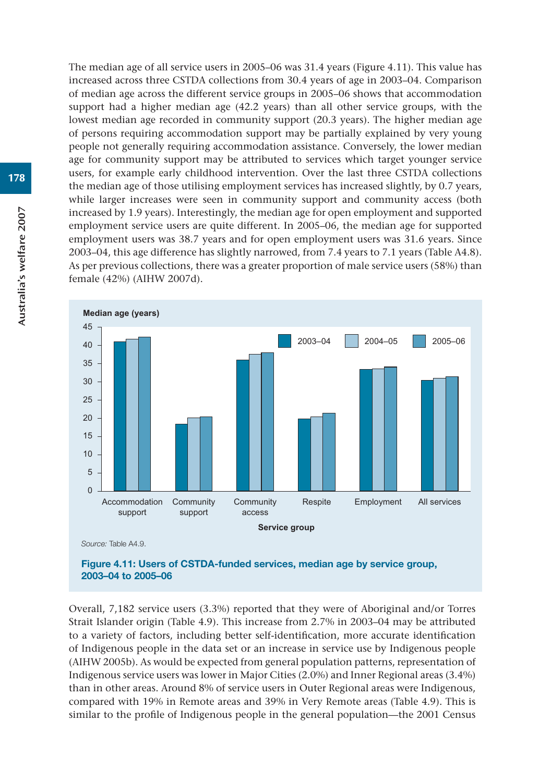The median age of all service users in 2005–06 was 31.4 years (Figure 4.11). This value has increased across three CSTDA collections from 30.4 years of age in 2003–04. Comparison of median age across the different service groups in 2005–06 shows that accommodation support had a higher median age (42.2 years) than all other service groups, with the lowest median age recorded in community support (20.3 years). The higher median age of persons requiring accommodation support may be partially explained by very young people not generally requiring accommodation assistance. Conversely, the lower median age for community support may be attributed to services which target younger service users, for example early childhood intervention. Over the last three CSTDA collections the median age of those utilising employment services has increased slightly, by 0.7 years, while larger increases were seen in community support and community access (both increased by 1.9 years). Interestingly, the median age for open employment and supported employment service users are quite different. In 2005–06, the median age for supported employment users was 38.7 years and for open employment users was 31.6 years. Since 2003–04, this age difference has slightly narrowed, from 7.4 years to 7.1 years (Table A4.8). As per previous collections, there was a greater proportion of male service users (58%) than female (42%) (AIHW 2007d).



*Source:* Table A4.9.



Overall, 7,182 service users (3.3%) reported that they were of Aboriginal and/or Torres Strait Islander origin (Table 4.9). This increase from 2.7% in 2003–04 may be attributed to a variety of factors, including better self-identification, more accurate identification of Indigenous people in the data set or an increase in service use by Indigenous people (AIHW 2005b). As would be expected from general population patterns, representation of Indigenous service users was lower in Major Cities (2.0%) and Inner Regional areas (3.4%) than in other areas. Around 8% of service users in Outer Regional areas were Indigenous, compared with 19% in Remote areas and 39% in Very Remote areas (Table 4.9). This is similar to the profile of Indigenous people in the general population—the 2001 Census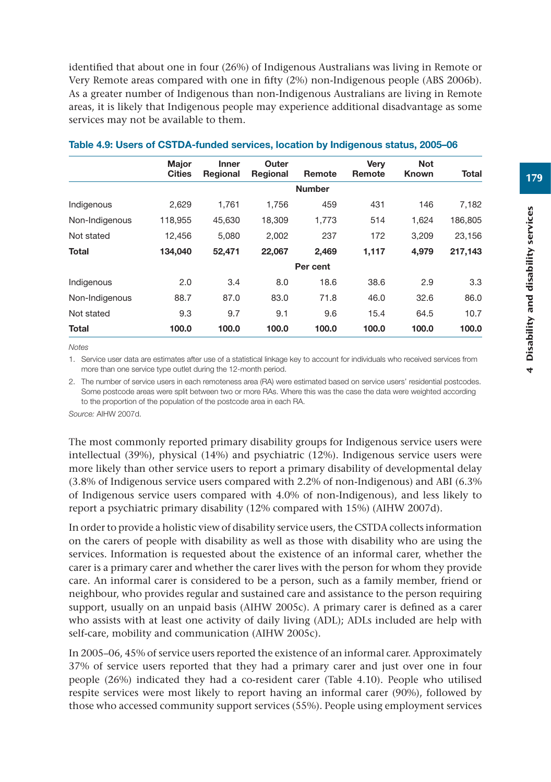identified that about one in four (26%) of Indigenous Australians was living in Remote or Very Remote areas compared with one in fifty (2%) non-Indigenous people (ABS 2006b). As a greater number of Indigenous than non-Indigenous Australians are living in Remote areas, it is likely that Indigenous people may experience additional disadvantage as some services may not be available to them.

|                | <b>Major</b>  | <b>Inner</b> | Outer    |               | Very   | <b>Not</b> |         |
|----------------|---------------|--------------|----------|---------------|--------|------------|---------|
|                | <b>Cities</b> | Regional     | Regional | Remote        | Remote | Known      | Total   |
|                |               |              |          | <b>Number</b> |        |            |         |
| Indigenous     | 2,629         | 1.761        | 1.756    | 459           | 431    | 146        | 7,182   |
| Non-Indigenous | 118.955       | 45.630       | 18.309   | 1.773         | 514    | 1.624      | 186.805 |
| Not stated     | 12,456        | 5,080        | 2.002    | 237           | 172    | 3.209      | 23,156  |
| <b>Total</b>   | 134,040       | 52,471       | 22,067   | 2,469         | 1,117  | 4.979      | 217,143 |
|                |               |              |          | Per cent      |        |            |         |
| Indigenous     | 2.0           | 3.4          | 8.0      | 18.6          | 38.6   | 2.9        | 3.3     |
| Non-Indigenous | 88.7          | 87.0         | 83.0     | 71.8          | 46.0   | 32.6       | 86.0    |
| Not stated     | 9.3           | 9.7          | 9.1      | 9.6           | 15.4   | 64.5       | 10.7    |
| <b>Total</b>   | 100.0         | 100.0        | 100.0    | 100.0         | 100.0  | 100.0      | 100.0   |

#### **Table 4.9: Users of CSTDA-funded services, location by Indigenous status, 2005–06**

*Notes*

1. Service user data are estimates after use of a statistical linkage key to account for individuals who received services from more than one service type outlet during the 12-month period.

2. The number of service users in each remoteness area (RA) were estimated based on service users' residential postcodes. Some postcode areas were split between two or more RAs. Where this was the case the data were weighted according to the proportion of the population of the postcode area in each RA.

*Source:* AIHW 2007d.

The most commonly reported primary disability groups for Indigenous service users were intellectual (39%), physical (14%) and psychiatric (12%). Indigenous service users were more likely than other service users to report a primary disability of developmental delay (3.8% of Indigenous service users compared with 2.2% of non-Indigenous) and ABI (6.3% of Indigenous service users compared with 4.0% of non-Indigenous), and less likely to report a psychiatric primary disability (12% compared with 15%) (AIHW 2007d).

In order to provide a holistic view of disability service users, the CSTDA collects information on the carers of people with disability as well as those with disability who are using the services. Information is requested about the existence of an informal carer, whether the carer is a primary carer and whether the carer lives with the person for whom they provide care. An informal carer is considered to be a person, such as a family member, friend or neighbour, who provides regular and sustained care and assistance to the person requiring support, usually on an unpaid basis (AIHW 2005c). A primary carer is defined as a carer who assists with at least one activity of daily living (ADL); ADLs included are help with self-care, mobility and communication (AIHW 2005c).

In 2005–06, 45% of service users reported the existence of an informal carer. Approximately 37% of service users reported that they had a primary carer and just over one in four people (26%) indicated they had a co-resident carer (Table 4.10). People who utilised respite services were most likely to report having an informal carer (90%), followed by those who accessed community support services (55%). People using employment services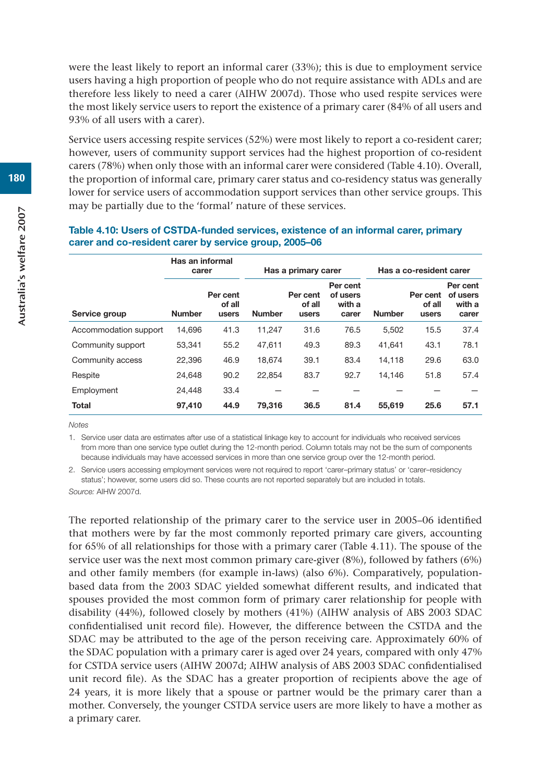were the least likely to report an informal carer (33%); this is due to employment service users having a high proportion of people who do not require assistance with ADLs and are therefore less likely to need a carer (AIHW 2007d). Those who used respite services were the most likely service users to report the existence of a primary carer (84% of all users and 93% of all users with a carer).

Service users accessing respite services (52%) were most likely to report a co-resident carer; however, users of community support services had the highest proportion of co-resident carers (78%) when only those with an informal carer were considered (Table 4.10). Overall, the proportion of informal care, primary carer status and co-residency status was generally lower for service users of accommodation support services than other service groups. This may be partially due to the 'formal' nature of these services.

|                       | Has an informal<br>carer |                             |               | Has a primary carer         |                                         | Has a co-resident carer |                             |                                         |
|-----------------------|--------------------------|-----------------------------|---------------|-----------------------------|-----------------------------------------|-------------------------|-----------------------------|-----------------------------------------|
| Service group         | <b>Number</b>            | Per cent<br>of all<br>users | <b>Number</b> | Per cent<br>of all<br>users | Per cent<br>of users<br>with a<br>carer | <b>Number</b>           | Per cent<br>of all<br>users | Per cent<br>of users<br>with a<br>carer |
| Accommodation support | 14.696                   | 41.3                        | 11,247        | 31.6                        | 76.5                                    | 5.502                   | 15.5                        | 37.4                                    |
| Community support     | 53,341                   | 55.2                        | 47,611        | 49.3                        | 89.3                                    | 41,641                  | 43.1                        | 78.1                                    |
| Community access      | 22.396                   | 46.9                        | 18.674        | 39.1                        | 83.4                                    | 14,118                  | 29.6                        | 63.0                                    |
| Respite               | 24.648                   | 90.2                        | 22.854        | 83.7                        | 92.7                                    | 14.146                  | 51.8                        | 57.4                                    |
| Employment            | 24.448                   | 33.4                        |               |                             |                                         |                         |                             |                                         |
| <b>Total</b>          | 97,410                   | 44.9                        | 79,316        | 36.5                        | 81.4                                    | 55,619                  | 25.6                        | 57.1                                    |

#### **Table 4.10: Users of CSTDA-funded services, existence of an informal carer, primary carer and co-resident carer by service group, 2005–06**

*Notes*

1. Service user data are estimates after use of a statistical linkage key to account for individuals who received services from more than one service type outlet during the 12-month period. Column totals may not be the sum of components because individuals may have accessed services in more than one service group over the 12-month period.

2. Service users accessing employment services were not required to report 'carer–primary status' or 'carer–residency status'; however, some users did so. These counts are not reported separately but are included in totals.

*Source:* AIHW 2007d.

The reported relationship of the primary carer to the service user in 2005–06 identified that mothers were by far the most commonly reported primary care givers, accounting for 65% of all relationships for those with a primary carer (Table 4.11). The spouse of the service user was the next most common primary care-giver (8%), followed by fathers (6%) and other family members (for example in-laws) (also 6%). Comparatively, populationbased data from the 2003 SDAC yielded somewhat different results, and indicated that spouses provided the most common form of primary carer relationship for people with disability (44%), followed closely by mothers (41%) (AIHW analysis of ABS 2003 SDAC confidentialised unit record file). However, the difference between the CSTDA and the SDAC may be attributed to the age of the person receiving care. Approximately 60% of the SDAC population with a primary carer is aged over 24 years, compared with only 47% for CSTDA service users (AIHW 2007d; AIHW analysis of ABS 2003 SDAC confidentialised unit record file). As the SDAC has a greater proportion of recipients above the age of 24 years, it is more likely that a spouse or partner would be the primary carer than a mother. Conversely, the younger CSTDA service users are more likely to have a mother as a primary carer.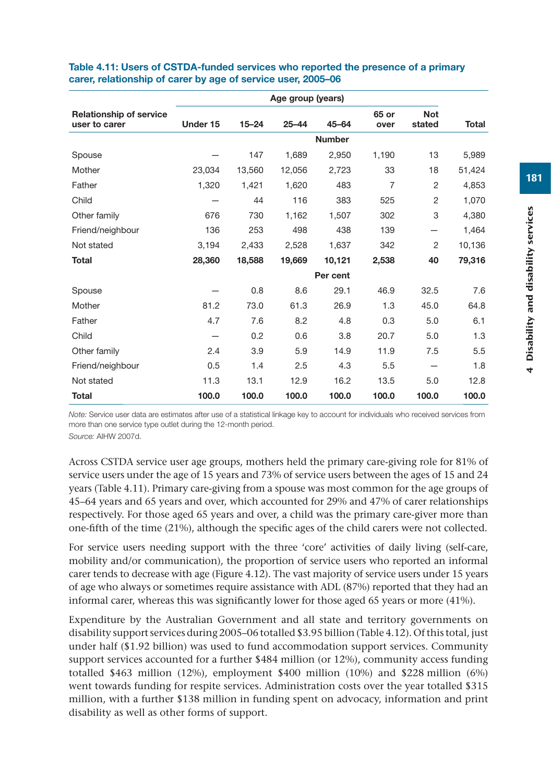|                                                 | Age group (years) |           |           |               |                |                      |              |  |  |
|-------------------------------------------------|-------------------|-----------|-----------|---------------|----------------|----------------------|--------------|--|--|
| <b>Relationship of service</b><br>user to carer | Under 15          | $15 - 24$ | $25 - 44$ | $45 - 64$     | 65 or<br>over  | <b>Not</b><br>stated | <b>Total</b> |  |  |
|                                                 |                   |           |           | <b>Number</b> |                |                      |              |  |  |
| Spouse                                          |                   | 147       | 1,689     | 2,950         | 1,190          | 13                   | 5,989        |  |  |
| Mother                                          | 23,034            | 13,560    | 12,056    | 2,723         | 33             | 18                   | 51,424       |  |  |
| Father                                          | 1,320             | 1,421     | 1,620     | 483           | $\overline{7}$ | $\overline{2}$       | 4,853        |  |  |
| Child                                           |                   | 44        | 116       | 383           | 525            | $\overline{2}$       | 1,070        |  |  |
| Other family                                    | 676               | 730       | 1,162     | 1,507         | 302            | 3                    | 4,380        |  |  |
| Friend/neighbour                                | 136               | 253       | 498       | 438           | 139            |                      | 1,464        |  |  |
| Not stated                                      | 3,194             | 2,433     | 2.528     | 1,637         | 342            | 2                    | 10,136       |  |  |
| <b>Total</b>                                    | 28,360            | 18,588    | 19,669    | 10,121        | 2,538          | 40                   | 79,316       |  |  |
|                                                 |                   |           |           | Per cent      |                |                      |              |  |  |
| Spouse                                          |                   | 0.8       | 8.6       | 29.1          | 46.9           | 32.5                 | 7.6          |  |  |
| Mother                                          | 81.2              | 73.0      | 61.3      | 26.9          | 1.3            | 45.0                 | 64.8         |  |  |
| Father                                          | 4.7               | 7.6       | 8.2       | 4.8           | 0.3            | 5.0                  | 6.1          |  |  |
| Child                                           |                   | 0.2       | 0.6       | 3.8           | 20.7           | 5.0                  | 1.3          |  |  |
| Other family                                    | 2.4               | 3.9       | 5.9       | 14.9          | 11.9           | 7.5                  | 5.5          |  |  |
| Friend/neighbour                                | 0.5               | 1.4       | 2.5       | 4.3           | 5.5            |                      | 1.8          |  |  |
| Not stated                                      | 11.3              | 13.1      | 12.9      | 16.2          | 13.5           | 5.0                  | 12.8         |  |  |
| <b>Total</b>                                    | 100.0             | 100.0     | 100.0     | 100.0         | 100.0          | 100.0                | 100.0        |  |  |

#### **Table 4.11: Users of CSTDA-funded services who reported the presence of a primary carer, relationship of carer by age of service user, 2005–06**

*Note:* Service user data are estimates after use of a statistical linkage key to account for individuals who received services from more than one service type outlet during the 12-month period.

*Source:* AIHW 2007d.

Across CSTDA service user age groups, mothers held the primary care-giving role for 81% of service users under the age of 15 years and 73% of service users between the ages of 15 and 24 years (Table 4.11). Primary care-giving from a spouse was most common for the age groups of 45–64 years and 65 years and over, which accounted for 29% and 47% of carer relationships respectively. For those aged 65 years and over, a child was the primary care-giver more than one-fifth of the time (21%), although the specific ages of the child carers were not collected.

For service users needing support with the three 'core' activities of daily living (self-care, mobility and/or communication), the proportion of service users who reported an informal carer tends to decrease with age (Figure 4.12). The vast majority of service users under 15 years of age who always or sometimes require assistance with ADL (87%) reported that they had an informal carer, whereas this was significantly lower for those aged 65 years or more (41%).

Expenditure by the Australian Government and all state and territory governments on disability support services during 2005–06 totalled \$3.95 billion (Table 4.12). Of this total, just under half (\$1.92 billion) was used to fund accommodation support services. Community support services accounted for a further \$484 million (or 12%), community access funding totalled \$463 million (12%), employment \$400 million (10%) and \$228 million (6%) went towards funding for respite services. Administration costs over the year totalled \$315 million, with a further \$138 million in funding spent on advocacy, information and print disability as well as other forms of support.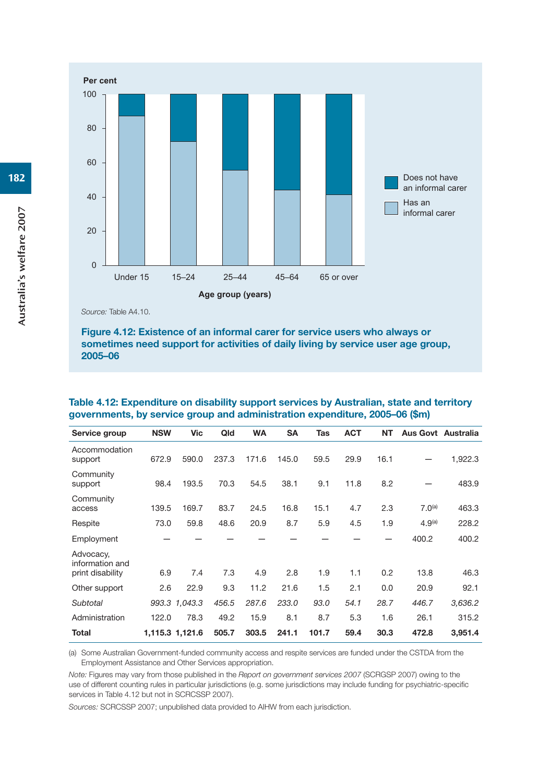

#### **Figure 4.12: Existence of an informal carer for service users who always or sometimes need support for activities of daily living by service user age group, 2005–06**

| <b>NSW</b> | <b>Vic</b> | Qld                              | <b>WA</b> | <b>SA</b> | Tas   | <b>ACT</b> | <b>NT</b> |                    | <b>Aus Govt Australia</b> |
|------------|------------|----------------------------------|-----------|-----------|-------|------------|-----------|--------------------|---------------------------|
| 672.9      | 590.0      | 237.3                            | 171.6     | 145.0     | 59.5  | 29.9       | 16.1      |                    | 1,922.3                   |
| 98.4       | 193.5      | 70.3                             | 54.5      | 38.1      | 9.1   | 11.8       | 8.2       |                    | 483.9                     |
| 139.5      | 169.7      | 83.7                             | 24.5      | 16.8      | 15.1  | 4.7        | 2.3       | 7.0 <sup>(a)</sup> | 463.3                     |
| 73.0       | 59.8       | 48.6                             | 20.9      | 8.7       | 5.9   | 4.5        | 1.9       | 4.9 <sup>(a)</sup> | 228.2                     |
|            |            |                                  |           |           |       |            |           | 400.2              | 400.2                     |
| 6.9        | 7.4        | 7.3                              | 4.9       | 2.8       | 1.9   | 1.1        | 0.2       | 13.8               | 46.3                      |
| 2.6        | 22.9       | 9.3                              | 11.2      | 21.6      | 1.5   | 2.1        | 0.0       | 20.9               | 92.1                      |
|            |            | 456.5                            | 287.6     | 233.0     | 93.0  | 54.1       | 28.7      | 446.7              | 3,636.2                   |
| 122.0      | 78.3       | 49.2                             | 15.9      | 8.1       | 8.7   | 5.3        | 1.6       | 26.1               | 315.2                     |
|            |            | 505.7                            | 303.5     | 241.1     | 101.7 | 59.4       | 30.3      | 472.8              | 3,951.4                   |
|            |            | 993.3 1,043.3<br>1,115.3 1,121.6 |           |           |       |            |           |                    |                           |

| Table 4.12: Expenditure on disability support services by Australian, state and territory |
|-------------------------------------------------------------------------------------------|
| governments, by service group and administration expenditure, 2005–06 (\$m)               |

(a) Some Australian Government-funded community access and respite services are funded under the CSTDA from the Employment Assistance and Other Services appropriation.

*Note:* Figures may vary from those published in the *Report on government services 2007* (SCRGSP 2007) owing to the use of different counting rules in particular jurisdictions (e.g. some jurisdictions may include funding for psychiatric-specific services in Table 4.12 but not in SCRCSSP 2007).

*Sources:* SCRCSSP 2007; unpublished data provided to AIHW from each jurisdiction.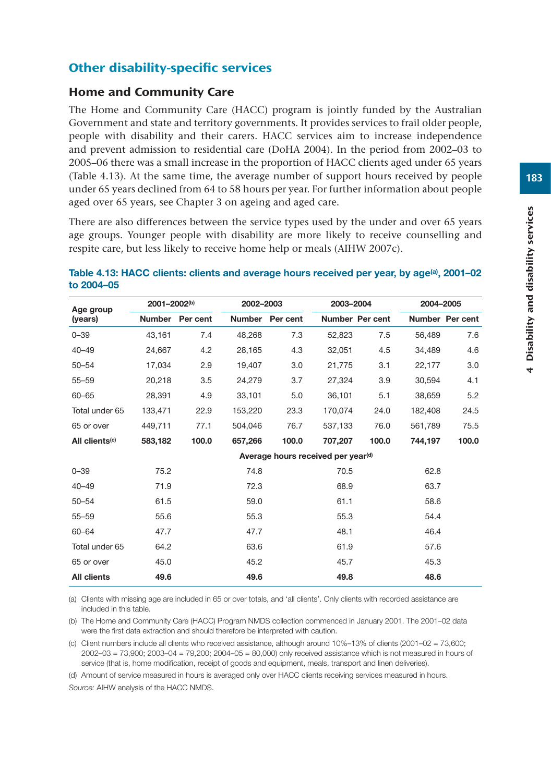# Other disability-specific services

#### Home and Community Care

The Home and Community Care (HACC) program is jointly funded by the Australian Government and state and territory governments. It provides services to frail older people, people with disability and their carers. HACC services aim to increase independence and prevent admission to residential care (DoHA 2004). In the period from 2002–03 to 2005–06 there was a small increase in the proportion of HACC clients aged under 65 years (Table 4.13). At the same time, the average number of support hours received by people under 65 years declined from 64 to 58 hours per year. For further information about people aged over 65 years, see Chapter 3 on ageing and aged care.

There are also differences between the service types used by the under and over 65 years age groups. Younger people with disability are more likely to receive counselling and respite care, but less likely to receive home help or meals (AIHW 2007c).

#### Table 4.13: HACC clients: clients and average hours received per year, by age<sup>(a)</sup>, 2001–02 **to 2004–05**

| Age group                  | 2001-2002 <sup>(b)</sup> |                 | 2002-2003     |                                                | 2003-2004 |                 | 2004-2005 |                 |  |
|----------------------------|--------------------------|-----------------|---------------|------------------------------------------------|-----------|-----------------|-----------|-----------------|--|
| (years)                    |                          | Number Per cent | <b>Number</b> | Per cent                                       |           | Number Per cent |           | Number Per cent |  |
| $0 - 39$                   | 43,161                   | 7.4             | 48,268        | 7.3                                            | 52,823    | 7.5             | 56,489    | 7.6             |  |
| $40 - 49$                  | 24,667                   | 4.2             | 28,165        | 4.3                                            | 32,051    | 4.5             | 34,489    | 4.6             |  |
| $50 - 54$                  | 17,034                   | 2.9             | 19,407        | 3.0                                            | 21.775    | 3.1             | 22,177    | 3.0             |  |
| $55 - 59$                  | 20,218                   | 3.5             | 24,279        | 3.7                                            | 27,324    | 3.9             | 30,594    | 4.1             |  |
| $60 - 65$                  | 28,391                   | 4.9             | 33,101        | 5.0                                            | 36.101    | 5.1             | 38.659    | 5.2             |  |
| Total under 65             | 133,471                  | 22.9            | 153,220       | 23.3                                           | 170,074   | 24.0            | 182,408   | 24.5            |  |
| 65 or over                 | 449.711                  | 77.1            | 504.046       | 76.7                                           | 537.133   | 76.0            | 561.789   | 75.5            |  |
| All clients <sup>(c)</sup> | 583,182                  | 100.0           | 657,266       | 100.0                                          | 707,207   | 100.0           | 744,197   | 100.0           |  |
|                            |                          |                 |               | Average hours received per year <sup>(d)</sup> |           |                 |           |                 |  |
| $0 - 39$                   | 75.2                     |                 | 74.8          |                                                | 70.5      |                 | 62.8      |                 |  |
| $40 - 49$                  | 71.9                     |                 | 72.3          |                                                | 68.9      |                 | 63.7      |                 |  |
| $50 - 54$                  | 61.5                     |                 | 59.0          |                                                | 61.1      |                 | 58.6      |                 |  |
| $55 - 59$                  | 55.6                     |                 | 55.3          |                                                | 55.3      |                 | 54.4      |                 |  |
| $60 - 64$                  | 47.7                     |                 | 47.7          |                                                | 48.1      |                 | 46.4      |                 |  |
| Total under 65             | 64.2                     |                 | 63.6          |                                                | 61.9      |                 | 57.6      |                 |  |
| 65 or over                 | 45.0                     |                 | 45.2          |                                                | 45.7      |                 | 45.3      |                 |  |
| <b>All clients</b>         | 49.6                     |                 | 49.6          |                                                | 49.8      |                 | 48.6      |                 |  |

(a) Clients with missing age are included in 65 or over totals, and 'all clients'. Only clients with recorded assistance are included in this table.

(b) The Home and Community Care (HACC) Program NMDS collection commenced in January 2001. The 2001–02 data were the first data extraction and should therefore be interpreted with caution.

(c) Client numbers include all clients who received assistance, although around 10%–13% of clients (2001–02 = 73,600; 2002–03 = 73,900; 2003–04 = 79,200; 2004–05 = 80,000) only received assistance which is not measured in hours of service (that is, home modification, receipt of goods and equipment, meals, transport and linen deliveries).

(d) Amount of service measured in hours is averaged only over HACC clients receiving services measured in hours. *Source:* AIHW analysis of the HACC NMDS.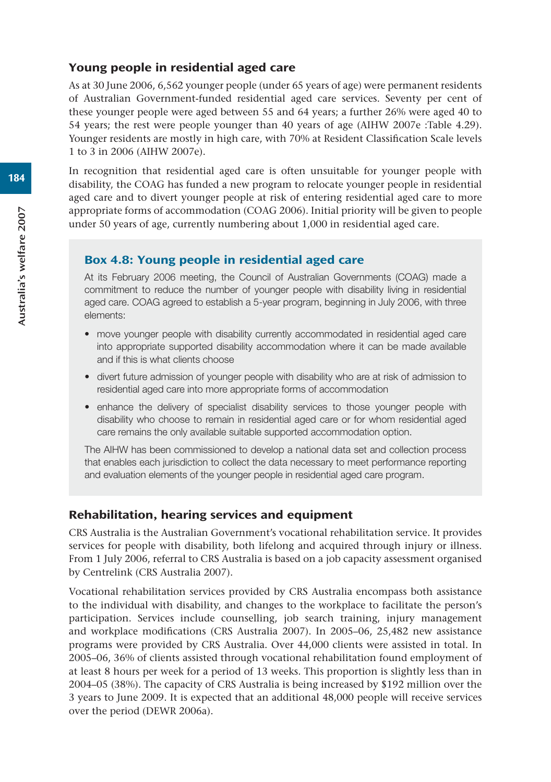#### Young people in residential aged care

As at 30 June 2006, 6,562 younger people (under 65 years of age) were permanent residents of Australian Government-funded residential aged care services. Seventy per cent of these younger people were aged between 55 and 64 years; a further 26% were aged 40 to 54 years; the rest were people younger than 40 years of age (AIHW 2007e :Table 4.29). Younger residents are mostly in high care, with 70% at Resident Classification Scale levels 1 to 3 in 2006 (AIHW 2007e).

In recognition that residential aged care is often unsuitable for younger people with disability, the COAG has funded a new program to relocate younger people in residential aged care and to divert younger people at risk of entering residential aged care to more appropriate forms of accommodation (COAG 2006). Initial priority will be given to people under 50 years of age, currently numbering about 1,000 in residential aged care.

#### Box 4.8: Young people in residential aged care

At its February 2006 meeting, the Council of Australian Governments (COAG) made a commitment to reduce the number of younger people with disability living in residential aged care. COAG agreed to establish a 5-year program, beginning in July 2006, with three elements:

- move younger people with disability currently accommodated in residential aged care into appropriate supported disability accommodation where it can be made available and if this is what clients choose
- divert future admission of younger people with disability who are at risk of admission to residential aged care into more appropriate forms of accommodation
- enhance the delivery of specialist disability services to those younger people with disability who choose to remain in residential aged care or for whom residential aged care remains the only available suitable supported accommodation option.

The AIHW has been commissioned to develop a national data set and collection process that enables each jurisdiction to collect the data necessary to meet performance reporting and evaluation elements of the younger people in residential aged care program.

#### Rehabilitation, hearing services and equipment

CRS Australia is the Australian Government's vocational rehabilitation service. It provides services for people with disability, both lifelong and acquired through injury or illness. From 1 July 2006, referral to CRS Australia is based on a job capacity assessment organised by Centrelink (CRS Australia 2007).

Vocational rehabilitation services provided by CRS Australia encompass both assistance to the individual with disability, and changes to the workplace to facilitate the person's participation. Services include counselling, job search training, injury management and workplace modifications (CRS Australia 2007). In 2005–06, 25,482 new assistance programs were provided by CRS Australia. Over 44,000 clients were assisted in total. In 2005–06, 36% of clients assisted through vocational rehabilitation found employment of at least 8 hours per week for a period of 13 weeks. This proportion is slightly less than in 2004–05 (38%). The capacity of CRS Australia is being increased by \$192 million over the 3 years to June 2009. It is expected that an additional 48,000 people will receive services over the period (DEWR 2006a).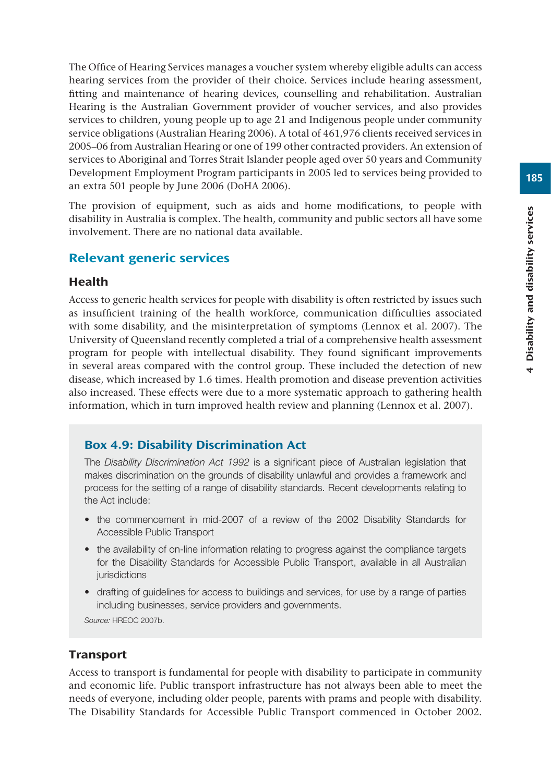The Office of Hearing Services manages a voucher system whereby eligible adults can access hearing services from the provider of their choice. Services include hearing assessment, fitting and maintenance of hearing devices, counselling and rehabilitation. Australian Hearing is the Australian Government provider of voucher services, and also provides services to children, young people up to age 21 and Indigenous people under community service obligations (Australian Hearing 2006). A total of 461,976 clients received services in 2005–06 from Australian Hearing or one of 199 other contracted providers. An extension of services to Aboriginal and Torres Strait Islander people aged over 50 years and Community Development Employment Program participants in 2005 led to services being provided to an extra 501 people by June 2006 (DoHA 2006).

The provision of equipment, such as aids and home modifications, to people with disability in Australia is complex. The health, community and public sectors all have some involvement. There are no national data available.

# Relevant generic services

#### Health

Access to generic health services for people with disability is often restricted by issues such as insufficient training of the health workforce, communication difficulties associated with some disability, and the misinterpretation of symptoms (Lennox et al. 2007). The University of Queensland recently completed a trial of a comprehensive health assessment program for people with intellectual disability. They found significant improvements in several areas compared with the control group. These included the detection of new disease, which increased by 1.6 times. Health promotion and disease prevention activities also increased. These effects were due to a more systematic approach to gathering health information, which in turn improved health review and planning (Lennox et al. 2007).

#### Box 4.9: Disability Discrimination Act

The *Disability Discrimination Act 1992* is a significant piece of Australian legislation that makes discrimination on the grounds of disability unlawful and provides a framework and process for the setting of a range of disability standards. Recent developments relating to the Act include:

- the commencement in mid-2007 of a review of the 2002 Disability Standards for Accessible Public Transport
- the availability of on-line information relating to progress against the compliance targets for the Disability Standards for Accessible Public Transport, available in all Australian iurisdictions
- drafting of guidelines for access to buildings and services, for use by a range of parties including businesses, service providers and governments.

*Source:* HREOC 2007b.

#### **Transport**

Access to transport is fundamental for people with disability to participate in community and economic life. Public transport infrastructure has not always been able to meet the needs of everyone, including older people, parents with prams and people with disability. The Disability Standards for Accessible Public Transport commenced in October 2002.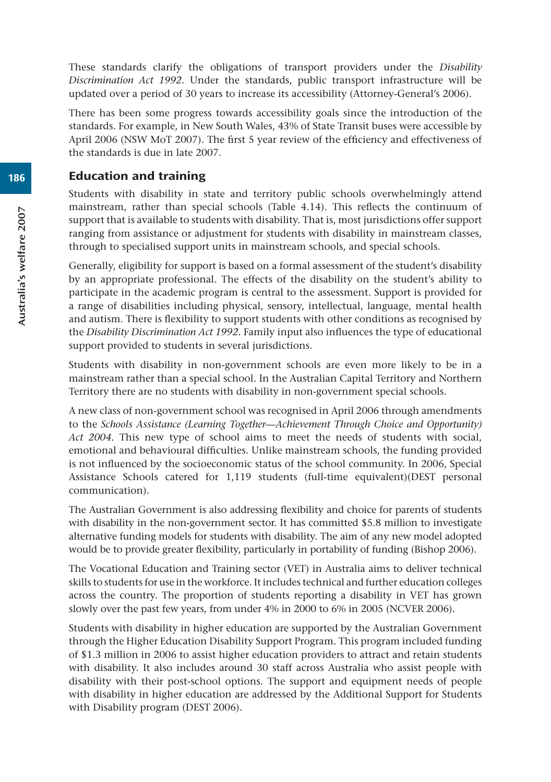These standards clarify the obligations of transport providers under the *Disability Discrimination Act 1992.* Under the standards, public transport infrastructure will be updated over a period of 30 years to increase its accessibility (Attorney-General's 2006).

There has been some progress towards accessibility goals since the introduction of the standards. For example, in New South Wales, 43% of State Transit buses were accessible by April 2006 (NSW MoT 2007). The first 5 year review of the efficiency and effectiveness of the standards is due in late 2007.

#### Education and training

Students with disability in state and territory public schools overwhelmingly attend mainstream, rather than special schools (Table 4.14). This reflects the continuum of support that is available to students with disability. That is, most jurisdictions offer support ranging from assistance or adjustment for students with disability in mainstream classes, through to specialised support units in mainstream schools, and special schools.

Generally, eligibility for support is based on a formal assessment of the student's disability by an appropriate professional. The effects of the disability on the student's ability to participate in the academic program is central to the assessment. Support is provided for a range of disabilities including physical, sensory, intellectual, language, mental health and autism. There is flexibility to support students with other conditions as recognised by the *Disability Discrimination Act 1992*. Family input also influences the type of educational support provided to students in several jurisdictions.

Students with disability in non-government schools are even more likely to be in a mainstream rather than a special school. In the Australian Capital Territory and Northern Territory there are no students with disability in non-government special schools.

A new class of non-government school was recognised in April 2006 through amendments to the *Schools Assistance (Learning Together—Achievement Through Choice and Opportunity) Act 2004.* This new type of school aims to meet the needs of students with social, emotional and behavioural difficulties. Unlike mainstream schools, the funding provided is not influenced by the socioeconomic status of the school community. In 2006, Special Assistance Schools catered for 1,119 students (full-time equivalent)(DEST personal communication).

The Australian Government is also addressing flexibility and choice for parents of students with disability in the non-government sector. It has committed \$5.8 million to investigate alternative funding models for students with disability. The aim of any new model adopted would be to provide greater flexibility, particularly in portability of funding (Bishop 2006).

The Vocational Education and Training sector (VET) in Australia aims to deliver technical skills to students for use in the workforce. It includes technical and further education colleges across the country. The proportion of students reporting a disability in VET has grown slowly over the past few years, from under 4% in 2000 to 6% in 2005 (NCVER 2006).

Students with disability in higher education are supported by the Australian Government through the Higher Education Disability Support Program. This program included funding of \$1.3 million in 2006 to assist higher education providers to attract and retain students with disability. It also includes around 30 staff across Australia who assist people with disability with their post-school options. The support and equipment needs of people with disability in higher education are addressed by the Additional Support for Students with Disability program (DEST 2006).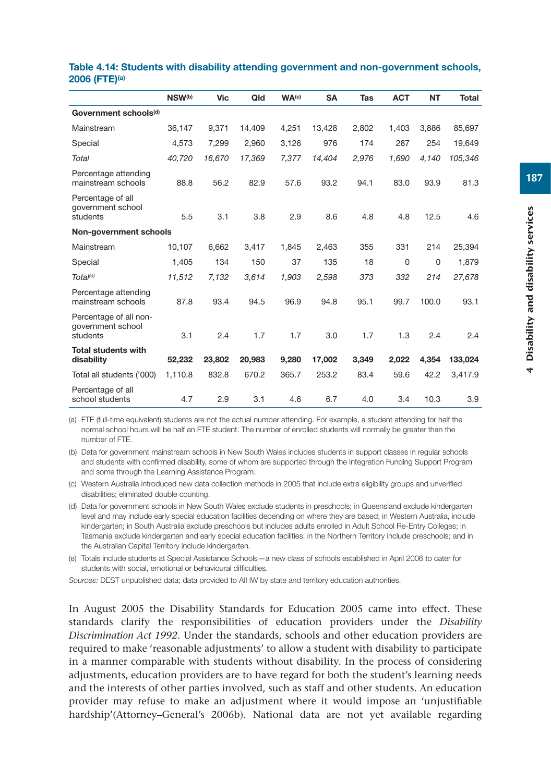|                                                         | NSW <sup>(b)</sup> | <b>Vic</b> | Qld    | WA <sup>(c)</sup> | <b>SA</b> | Tas   | <b>ACT</b> | <b>NT</b> | <b>Total</b> |
|---------------------------------------------------------|--------------------|------------|--------|-------------------|-----------|-------|------------|-----------|--------------|
| Government schools <sup>(d)</sup>                       |                    |            |        |                   |           |       |            |           |              |
| Mainstream                                              | 36,147             | 9,371      | 14,409 | 4,251             | 13,428    | 2,802 | 1,403      | 3,886     | 85,697       |
| Special                                                 | 4,573              | 7.299      | 2.960  | 3,126             | 976       | 174   | 287        | 254       | 19,649       |
| Total                                                   | 40,720             | 16.670     | 17,369 | 7.377             | 14.404    | 2,976 | 1.690      | 4,140     | 105,346      |
| Percentage attending<br>mainstream schools              | 88.8               | 56.2       | 82.9   | 57.6              | 93.2      | 94.1  | 83.0       | 93.9      | 81.3         |
| Percentage of all<br>government school<br>students      | 5.5                | 3.1        | 3.8    | 2.9               | 8.6       | 4.8   | 4.8        | 12.5      | 4.6          |
| Non-government schools                                  |                    |            |        |                   |           |       |            |           |              |
| Mainstream                                              | 10,107             | 6,662      | 3,417  | 1,845             | 2,463     | 355   | 331        | 214       | 25,394       |
| Special                                                 | 1,405              | 134        | 150    | 37                | 135       | 18    | $\Omega$   | 0         | 1,879        |
| Total <sup>(e)</sup>                                    | 11,512             | 7,132      | 3,614  | 1,903             | 2,598     | 373   | 332        | 214       | 27,678       |
| Percentage attending<br>mainstream schools              | 87.8               | 93.4       | 94.5   | 96.9              | 94.8      | 95.1  | 99.7       | 100.0     | 93.1         |
| Percentage of all non-<br>government school<br>students | 3.1                | 2.4        | 1.7    | 1.7               | 3.0       | 1.7   | 1.3        | 2.4       | 2.4          |
| <b>Total students with</b>                              |                    |            |        |                   |           |       |            |           |              |
| disability                                              | 52,232             | 23,802     | 20,983 | 9,280             | 17,002    | 3,349 | 2,022      | 4,354     | 133,024      |
| Total all students ('000)                               | 1,110.8            | 832.8      | 670.2  | 365.7             | 253.2     | 83.4  | 59.6       | 42.2      | 3,417.9      |
| Percentage of all<br>school students                    | 4.7                | 2.9        | 3.1    | 4.6               | 6.7       | 4.0   | 3.4        | 10.3      | 3.9          |

#### **Table 4.14: Students with disability attending government and non-government schools, 2006 (FTE)(a)**

(a) FTE (full-time equivalent) students are not the actual number attending. For example, a student attending for half the normal school hours will be half an FTE student. The number of enrolled students will normally be greater than the number of FTE.

(b) Data for government mainstream schools in New South Wales includes students in support classes in regular schools and students with confirmed disability, some of whom are supported through the Integration Funding Support Program and some through the Learning Assistance Program.

(c) Western Australia introduced new data collection methods in 2005 that include extra eligibility groups and unverified disabilities; eliminated double counting.

(d) Data for government schools in New South Wales exclude students in preschools; in Queensland exclude kindergarten level and may include early special education facilities depending on where they are based; in Western Australia, include kindergarten; in South Australia exclude preschools but includes adults enrolled in Adult School Re-Entry Colleges; in Tasmania exclude kindergarten and early special education facilities; in the Northern Territory include preschools; and in the Australian Capital Territory include kindergarten.

(e) Totals include students at Special Assistance Schools—a new class of schools established in April 2006 to cater for students with social, emotional or behavioural difficulties.

*Sources:* DEST unpublished data; data provided to AIHW by state and territory education authorities.

In August 2005 the Disability Standards for Education 2005 came into effect. These standards clarify the responsibilities of education providers under the *Disability Discrimination Act 1992.* Under the standards, schools and other education providers are required to make 'reasonable adjustments' to allow a student with disability to participate in a manner comparable with students without disability. In the process of considering adjustments, education providers are to have regard for both the student's learning needs and the interests of other parties involved, such as staff and other students. An education provider may refuse to make an adjustment where it would impose an 'unjustifiable hardship'(Attorney–General's 2006b). National data are not yet available regarding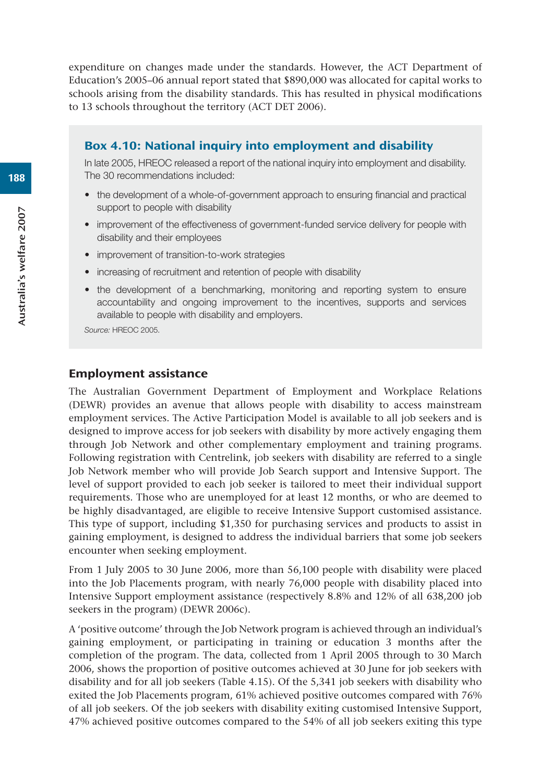expenditure on changes made under the standards. However, the ACT Department of Education's 2005–06 annual report stated that \$890,000 was allocated for capital works to schools arising from the disability standards. This has resulted in physical modifications to 13 schools throughout the territory (ACT DET 2006).

#### Box 4.10: National inquiry into employment and disability

In late 2005, HREOC released a report of the national inquiry into employment and disability. The 30 recommendations included:

- the development of a whole-of-government approach to ensuring financial and practical support to people with disability
- improvement of the effectiveness of government-funded service delivery for people with disability and their employees
- improvement of transition-to-work strategies
- increasing of recruitment and retention of people with disability
- the development of a benchmarking, monitoring and reporting system to ensure accountability and ongoing improvement to the incentives, supports and services available to people with disability and employers.

*Source:* HREOC 2005.

#### Employment assistance

The Australian Government Department of Employment and Workplace Relations (DEWR) provides an avenue that allows people with disability to access mainstream employment services. The Active Participation Model is available to all job seekers and is designed to improve access for job seekers with disability by more actively engaging them through Job Network and other complementary employment and training programs. Following registration with Centrelink, job seekers with disability are referred to a single Job Network member who will provide Job Search support and Intensive Support. The level of support provided to each job seeker is tailored to meet their individual support requirements. Those who are unemployed for at least 12 months, or who are deemed to be highly disadvantaged, are eligible to receive Intensive Support customised assistance. This type of support, including \$1,350 for purchasing services and products to assist in gaining employment, is designed to address the individual barriers that some job seekers encounter when seeking employment.

From 1 July 2005 to 30 June 2006, more than 56,100 people with disability were placed into the Job Placements program, with nearly 76,000 people with disability placed into Intensive Support employment assistance (respectively 8.8% and 12% of all 638,200 job seekers in the program) (DEWR 2006c).

A 'positive outcome' through the Job Network program is achieved through an individual's gaining employment, or participating in training or education 3 months after the completion of the program. The data, collected from 1 April 2005 through to 30 March 2006, shows the proportion of positive outcomes achieved at 30 June for job seekers with disability and for all job seekers (Table 4.15). Of the 5,341 job seekers with disability who exited the Job Placements program, 61% achieved positive outcomes compared with 76% of all job seekers. Of the job seekers with disability exiting customised Intensive Support, 47% achieved positive outcomes compared to the 54% of all job seekers exiting this type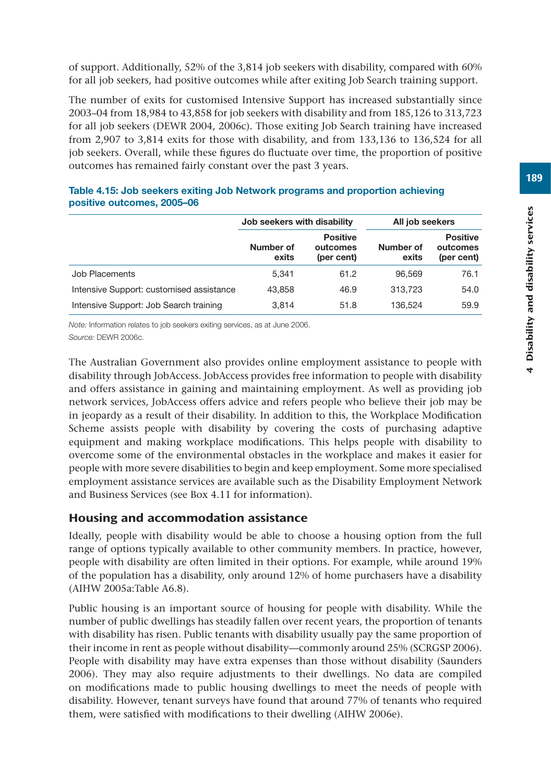of support. Additionally, 52% of the 3,814 job seekers with disability, compared with 60% for all job seekers, had positive outcomes while after exiting Job Search training support.

The number of exits for customised Intensive Support has increased substantially since 2003–04 from 18,984 to 43,858 for job seekers with disability and from 185,126 to 313,723 for all job seekers (DEWR 2004, 2006c). Those exiting Job Search training have increased from 2,907 to 3,814 exits for those with disability, and from 133,136 to 136,524 for all job seekers. Overall, while these figures do fluctuate over time, the proportion of positive outcomes has remained fairly constant over the past 3 years.

|                                          | Job seekers with disability |                                           | All job seekers    |                                           |  |
|------------------------------------------|-----------------------------|-------------------------------------------|--------------------|-------------------------------------------|--|
|                                          | Number of<br>exits          | <b>Positive</b><br>outcomes<br>(per cent) | Number of<br>exits | <b>Positive</b><br>outcomes<br>(per cent) |  |
| Job Placements                           | 5.341                       | 61.2                                      | 96.569             | 76.1                                      |  |
| Intensive Support: customised assistance | 43,858                      | 46.9                                      | 313.723            | 54.0                                      |  |
| Intensive Support: Job Search training   | 3.814                       | 51.8                                      | 136.524            | 59.9                                      |  |

#### **Table 4.15: Job seekers exiting Job Network programs and proportion achieving positive outcomes, 2005–06**

*Note:* Information relates to job seekers exiting services, as at June 2006. *Source:* DEWR 2006c.

The Australian Government also provides online employment assistance to people with disability through JobAccess. JobAccess provides free information to people with disability and offers assistance in gaining and maintaining employment. As well as providing job network services, JobAccess offers advice and refers people who believe their job may be in jeopardy as a result of their disability. In addition to this, the Workplace Modification Scheme assists people with disability by covering the costs of purchasing adaptive equipment and making workplace modifications. This helps people with disability to overcome some of the environmental obstacles in the workplace and makes it easier for people with more severe disabilities to begin and keep employment. Some more specialised employment assistance services are available such as the Disability Employment Network and Business Services (see Box 4.11 for information).

# Housing and accommodation assistance

Ideally, people with disability would be able to choose a housing option from the full range of options typically available to other community members. In practice, however, people with disability are often limited in their options. For example, while around 19% of the population has a disability, only around 12% of home purchasers have a disability (AIHW 2005a:Table A6.8).

Public housing is an important source of housing for people with disability. While the number of public dwellings has steadily fallen over recent years, the proportion of tenants with disability has risen. Public tenants with disability usually pay the same proportion of their income in rent as people without disability—commonly around 25% (SCRGSP 2006). People with disability may have extra expenses than those without disability (Saunders 2006). They may also require adjustments to their dwellings. No data are compiled on modifications made to public housing dwellings to meet the needs of people with disability. However, tenant surveys have found that around 77% of tenants who required them, were satisfied with modifications to their dwelling (AIHW 2006e).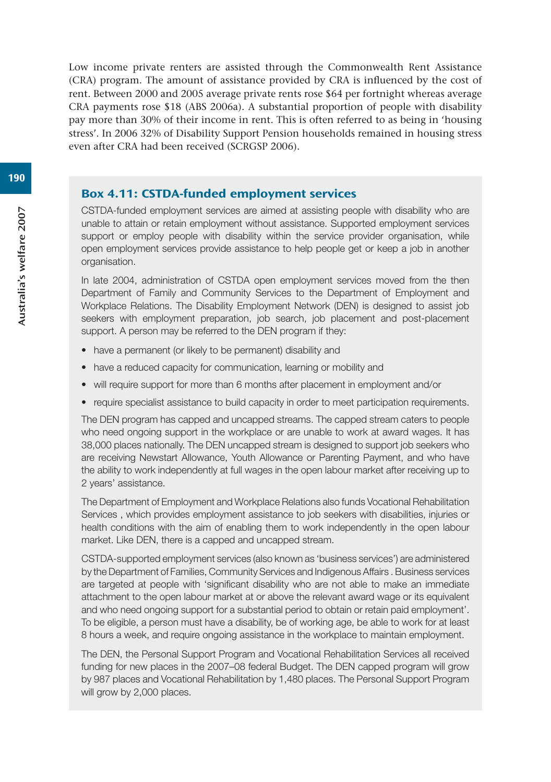Low income private renters are assisted through the Commonwealth Rent Assistance (CRA) program. The amount of assistance provided by CRA is influenced by the cost of rent. Between 2000 and 2005 average private rents rose \$64 per fortnight whereas average CRA payments rose \$18 (ABS 2006a). A substantial proportion of people with disability pay more than 30% of their income in rent. This is often referred to as being in 'housing stress'. In 2006 32% of Disability Support Pension households remained in housing stress even after CRA had been received (SCRGSP 2006).

#### Box 4.11: CSTDA-funded employment services

CSTDA-funded employment services are aimed at assisting people with disability who are unable to attain or retain employment without assistance. Supported employment services support or employ people with disability within the service provider organisation, while open employment services provide assistance to help people get or keep a job in another organisation.

In late 2004, administration of CSTDA open employment services moved from the then Department of Family and Community Services to the Department of Employment and Workplace Relations. The Disability Employment Network (DEN) is designed to assist job seekers with employment preparation, job search, job placement and post-placement support. A person may be referred to the DEN program if they:

- have a permanent (or likely to be permanent) disability and
- have a reduced capacity for communication, learning or mobility and
- will require support for more than 6 months after placement in employment and/or
- require specialist assistance to build capacity in order to meet participation requirements.

The DEN program has capped and uncapped streams. The capped stream caters to people who need ongoing support in the workplace or are unable to work at award wages. It has 38,000 places nationally. The DEN uncapped stream is designed to support job seekers who are receiving Newstart Allowance, Youth Allowance or Parenting Payment, and who have the ability to work independently at full wages in the open labour market after receiving up to 2 years' assistance.

The Department of Employment and Workplace Relations also funds Vocational Rehabilitation Services , which provides employment assistance to job seekers with disabilities, injuries or health conditions with the aim of enabling them to work independently in the open labour market. Like DEN, there is a capped and uncapped stream.

CSTDA-supported employment services (also known as 'business services') are administered by the Department of Families, Community Services and Indigenous Affairs . Business services are targeted at people with 'significant disability who are not able to make an immediate attachment to the open labour market at or above the relevant award wage or its equivalent and who need ongoing support for a substantial period to obtain or retain paid employment'. To be eligible, a person must have a disability, be of working age, be able to work for at least 8 hours a week, and require ongoing assistance in the workplace to maintain employment.

The DEN, the Personal Support Program and Vocational Rehabilitation Services all received funding for new places in the 2007–08 federal Budget. The DEN capped program will grow by 987 places and Vocational Rehabilitation by 1,480 places. The Personal Support Program will grow by 2,000 places.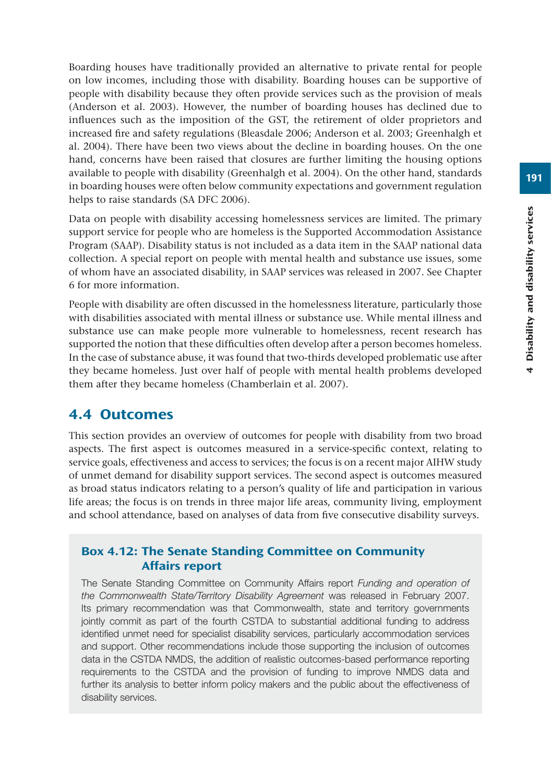Boarding houses have traditionally provided an alternative to private rental for people on low incomes, including those with disability. Boarding houses can be supportive of people with disability because they often provide services such as the provision of meals (Anderson et al. 2003). However, the number of boarding houses has declined due to influences such as the imposition of the GST, the retirement of older proprietors and increased fire and safety regulations (Bleasdale 2006; Anderson et al. 2003; Greenhalgh et al. 2004). There have been two views about the decline in boarding houses. On the one hand, concerns have been raised that closures are further limiting the housing options available to people with disability (Greenhalgh et al. 2004). On the other hand, standards in boarding houses were often below community expectations and government regulation helps to raise standards (SA DFC 2006).

Data on people with disability accessing homelessness services are limited. The primary support service for people who are homeless is the Supported Accommodation Assistance Program (SAAP). Disability status is not included as a data item in the SAAP national data collection. A special report on people with mental health and substance use issues, some of whom have an associated disability, in SAAP services was released in 2007. See Chapter 6 for more information.

People with disability are often discussed in the homelessness literature, particularly those with disabilities associated with mental illness or substance use. While mental illness and substance use can make people more vulnerable to homelessness, recent research has supported the notion that these difficulties often develop after a person becomes homeless. In the case of substance abuse, it was found that two-thirds developed problematic use after they became homeless. Just over half of people with mental health problems developed them after they became homeless (Chamberlain et al. 2007).

# 4.4 Outcomes

This section provides an overview of outcomes for people with disability from two broad aspects. The first aspect is outcomes measured in a service-specific context, relating to service goals, effectiveness and access to services; the focus is on a recent major AIHW study of unmet demand for disability support services. The second aspect is outcomes measured as broad status indicators relating to a person's quality of life and participation in various life areas; the focus is on trends in three major life areas, community living, employment and school attendance, based on analyses of data from five consecutive disability surveys.

## Box 4.12: The Senate Standing Committee on Community Affairs report

The Senate Standing Committee on Community Affairs report *Funding and operation of the Commonwealth State/Territory Disability Agreement* was released in February 2007. Its primary recommendation was that Commonwealth, state and territory governments jointly commit as part of the fourth CSTDA to substantial additional funding to address identified unmet need for specialist disability services, particularly accommodation services and support. Other recommendations include those supporting the inclusion of outcomes data in the CSTDA NMDS, the addition of realistic outcomes-based performance reporting requirements to the CSTDA and the provision of funding to improve NMDS data and further its analysis to better inform policy makers and the public about the effectiveness of disability services.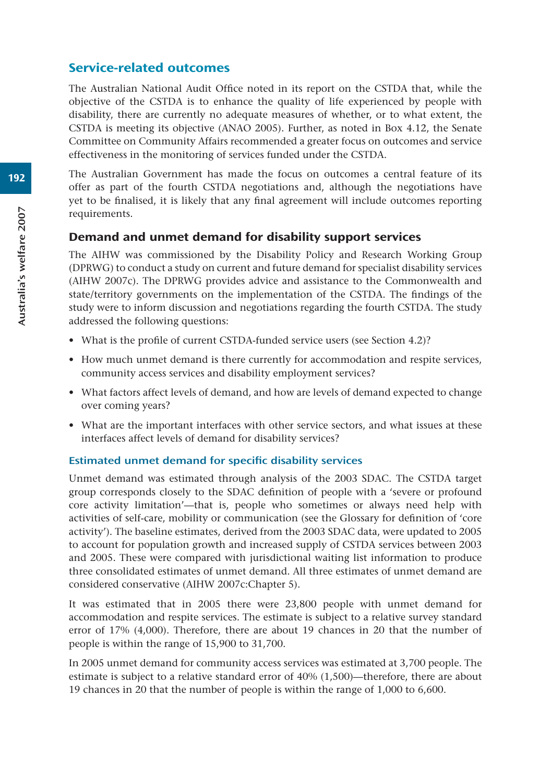## Service-related outcomes

The Australian National Audit Office noted in its report on the CSTDA that, while the objective of the CSTDA is to enhance the quality of life experienced by people with disability, there are currently no adequate measures of whether, or to what extent, the CSTDA is meeting its objective (ANAO 2005). Further, as noted in Box 4.12, the Senate Committee on Community Affairs recommended a greater focus on outcomes and service effectiveness in the monitoring of services funded under the CSTDA.

The Australian Government has made the focus on outcomes a central feature of its offer as part of the fourth CSTDA negotiations and, although the negotiations have yet to be finalised, it is likely that any final agreement will include outcomes reporting requirements.

## Demand and unmet demand for disability support services

The AIHW was commissioned by the Disability Policy and Research Working Group (DPRWG) to conduct a study on current and future demand for specialist disability services (AIHW 2007c). The DPRWG provides advice and assistance to the Commonwealth and state/territory governments on the implementation of the CSTDA. The findings of the study were to inform discussion and negotiations regarding the fourth CSTDA. The study addressed the following questions:

- What is the profile of current CSTDA-funded service users (see Section 4.2)?
- How much unmet demand is there currently for accommodation and respite services, community access services and disability employment services?
- What factors affect levels of demand, and how are levels of demand expected to change over coming years?
- What are the important interfaces with other service sectors, and what issues at these interfaces affect levels of demand for disability services?

#### Estimated unmet demand for specific disability services

Unmet demand was estimated through analysis of the 2003 SDAC. The CSTDA target group corresponds closely to the SDAC definition of people with a 'severe or profound core activity limitation'—that is, people who sometimes or always need help with activities of self-care, mobility or communication (see the Glossary for definition of 'core activity'). The baseline estimates, derived from the 2003 SDAC data, were updated to 2005 to account for population growth and increased supply of CSTDA services between 2003 and 2005. These were compared with jurisdictional waiting list information to produce three consolidated estimates of unmet demand. All three estimates of unmet demand are considered conservative (AIHW 2007c:Chapter 5).

It was estimated that in 2005 there were 23,800 people with unmet demand for accommodation and respite services. The estimate is subject to a relative survey standard error of 17% (4,000). Therefore, there are about 19 chances in 20 that the number of people is within the range of 15,900 to 31,700.

In 2005 unmet demand for community access services was estimated at 3,700 people. The estimate is subject to a relative standard error of 40% (1,500)—therefore, there are about 19 chances in 20 that the number of people is within the range of 1,000 to 6,600.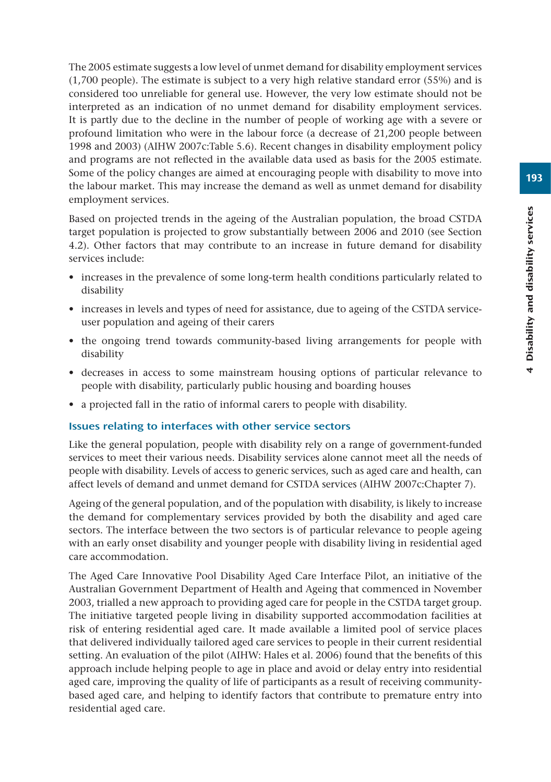The 2005 estimate suggests a low level of unmet demand for disability employment services (1,700 people). The estimate is subject to a very high relative standard error (55%) and is considered too unreliable for general use. However, the very low estimate should not be interpreted as an indication of no unmet demand for disability employment services. It is partly due to the decline in the number of people of working age with a severe or profound limitation who were in the labour force (a decrease of 21,200 people between 1998 and 2003) (AIHW 2007c:Table 5.6). Recent changes in disability employment policy and programs are not reflected in the available data used as basis for the 2005 estimate. Some of the policy changes are aimed at encouraging people with disability to move into the labour market. This may increase the demand as well as unmet demand for disability employment services.

Based on projected trends in the ageing of the Australian population, the broad CSTDA target population is projected to grow substantially between 2006 and 2010 (see Section 4.2). Other factors that may contribute to an increase in future demand for disability services include:

- increases in the prevalence of some long-term health conditions particularly related to disability
- increases in levels and types of need for assistance, due to ageing of the CSTDA serviceuser population and ageing of their carers
- the ongoing trend towards community-based living arrangements for people with disability
- decreases in access to some mainstream housing options of particular relevance to people with disability, particularly public housing and boarding houses
- a projected fall in the ratio of informal carers to people with disability.

#### Issues relating to interfaces with other service sectors

Like the general population, people with disability rely on a range of government-funded services to meet their various needs. Disability services alone cannot meet all the needs of people with disability. Levels of access to generic services, such as aged care and health, can affect levels of demand and unmet demand for CSTDA services (AIHW 2007c:Chapter 7).

Ageing of the general population, and of the population with disability, is likely to increase the demand for complementary services provided by both the disability and aged care sectors. The interface between the two sectors is of particular relevance to people ageing with an early onset disability and younger people with disability living in residential aged care accommodation.

The Aged Care Innovative Pool Disability Aged Care Interface Pilot, an initiative of the Australian Government Department of Health and Ageing that commenced in November 2003, trialled a new approach to providing aged care for people in the CSTDA target group. The initiative targeted people living in disability supported accommodation facilities at risk of entering residential aged care. It made available a limited pool of service places that delivered individually tailored aged care services to people in their current residential setting. An evaluation of the pilot (AIHW: Hales et al. 2006) found that the benefits of this approach include helping people to age in place and avoid or delay entry into residential aged care, improving the quality of life of participants as a result of receiving communitybased aged care, and helping to identify factors that contribute to premature entry into residential aged care.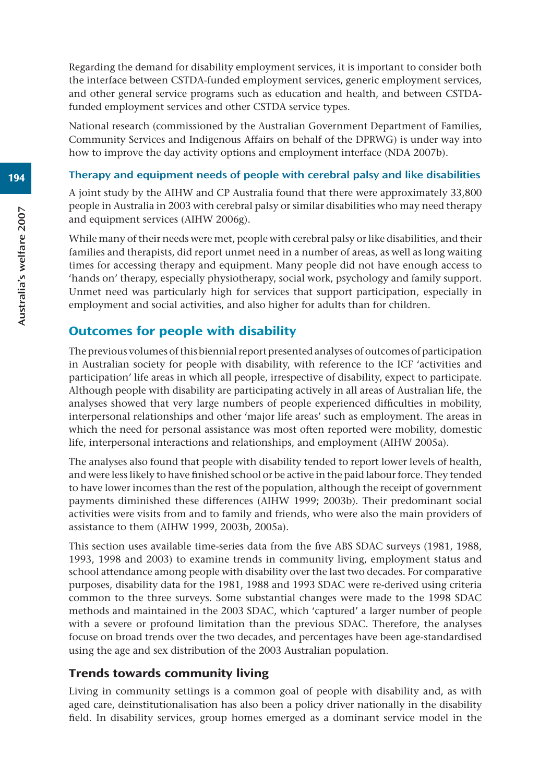Regarding the demand for disability employment services, it is important to consider both the interface between CSTDA-funded employment services, generic employment services, and other general service programs such as education and health, and between CSTDAfunded employment services and other CSTDA service types.

National research (commissioned by the Australian Government Department of Families, Community Services and Indigenous Affairs on behalf of the DPRWG) is under way into how to improve the day activity options and employment interface (NDA 2007b).

#### Therapy and equipment needs of people with cerebral palsy and like disabilities

A joint study by the AIHW and CP Australia found that there were approximately 33,800 people in Australia in 2003 with cerebral palsy or similar disabilities who may need therapy and equipment services (AIHW 2006g).

While many of their needs were met, people with cerebral palsy or like disabilities, and their families and therapists, did report unmet need in a number of areas, as well as long waiting times for accessing therapy and equipment. Many people did not have enough access to 'hands on' therapy, especially physiotherapy, social work, psychology and family support. Unmet need was particularly high for services that support participation, especially in employment and social activities, and also higher for adults than for children.

# Outcomes for people with disability

The previous volumes of this biennial report presented analyses of outcomes of participation in Australian society for people with disability, with reference to the ICF 'activities and participation' life areas in which all people, irrespective of disability, expect to participate. Although people with disability are participating actively in all areas of Australian life, the analyses showed that very large numbers of people experienced difficulties in mobility, interpersonal relationships and other 'major life areas' such as employment. The areas in which the need for personal assistance was most often reported were mobility, domestic life, interpersonal interactions and relationships, and employment (AIHW 2005a).

The analyses also found that people with disability tended to report lower levels of health, and were less likely to have finished school or be active in the paid labour force. They tended to have lower incomes than the rest of the population, although the receipt of government payments diminished these differences (AIHW 1999; 2003b). Their predominant social activities were visits from and to family and friends, who were also the main providers of assistance to them (AIHW 1999, 2003b, 2005a).

This section uses available time-series data from the five ABS SDAC surveys (1981, 1988, 1993, 1998 and 2003) to examine trends in community living, employment status and school attendance among people with disability over the last two decades. For comparative purposes, disability data for the 1981, 1988 and 1993 SDAC were re-derived using criteria common to the three surveys. Some substantial changes were made to the 1998 SDAC methods and maintained in the 2003 SDAC, which 'captured' a larger number of people with a severe or profound limitation than the previous SDAC. Therefore, the analyses focuse on broad trends over the two decades, and percentages have been age-standardised using the age and sex distribution of the 2003 Australian population.

# Trends towards community living

Living in community settings is a common goal of people with disability and, as with aged care, deinstitutionalisation has also been a policy driver nationally in the disability field. In disability services, group homes emerged as a dominant service model in the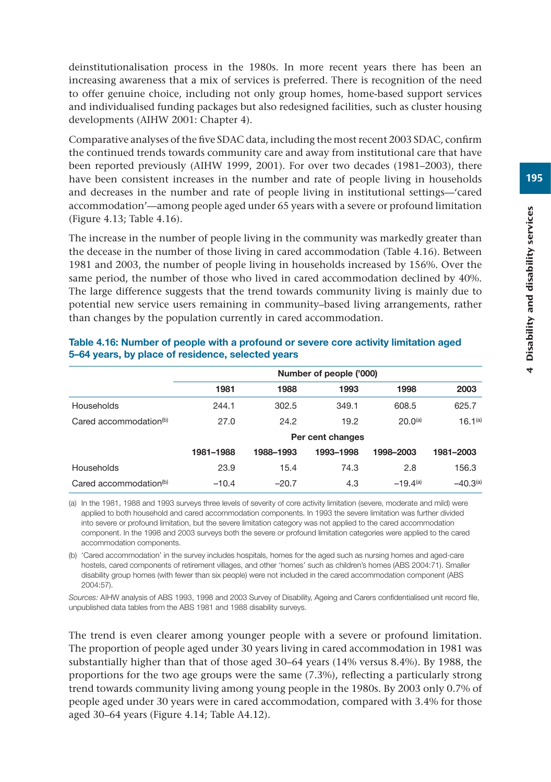deinstitutionalisation process in the 1980s. In more recent years there has been an increasing awareness that a mix of services is preferred. There is recognition of the need to offer genuine choice, including not only group homes, home-based support services and individualised funding packages but also redesigned facilities, such as cluster housing developments (AIHW 2001: Chapter 4).

Comparative analyses of the five SDAC data, including the most recent 2003 SDAC, confirm the continued trends towards community care and away from institutional care that have been reported previously (AIHW 1999, 2001). For over two decades (1981–2003), there have been consistent increases in the number and rate of people living in households and decreases in the number and rate of people living in institutional settings—'cared accommodation'—among people aged under 65 years with a severe or profound limitation (Figure 4.13; Table 4.16).

The increase in the number of people living in the community was markedly greater than the decease in the number of those living in cared accommodation (Table 4.16). Between 1981 and 2003, the number of people living in households increased by 156%. Over the same period, the number of those who lived in cared accommodation declined by 40%. The large difference suggests that the trend towards community living is mainly due to potential new service users remaining in community–based living arrangements, rather than changes by the population currently in cared accommodation.

|                                    |           |                  | Number of people ('000) |               |                     |  |  |
|------------------------------------|-----------|------------------|-------------------------|---------------|---------------------|--|--|
|                                    | 1981      | 1988             | 1993                    | 1998          | 2003                |  |  |
| Households                         | 244.1     | 302.5            | 349.1                   | 608.5         | 625.7               |  |  |
| Cared accommodation $(b)$          | 27.0      | 24.2             | 19.2                    | $20.0^{(a)}$  | 16.1 <sup>(a)</sup> |  |  |
|                                    |           | Per cent changes |                         |               |                     |  |  |
|                                    | 1981-1988 | 1988-1993        | 1993-1998               | 1998-2003     | 1981-2003           |  |  |
| Households                         | 23.9      | 15.4             | 74.3                    | 2.8           | 156.3               |  |  |
| Cared accommodation <sup>(b)</sup> | $-10.4$   | $-20.7$          | 4.3                     | $-19.4^{(a)}$ | $-40.3(a)$          |  |  |

#### **Table 4.16: Number of people with a profound or severe core activity limitation aged 5–64 years, by place of residence, selected years**

(a) In the 1981, 1988 and 1993 surveys three levels of severity of core activity limitation (severe, moderate and mild) were applied to both household and cared accommodation components. In 1993 the severe limitation was further divided into severe or profound limitation, but the severe limitation category was not applied to the cared accommodation component. In the 1998 and 2003 surveys both the severe or profound limitation categories were applied to the cared accommodation components.

(b) 'Cared accommodation' in the survey includes hospitals, homes for the aged such as nursing homes and aged-care hostels, cared components of retirement villages, and other 'homes' such as children's homes (ABS 2004:71). Smaller disability group homes (with fewer than six people) were not included in the cared accommodation component (ABS 2004:57).

*Sources:* AIHW analysis of ABS 1993, 1998 and 2003 Survey of Disability, Ageing and Carers confidentialised unit record file, unpublished data tables from the ABS 1981 and 1988 disability surveys.

The trend is even clearer among younger people with a severe or profound limitation. The proportion of people aged under 30 years living in cared accommodation in 1981 was substantially higher than that of those aged 30–64 years (14% versus 8.4%). By 1988, the proportions for the two age groups were the same (7.3%), reflecting a particularly strong trend towards community living among young people in the 1980s. By 2003 only 0.7% of people aged under 30 years were in cared accommodation, compared with 3.4% for those aged 30–64 years (Figure 4.14; Table A4.12).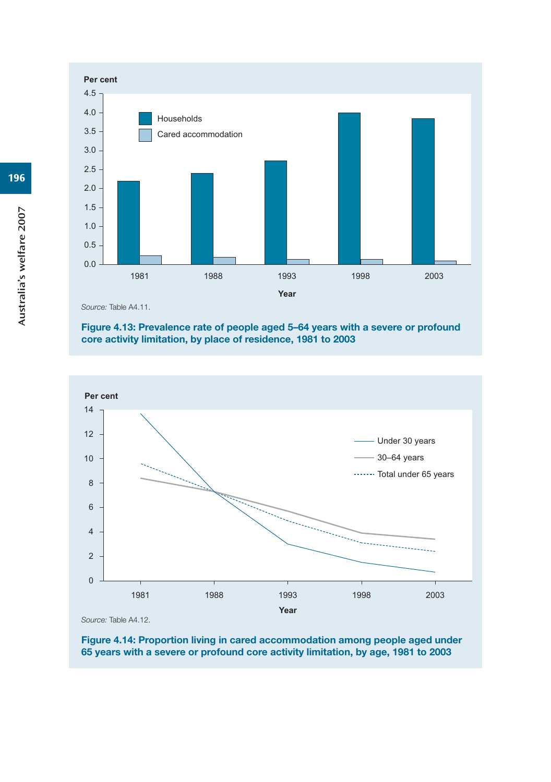

*Source:* Table A4.11.

#### **Figure 4.13: Prevalence rate of people aged 5–64 years with a severe or profound core activity limitation, by place of residence, 1981 to 2003**



**Figure 4.14: Proportion living in cared accommodation among people aged under 65 years with a severe or profound core activity limitation, by age, 1981 to 2003**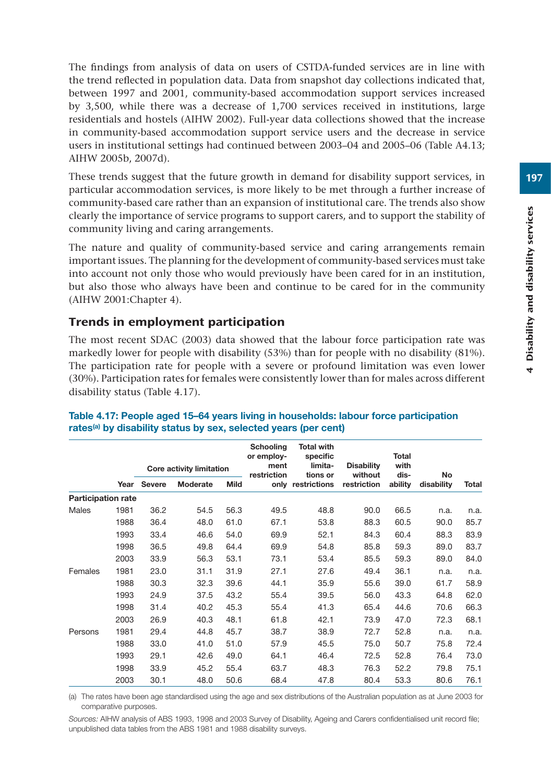The findings from analysis of data on users of CSTDA-funded services are in line with the trend reflected in population data. Data from snapshot day collections indicated that, between 1997 and 2001, community-based accommodation support services increased by 3,500, while there was a decrease of 1,700 services received in institutions, large residentials and hostels (AIHW 2002). Full-year data collections showed that the increase in community-based accommodation support service users and the decrease in service users in institutional settings had continued between 2003–04 and 2005–06 (Table A4.13; AIHW 2005b, 2007d).

These trends suggest that the future growth in demand for disability support services, in particular accommodation services, is more likely to be met through a further increase of community-based care rather than an expansion of institutional care. The trends also show clearly the importance of service programs to support carers, and to support the stability of community living and caring arrangements.

The nature and quality of community-based service and caring arrangements remain important issues. The planning for the development of community-based services must take into account not only those who would previously have been cared for in an institution, but also those who always have been and continue to be cared for in the community (AIHW 2001:Chapter 4).

## Trends in employment participation

The most recent SDAC (2003) data showed that the labour force participation rate was markedly lower for people with disability (53%) than for people with no disability (81%). The participation rate for people with a severe or profound limitation was even lower (30%). Participation rates for females were consistently lower than for males across different disability status (Table 4.17).

|                           |      |               | <b>Core activity limitation</b> |             | <b>Schooling</b><br>or employ-<br>ment<br>restriction | <b>Total with</b><br>specific<br>limita-<br>tions or | <b>Disability</b><br>without | Total<br>with<br>dis- | <b>No</b>  |       |
|---------------------------|------|---------------|---------------------------------|-------------|-------------------------------------------------------|------------------------------------------------------|------------------------------|-----------------------|------------|-------|
|                           | Year | <b>Severe</b> | Moderate                        | <b>Mild</b> |                                                       | only restrictions                                    | restriction                  | ability               | disability | Total |
| <b>Participation rate</b> |      |               |                                 |             |                                                       |                                                      |                              |                       |            |       |
| <b>Males</b>              | 1981 | 36.2          | 54.5                            | 56.3        | 49.5                                                  | 48.8                                                 | 90.0                         | 66.5                  | n.a.       | n.a.  |
|                           | 1988 | 36.4          | 48.0                            | 61.0        | 67.1                                                  | 53.8                                                 | 88.3                         | 60.5                  | 90.0       | 85.7  |
|                           | 1993 | 33.4          | 46.6                            | 54.0        | 69.9                                                  | 52.1                                                 | 84.3                         | 60.4                  | 88.3       | 83.9  |
|                           | 1998 | 36.5          | 49.8                            | 64.4        | 69.9                                                  | 54.8                                                 | 85.8                         | 59.3                  | 89.0       | 83.7  |
|                           | 2003 | 33.9          | 56.3                            | 53.1        | 73.1                                                  | 53.4                                                 | 85.5                         | 59.3                  | 89.0       | 84.0  |
| Females                   | 1981 | 23.0          | 31.1                            | 31.9        | 27.1                                                  | 27.6                                                 | 49.4                         | 36.1                  | n.a.       | n.a.  |
|                           | 1988 | 30.3          | 32.3                            | 39.6        | 44.1                                                  | 35.9                                                 | 55.6                         | 39.0                  | 61.7       | 58.9  |
|                           | 1993 | 24.9          | 37.5                            | 43.2        | 55.4                                                  | 39.5                                                 | 56.0                         | 43.3                  | 64.8       | 62.0  |
|                           | 1998 | 31.4          | 40.2                            | 45.3        | 55.4                                                  | 41.3                                                 | 65.4                         | 44.6                  | 70.6       | 66.3  |
|                           | 2003 | 26.9          | 40.3                            | 48.1        | 61.8                                                  | 42.1                                                 | 73.9                         | 47.0                  | 72.3       | 68.1  |
| Persons                   | 1981 | 29.4          | 44.8                            | 45.7        | 38.7                                                  | 38.9                                                 | 72.7                         | 52.8                  | n.a.       | n.a.  |
|                           | 1988 | 33.0          | 41.0                            | 51.0        | 57.9                                                  | 45.5                                                 | 75.0                         | 50.7                  | 75.8       | 72.4  |
|                           | 1993 | 29.1          | 42.6                            | 49.0        | 64.1                                                  | 46.4                                                 | 72.5                         | 52.8                  | 76.4       | 73.0  |
|                           | 1998 | 33.9          | 45.2                            | 55.4        | 63.7                                                  | 48.3                                                 | 76.3                         | 52.2                  | 79.8       | 75.1  |
|                           | 2003 | 30.1          | 48.0                            | 50.6        | 68.4                                                  | 47.8                                                 | 80.4                         | 53.3                  | 80.6       | 76.1  |

#### **Table 4.17: People aged 15–64 years living in households: labour force participation rates(a) by disability status by sex, selected years (per cent)**

(a) The rates have been age standardised using the age and sex distributions of the Australian population as at June 2003 for comparative purposes.

*Sources:* AIHW analysis of ABS 1993, 1998 and 2003 Survey of Disability, Ageing and Carers confidentialised unit record file; unpublished data tables from the ABS 1981 and 1988 disability surveys.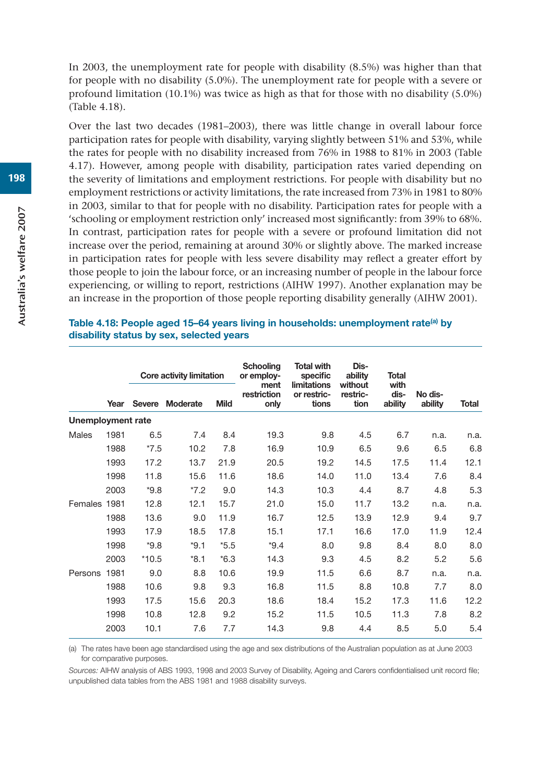In 2003, the unemployment rate for people with disability (8.5%) was higher than that for people with no disability (5.0%). The unemployment rate for people with a severe or profound limitation (10.1%) was twice as high as that for those with no disability (5.0%) (Table 4.18).

Over the last two decades (1981–2003), there was little change in overall labour force participation rates for people with disability, varying slightly between 51% and 53%, while the rates for people with no disability increased from 76% in 1988 to 81% in 2003 (Table 4.17). However, among people with disability, participation rates varied depending on the severity of limitations and employment restrictions. For people with disability but no employment restrictions or activity limitations, the rate increased from 73% in 1981 to 80% in 2003, similar to that for people with no disability. Participation rates for people with a 'schooling or employment restriction only' increased most significantly: from 39% to 68%. In contrast, participation rates for people with a severe or profound limitation did not increase over the period, remaining at around 30% or slightly above. The marked increase in participation rates for people with less severe disability may reflect a greater effort by those people to join the labour force, or an increasing number of people in the labour force experiencing, or willing to report, restrictions (AIHW 1997). Another explanation may be an increase in the proportion of those people reporting disability generally (AIHW 2001).

#### **Table 4.18: People aged 15–64 years living in households: unemployment rate(a) by disability status by sex, selected years**

|                   |      | Core activity limitation |          |             | <b>Schooling</b><br>or employ-<br>ment | <b>Total with</b><br>specific<br>limitations | Dis-<br>ability<br>without | <b>Total</b><br>with |                    |       |
|-------------------|------|--------------------------|----------|-------------|----------------------------------------|----------------------------------------------|----------------------------|----------------------|--------------------|-------|
|                   | Year | <b>Severe</b>            | Moderate | <b>Mild</b> | restriction<br>only                    | or restric-<br>tions                         | restric-<br>tion           | dis-<br>ability      | No dis-<br>ability | Total |
| Unemployment rate |      |                          |          |             |                                        |                                              |                            |                      |                    |       |
| Males             | 1981 | 6.5                      | 7.4      | 8.4         | 19.3                                   | 9.8                                          | 4.5                        | 6.7                  | n.a.               | n.a.  |
|                   | 1988 | $*7.5$                   | 10.2     | 7.8         | 16.9                                   | 10.9                                         | 6.5                        | 9.6                  | 6.5                | 6.8   |
|                   | 1993 | 17.2                     | 13.7     | 21.9        | 20.5                                   | 19.2                                         | 14.5                       | 17.5                 | 11.4               | 12.1  |
|                   | 1998 | 11.8                     | 15.6     | 11.6        | 18.6                                   | 14.0                                         | 11.0                       | 13.4                 | 7.6                | 8.4   |
|                   | 2003 | $*9.8$                   | $*7.2$   | 9.0         | 14.3                                   | 10.3                                         | 4.4                        | 8.7                  | 4.8                | 5.3   |
| Females 1981      |      | 12.8                     | 12.1     | 15.7        | 21.0                                   | 15.0                                         | 11.7                       | 13.2                 | n.a.               | n.a.  |
|                   | 1988 | 13.6                     | 9.0      | 11.9        | 16.7                                   | 12.5                                         | 13.9                       | 12.9                 | 9.4                | 9.7   |
|                   | 1993 | 17.9                     | 18.5     | 17.8        | 15.1                                   | 17.1                                         | 16.6                       | 17.0                 | 11.9               | 12.4  |
|                   | 1998 | $*9.8$                   | $*9.1$   | $*5.5$      | $*9.4$                                 | 8.0                                          | 9.8                        | 8.4                  | 8.0                | 8.0   |
|                   | 2003 | $*10.5$                  | $*8.1$   | $*6.3$      | 14.3                                   | 9.3                                          | 4.5                        | 8.2                  | 5.2                | 5.6   |
| Persons 1981      |      | 9.0                      | 8.8      | 10.6        | 19.9                                   | 11.5                                         | 6.6                        | 8.7                  | n.a.               | n.a.  |
|                   | 1988 | 10.6                     | 9.8      | 9.3         | 16.8                                   | 11.5                                         | 8.8                        | 10.8                 | 7.7                | 8.0   |
|                   | 1993 | 17.5                     | 15.6     | 20.3        | 18.6                                   | 18.4                                         | 15.2                       | 17.3                 | 11.6               | 12.2  |
|                   | 1998 | 10.8                     | 12.8     | 9.2         | 15.2                                   | 11.5                                         | 10.5                       | 11.3                 | 7.8                | 8.2   |
|                   | 2003 | 10.1                     | 7.6      | 7.7         | 14.3                                   | 9.8                                          | 4.4                        | 8.5                  | 5.0                | 5.4   |

(a) The rates have been age standardised using the age and sex distributions of the Australian population as at June 2003 for comparative purposes.

*Sources:* AIHW analysis of ABS 1993, 1998 and 2003 Survey of Disability, Ageing and Carers confidentialised unit record file; unpublished data tables from the ABS 1981 and 1988 disability surveys.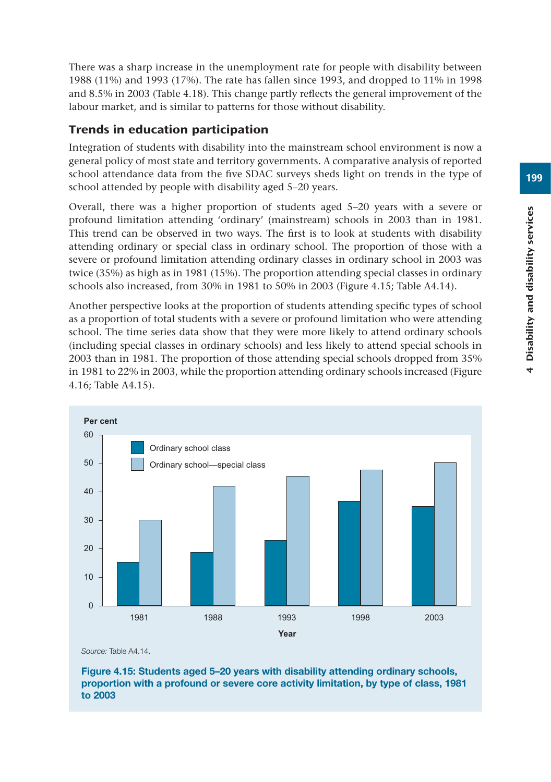There was a sharp increase in the unemployment rate for people with disability between 1988 (11%) and 1993 (17%). The rate has fallen since 1993, and dropped to 11% in 1998 and 8.5% in 2003 (Table 4.18). This change partly reflects the general improvement of the labour market, and is similar to patterns for those without disability.

# Trends in education participation

Integration of students with disability into the mainstream school environment is now a general policy of most state and territory governments. A comparative analysis of reported school attendance data from the five SDAC surveys sheds light on trends in the type of school attended by people with disability aged 5–20 years.

Overall, there was a higher proportion of students aged 5–20 years with a severe or profound limitation attending 'ordinary' (mainstream) schools in 2003 than in 1981. This trend can be observed in two ways. The first is to look at students with disability attending ordinary or special class in ordinary school. The proportion of those with a severe or profound limitation attending ordinary classes in ordinary school in 2003 was twice (35%) as high as in 1981 (15%). The proportion attending special classes in ordinary schools also increased, from 30% in 1981 to 50% in 2003 (Figure 4.15; Table A4.14).

Another perspective looks at the proportion of students attending specific types of school as a proportion of total students with a severe or profound limitation who were attending school. The time series data show that they were more likely to attend ordinary schools (including special classes in ordinary schools) and less likely to attend special schools in 2003 than in 1981. The proportion of those attending special schools dropped from 35% in 1981 to 22% in 2003, while the proportion attending ordinary schools increased (Figure 4.16; Table A4.15).



*Source:* Table A4.14.

**Figure 4.15: Students aged 5–20 years with disability attending ordinary schools, proportion with a profound or severe core activity limitation, by type of class, 1981 to 2003**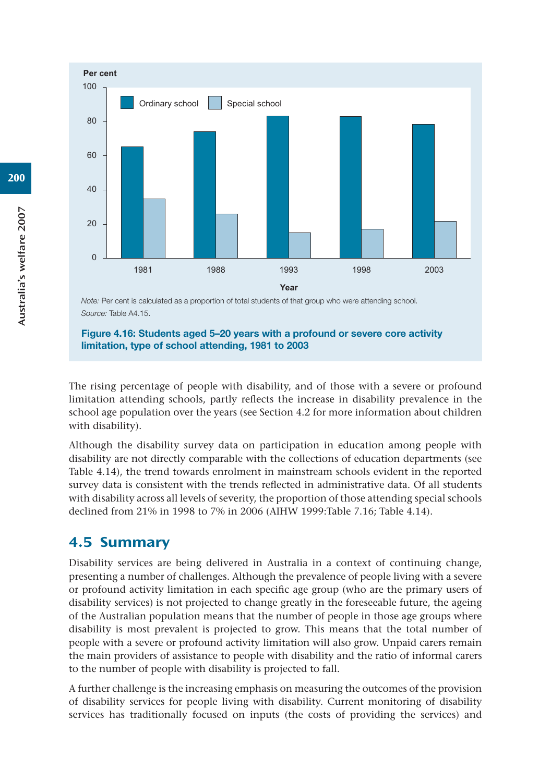**Per cent Year**  $\Omega$ 20  $40$ 60  $80$ 100 Ordinary school | Special school 1981 1988 1993 1998 2003

*Note:* Per cent is calculated as a proportion of total students of that group who were attending school. *Source:* Table A4.15.

**Figure 4.16: Students aged 5–20 years with a profound or severe core activity limitation, type of school attending, 1981 to 2003**

The rising percentage of people with disability, and of those with a severe or profound limitation attending schools, partly reflects the increase in disability prevalence in the school age population over the years (see Section 4.2 for more information about children with disability).

Although the disability survey data on participation in education among people with disability are not directly comparable with the collections of education departments (see Table 4.14), the trend towards enrolment in mainstream schools evident in the reported survey data is consistent with the trends reflected in administrative data. Of all students with disability across all levels of severity, the proportion of those attending special schools declined from 21% in 1998 to 7% in 2006 (AIHW 1999:Table 7.16; Table 4.14).

# 4.5 Summary

Disability services are being delivered in Australia in a context of continuing change, presenting a number of challenges. Although the prevalence of people living with a severe or profound activity limitation in each specific age group (who are the primary users of disability services) is not projected to change greatly in the foreseeable future, the ageing of the Australian population means that the number of people in those age groups where disability is most prevalent is projected to grow. This means that the total number of people with a severe or profound activity limitation will also grow. Unpaid carers remain the main providers of assistance to people with disability and the ratio of informal carers to the number of people with disability is projected to fall.

A further challenge is the increasing emphasis on measuring the outcomes of the provision of disability services for people living with disability. Current monitoring of disability services has traditionally focused on inputs (the costs of providing the services) and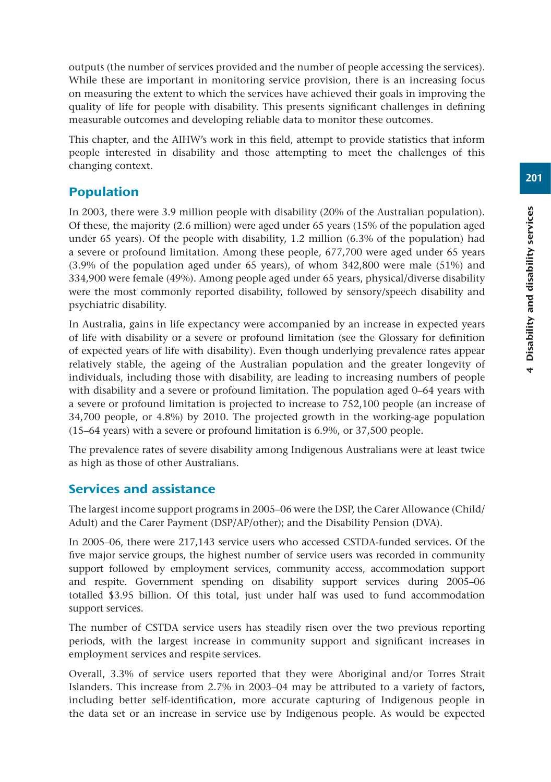201

outputs (the number of services provided and the number of people accessing the services). While these are important in monitoring service provision, there is an increasing focus on measuring the extent to which the services have achieved their goals in improving the quality of life for people with disability. This presents significant challenges in defining measurable outcomes and developing reliable data to monitor these outcomes.

This chapter, and the AIHW's work in this field, attempt to provide statistics that inform people interested in disability and those attempting to meet the challenges of this changing context.

# Population

In 2003, there were 3.9 million people with disability (20% of the Australian population). Of these, the majority (2.6 million) were aged under 65 years (15% of the population aged under 65 years). Of the people with disability, 1.2 million (6.3% of the population) had a severe or profound limitation. Among these people, 677,700 were aged under 65 years (3.9% of the population aged under 65 years), of whom 342,800 were male (51%) and 334,900 were female (49%). Among people aged under 65 years, physical/diverse disability were the most commonly reported disability, followed by sensory/speech disability and psychiatric disability.

In Australia, gains in life expectancy were accompanied by an increase in expected years of life with disability or a severe or profound limitation (see the Glossary for definition of expected years of life with disability). Even though underlying prevalence rates appear relatively stable, the ageing of the Australian population and the greater longevity of individuals, including those with disability, are leading to increasing numbers of people with disability and a severe or profound limitation. The population aged 0–64 years with a severe or profound limitation is projected to increase to 752,100 people (an increase of 34,700 people, or 4.8%) by 2010. The projected growth in the working-age population (15–64 years) with a severe or profound limitation is 6.9%, or 37,500 people.

The prevalence rates of severe disability among Indigenous Australians were at least twice as high as those of other Australians.

# Services and assistance

The largest income support programs in 2005–06 were the DSP, the Carer Allowance (Child/ Adult) and the Carer Payment (DSP/AP/other); and the Disability Pension (DVA).

In 2005–06, there were 217,143 service users who accessed CSTDA-funded services. Of the five major service groups, the highest number of service users was recorded in community support followed by employment services, community access, accommodation support and respite. Government spending on disability support services during 2005–06 totalled \$3.95 billion. Of this total, just under half was used to fund accommodation support services.

The number of CSTDA service users has steadily risen over the two previous reporting periods, with the largest increase in community support and significant increases in employment services and respite services.

Overall, 3.3% of service users reported that they were Aboriginal and/or Torres Strait Islanders. This increase from 2.7% in 2003–04 may be attributed to a variety of factors, including better self-identification, more accurate capturing of Indigenous people in the data set or an increase in service use by Indigenous people. As would be expected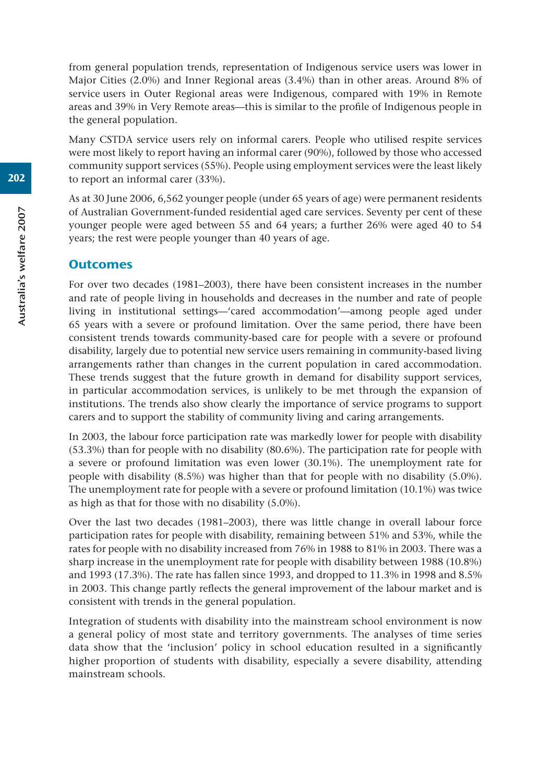from general population trends, representation of Indigenous service users was lower in Major Cities (2.0%) and Inner Regional areas (3.4%) than in other areas. Around 8% of service users in Outer Regional areas were Indigenous, compared with 19% in Remote areas and 39% in Very Remote areas—this is similar to the profile of Indigenous people in the general population.

Many CSTDA service users rely on informal carers. People who utilised respite services were most likely to report having an informal carer (90%), followed by those who accessed community support services (55%). People using employment services were the least likely to report an informal carer (33%).

As at 30 June 2006, 6,562 younger people (under 65 years of age) were permanent residents of Australian Government-funded residential aged care services. Seventy per cent of these younger people were aged between 55 and 64 years; a further 26% were aged 40 to 54 years; the rest were people younger than 40 years of age.

#### **Outcomes**

For over two decades (1981–2003), there have been consistent increases in the number and rate of people living in households and decreases in the number and rate of people living in institutional settings—'cared accommodation'—among people aged under 65 years with a severe or profound limitation. Over the same period, there have been consistent trends towards community-based care for people with a severe or profound disability, largely due to potential new service users remaining in community-based living arrangements rather than changes in the current population in cared accommodation. These trends suggest that the future growth in demand for disability support services, in particular accommodation services, is unlikely to be met through the expansion of institutions. The trends also show clearly the importance of service programs to support carers and to support the stability of community living and caring arrangements.

In 2003, the labour force participation rate was markedly lower for people with disability (53.3%) than for people with no disability (80.6%). The participation rate for people with a severe or profound limitation was even lower (30.1%). The unemployment rate for people with disability (8.5%) was higher than that for people with no disability (5.0%). The unemployment rate for people with a severe or profound limitation (10.1%) was twice as high as that for those with no disability (5.0%).

Over the last two decades (1981–2003), there was little change in overall labour force participation rates for people with disability, remaining between 51% and 53%, while the rates for people with no disability increased from 76% in 1988 to 81% in 2003. There was a sharp increase in the unemployment rate for people with disability between 1988 (10.8%) and 1993 (17.3%). The rate has fallen since 1993, and dropped to 11.3% in 1998 and 8.5% in 2003. This change partly reflects the general improvement of the labour market and is consistent with trends in the general population.

Integration of students with disability into the mainstream school environment is now a general policy of most state and territory governments. The analyses of time series data show that the 'inclusion' policy in school education resulted in a significantly higher proportion of students with disability, especially a severe disability, attending mainstream schools.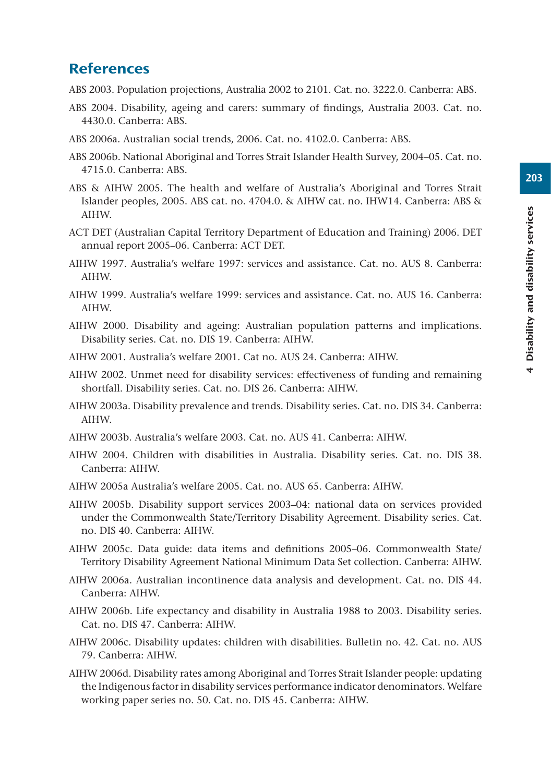# **References**

ABS 2003. Population projections, Australia 2002 to 2101. Cat. no. 3222.0. Canberra: ABS.

- ABS 2004. Disability, ageing and carers: summary of findings, Australia 2003. Cat. no. 4430.0. Canberra: ABS.
- ABS 2006a. Australian social trends, 2006. Cat. no. 4102.0. Canberra: ABS.
- ABS 2006b. National Aboriginal and Torres Strait Islander Health Survey, 2004–05. Cat. no. 4715.0. Canberra: ABS.
- ABS & AIHW 2005. The health and welfare of Australia's Aboriginal and Torres Strait Islander peoples, 2005. ABS cat. no. 4704.0. & AIHW cat. no. IHW14. Canberra: ABS & AIHW.
- ACT DET (Australian Capital Territory Department of Education and Training) 2006. DET annual report 2005–06. Canberra: ACT DET.
- AIHW 1997. Australia's welfare 1997: services and assistance. Cat. no. AUS 8. Canberra: AIHW.
- AIHW 1999. Australia's welfare 1999: services and assistance. Cat. no. AUS 16. Canberra: AIHW.
- AIHW 2000. Disability and ageing: Australian population patterns and implications. Disability series. Cat. no. DIS 19. Canberra: AIHW.
- AIHW 2001. Australia's welfare 2001. Cat no. AUS 24. Canberra: AIHW.
- AIHW 2002. Unmet need for disability services: effectiveness of funding and remaining shortfall. Disability series. Cat. no. DIS 26. Canberra: AIHW.
- AIHW 2003a. Disability prevalence and trends. Disability series. Cat. no. DIS 34. Canberra: AIHW.
- AIHW 2003b. Australia's welfare 2003. Cat. no. AUS 41. Canberra: AIHW.
- AIHW 2004. Children with disabilities in Australia. Disability series. Cat. no. DIS 38. Canberra: AIHW.
- AIHW 2005a Australia's welfare 2005. Cat. no. AUS 65. Canberra: AIHW.
- AIHW 2005b. Disability support services 2003–04: national data on services provided under the Commonwealth State/Territory Disability Agreement. Disability series. Cat. no. DIS 40. Canberra: AIHW.
- AIHW 2005c. Data guide: data items and definitions 2005–06. Commonwealth State/ Territory Disability Agreement National Minimum Data Set collection. Canberra: AIHW.
- AIHW 2006a. Australian incontinence data analysis and development. Cat. no. DIS 44. Canberra: AIHW.
- AIHW 2006b. Life expectancy and disability in Australia 1988 to 2003. Disability series. Cat. no. DIS 47. Canberra: AIHW.
- AIHW 2006c. Disability updates: children with disabilities. Bulletin no. 42. Cat. no. AUS 79. Canberra: AIHW.
- AIHW 2006d. Disability rates among Aboriginal and Torres Strait Islander people: updating the Indigenous factor in disability services performance indicator denominators. Welfare working paper series no. 50. Cat. no. DIS 45. Canberra: AIHW.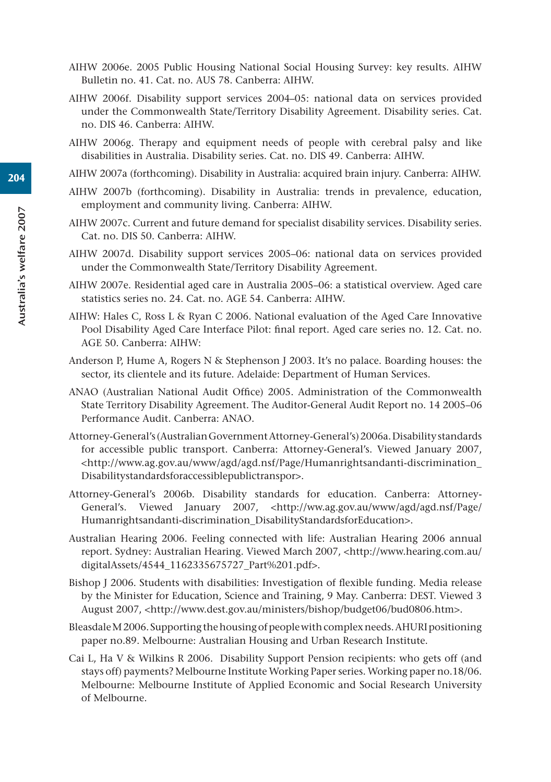- AIHW 2006e. 2005 Public Housing National Social Housing Survey: key results. AIHW Bulletin no. 41. Cat. no. AUS 78. Canberra: AIHW.
- AIHW 2006f. Disability support services 2004–05: national data on services provided under the Commonwealth State/Territory Disability Agreement. Disability series. Cat. no. DIS 46. Canberra: AIHW.
- AIHW 2006g. Therapy and equipment needs of people with cerebral palsy and like disabilities in Australia. Disability series. Cat. no. DIS 49. Canberra: AIHW.
- AIHW 2007a (forthcoming). Disability in Australia: acquired brain injury. Canberra: AIHW.
- AIHW 2007b (forthcoming). Disability in Australia: trends in prevalence, education, employment and community living. Canberra: AIHW.
- AIHW 2007c. Current and future demand for specialist disability services. Disability series. Cat. no. DIS 50. Canberra: AIHW.
- AIHW 2007d. Disability support services 2005–06: national data on services provided under the Commonwealth State/Territory Disability Agreement.
- AIHW 2007e. Residential aged care in Australia 2005–06: a statistical overview. Aged care statistics series no. 24. Cat. no. AGE 54. Canberra: AIHW.
- AIHW: Hales C, Ross L & Ryan C 2006. National evaluation of the Aged Care Innovative Pool Disability Aged Care Interface Pilot: final report. Aged care series no. 12. Cat. no. AGE 50. Canberra: AIHW:
- Anderson P, Hume A, Rogers N & Stephenson J 2003. It's no palace. Boarding houses: the sector, its clientele and its future. Adelaide: Department of Human Services.
- ANAO (Australian National Audit Office) 2005. Administration of the Commonwealth State Territory Disability Agreement. The Auditor-General Audit Report no. 14 2005–06 Performance Audit. Canberra: ANAO.
- Attorney-General's (Australian Government Attorney-General's) 2006a. Disability standards for accessible public transport. Canberra: Attorney-General's. Viewed January 2007, <http://www.ag.gov.au/www/agd/agd.nsf/Page/Humanrightsandanti-discrimination\_ Disabilitystandardsforaccessiblepublictranspor>.
- Attorney-General's 2006b. Disability standards for education. Canberra: Attorney-General's. Viewed January 2007, <http://ww.ag.gov.au/www/agd/agd.nsf/Page/ Humanrightsandanti-discrimination\_DisabilityStandardsforEducation>.
- Australian Hearing 2006. Feeling connected with life: Australian Hearing 2006 annual report. Sydney: Australian Hearing. Viewed March 2007, <http://www.hearing.com.au/ digitalAssets/4544\_1162335675727\_Part%201.pdf>.
- Bishop J 2006. Students with disabilities: Investigation of flexible funding. Media release by the Minister for Education, Science and Training, 9 May. Canberra: DEST. Viewed 3 August 2007, <http://www.dest.gov.au/ministers/bishop/budget06/bud0806.htm>.
- Bleasdale M 2006. Supporting the housing of people with complex needs. AHURI positioning paper no.89. Melbourne: Australian Housing and Urban Research Institute.
- Cai L, Ha V & Wilkins R 2006. Disability Support Pension recipients: who gets off (and stays off) payments? Melbourne Institute Working Paper series. Working paper no.18/06. Melbourne: Melbourne Institute of Applied Economic and Social Research University of Melbourne.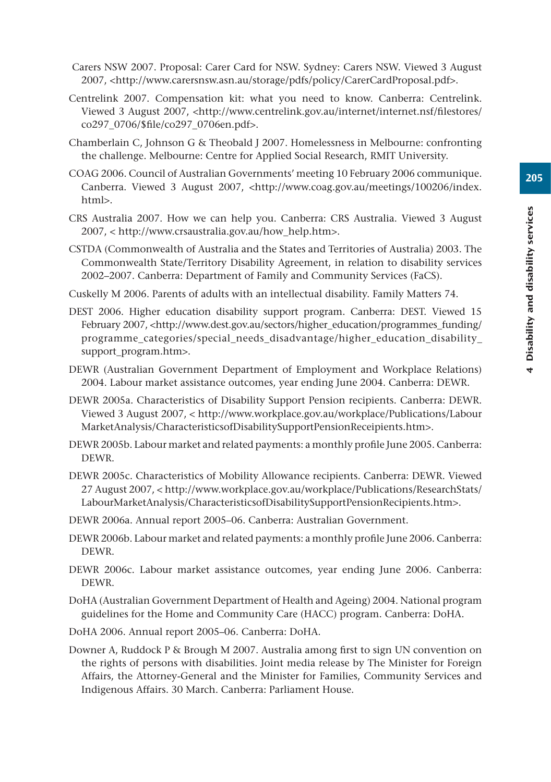- Carers NSW 2007. Proposal: Carer Card for NSW. Sydney: Carers NSW. Viewed 3 August 2007, <http://www.carersnsw.asn.au/storage/pdfs/policy/CarerCardProposal.pdf>.
- Centrelink 2007. Compensation kit: what you need to know. Canberra: Centrelink. Viewed 3 August 2007, <http://www.centrelink.gov.au/internet/internet.nsf/filestores/ co297\_0706/\$file/co297\_0706en.pdf>.
- Chamberlain C, Johnson G & Theobald J 2007. Homelessness in Melbourne: confronting the challenge. Melbourne: Centre for Applied Social Research, RMIT University.
- COAG 2006. Council of Australian Governments' meeting 10 February 2006 communique. Canberra. Viewed 3 August 2007, <http://www.coag.gov.au/meetings/100206/index. html>.
- CRS Australia 2007. How we can help you. Canberra: CRS Australia. Viewed 3 August 2007, < http://www.crsaustralia.gov.au/how\_help.htm>.
- CSTDA (Commonwealth of Australia and the States and Territories of Australia) 2003. The Commonwealth State/Territory Disability Agreement, in relation to disability services 2002–2007. Canberra: Department of Family and Community Services (FaCS).
- Cuskelly M 2006. Parents of adults with an intellectual disability. Family Matters 74.
- DEST 2006. Higher education disability support program. Canberra: DEST. Viewed 15 February 2007, <http://www.dest.gov.au/sectors/higher\_education/programmes\_funding/ programme\_categories/special\_needs\_disadvantage/higher\_education\_disability support\_program.htm>.
- DEWR (Australian Government Department of Employment and Workplace Relations) 2004. Labour market assistance outcomes, year ending June 2004. Canberra: DEWR.
- DEWR 2005a. Characteristics of Disability Support Pension recipients. Canberra: DEWR. Viewed 3 August 2007, < http://www.workplace.gov.au/workplace/Publications/Labour MarketAnalysis/CharacteristicsofDisabilitySupportPensionReceipients.htm>.
- DEWR 2005b. Labour market and related payments: a monthly profile June 2005. Canberra: DEWR.
- DEWR 2005c. Characteristics of Mobility Allowance recipients. Canberra: DEWR. Viewed 27 August 2007, < http://www.workplace.gov.au/workplace/Publications/ResearchStats/ LabourMarketAnalysis/CharacteristicsofDisabilitySupportPensionRecipients.htm>.
- DEWR 2006a. Annual report 2005–06. Canberra: Australian Government.
- DEWR 2006b. Labour market and related payments: a monthly profile June 2006. Canberra: DEWR.
- DEWR 2006c. Labour market assistance outcomes, year ending June 2006. Canberra: DEWR.
- DoHA (Australian Government Department of Health and Ageing) 2004. National program guidelines for the Home and Community Care (HACC) program. Canberra: DoHA.
- DoHA 2006. Annual report 2005–06. Canberra: DoHA.
- Downer A, Ruddock P & Brough M 2007. Australia among first to sign UN convention on the rights of persons with disabilities. Joint media release by The Minister for Foreign Affairs, the Attorney-General and the Minister for Families, Community Services and Indigenous Affairs. 30 March. Canberra: Parliament House.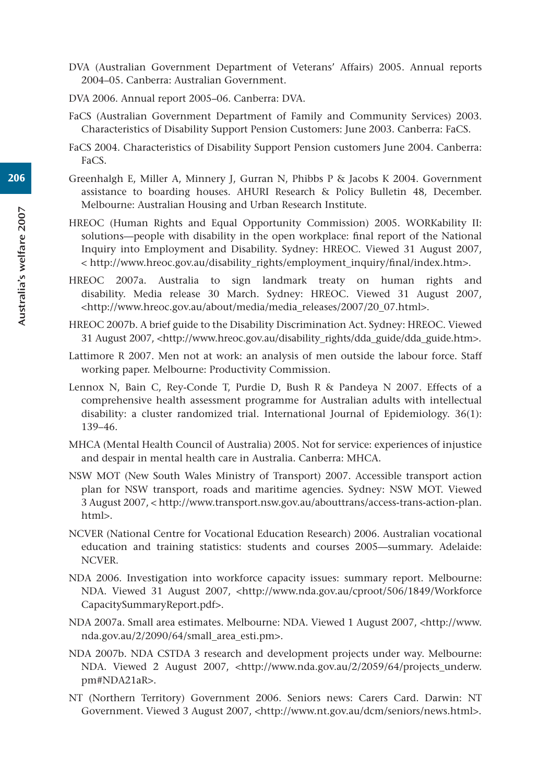- DVA (Australian Government Department of Veterans' Affairs) 2005. Annual reports 2004–05. Canberra: Australian Government.
- DVA 2006. Annual report 2005–06. Canberra: DVA.
- FaCS (Australian Government Department of Family and Community Services) 2003. Characteristics of Disability Support Pension Customers: June 2003. Canberra: FaCS.
- FaCS 2004. Characteristics of Disability Support Pension customers June 2004. Canberra: FaCS.
- Greenhalgh E, Miller A, Minnery J, Gurran N, Phibbs P & Jacobs K 2004. Government assistance to boarding houses. AHURI Research & Policy Bulletin 48, December. Melbourne: Australian Housing and Urban Research Institute.
- HREOC (Human Rights and Equal Opportunity Commission) 2005. WORKability II: solutions—people with disability in the open workplace: final report of the National Inquiry into Employment and Disability. Sydney: HREOC. Viewed 31 August 2007, < http://www.hreoc.gov.au/disability\_rights/employment\_inquiry/final/index.htm>.
- HREOC 2007a. Australia to sign landmark treaty on human rights and disability. Media release 30 March. Sydney: HREOC. Viewed 31 August 2007, <http://www.hreoc.gov.au/about/media/media\_releases/2007/20\_07.html>.
- HREOC 2007b. A brief guide to the Disability Discrimination Act. Sydney: HREOC. Viewed 31 August 2007, <http://www.hreoc.gov.au/disability\_rights/dda\_guide/dda\_guide.htm>.
- Lattimore R 2007. Men not at work: an analysis of men outside the labour force. Staff working paper. Melbourne: Productivity Commission.
- Lennox N, Bain C, Rey-Conde T, Purdie D, Bush R & Pandeya N 2007. Effects of a comprehensive health assessment programme for Australian adults with intellectual disability: a cluster randomized trial. International Journal of Epidemiology. 36(1): 139–46.
- MHCA (Mental Health Council of Australia) 2005. Not for service: experiences of injustice and despair in mental health care in Australia. Canberra: MHCA.
- NSW MOT (New South Wales Ministry of Transport) 2007. Accessible transport action plan for NSW transport, roads and maritime agencies. Sydney: NSW MOT. Viewed 3 August 2007, < http://www.transport.nsw.gov.au/abouttrans/access-trans-action-plan. html>.
- NCVER (National Centre for Vocational Education Research) 2006. Australian vocational education and training statistics: students and courses 2005—summary. Adelaide: NCVER.
- NDA 2006. Investigation into workforce capacity issues: summary report. Melbourne: NDA. Viewed 31 August 2007, <http://www.nda.gov.au/cproot/506/1849/Workforce CapacitySummaryReport.pdf>.
- NDA 2007a. Small area estimates. Melbourne: NDA. Viewed 1 August 2007, <http://www. nda.gov.au/2/2090/64/small\_area\_esti.pm>.
- NDA 2007b. NDA CSTDA 3 research and development projects under way. Melbourne: NDA. Viewed 2 August 2007, <http://www.nda.gov.au/2/2059/64/projects underw. pm#NDA21aR>.
- NT (Northern Territory) Government 2006. Seniors news: Carers Card. Darwin: NT Government. Viewed 3 August 2007, <http://www.nt.gov.au/dcm/seniors/news.html>.